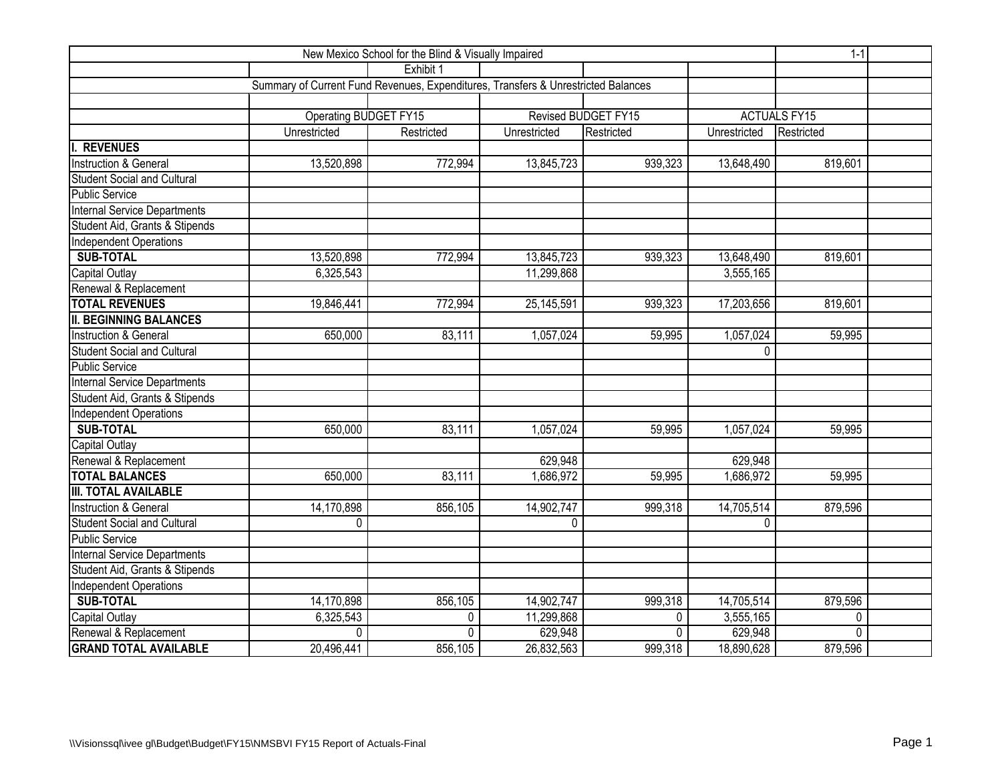|                                    | $1 - 1$                                                                           |            |                     |            |              |            |  |
|------------------------------------|-----------------------------------------------------------------------------------|------------|---------------------|------------|--------------|------------|--|
|                                    |                                                                                   | Exhibit 1  |                     |            |              |            |  |
|                                    | Summary of Current Fund Revenues, Expenditures, Transfers & Unrestricted Balances |            |                     |            |              |            |  |
|                                    |                                                                                   |            |                     |            |              |            |  |
|                                    | Operating BUDGET FY15                                                             |            | <b>ACTUALS FY15</b> |            |              |            |  |
|                                    | Unrestricted                                                                      | Restricted | Unrestricted        | Restricted | Unrestricted | Restricted |  |
| <b>REVENUES</b>                    |                                                                                   |            |                     |            |              |            |  |
| <b>Instruction &amp; General</b>   | 13,520,898                                                                        | 772,994    | 13,845,723          | 939,323    | 13,648,490   | 819,601    |  |
| <b>Student Social and Cultural</b> |                                                                                   |            |                     |            |              |            |  |
| Public Service                     |                                                                                   |            |                     |            |              |            |  |
| Internal Service Departments       |                                                                                   |            |                     |            |              |            |  |
| Student Aid, Grants & Stipends     |                                                                                   |            |                     |            |              |            |  |
| Independent Operations             |                                                                                   |            |                     |            |              |            |  |
| <b>SUB-TOTAL</b>                   | 13,520,898                                                                        | 772,994    | 13,845,723          | 939,323    | 13,648,490   | 819,601    |  |
| Capital Outlay                     | 6,325,543                                                                         |            | 11,299,868          |            | 3,555,165    |            |  |
| Renewal & Replacement              |                                                                                   |            |                     |            |              |            |  |
| <b>TOTAL REVENUES</b>              | 19,846,441                                                                        | 772,994    | 25, 145, 591        | 939,323    | 17,203,656   | 819,601    |  |
| <b>II. BEGINNING BALANCES</b>      |                                                                                   |            |                     |            |              |            |  |
| <b>Instruction &amp; General</b>   | 650,000                                                                           | 83,111     | 1,057,024           | 59,995     | 1,057,024    | 59,995     |  |
| <b>Student Social and Cultural</b> |                                                                                   |            |                     |            | $\Omega$     |            |  |
| <b>Public Service</b>              |                                                                                   |            |                     |            |              |            |  |
| Internal Service Departments       |                                                                                   |            |                     |            |              |            |  |
| Student Aid, Grants & Stipends     |                                                                                   |            |                     |            |              |            |  |
| Independent Operations             |                                                                                   |            |                     |            |              |            |  |
| <b>SUB-TOTAL</b>                   | 650,000                                                                           | 83,111     | 1,057,024           | 59,995     | 1,057,024    | 59,995     |  |
| Capital Outlay                     |                                                                                   |            |                     |            |              |            |  |
| Renewal & Replacement              |                                                                                   |            | 629,948             |            | 629,948      |            |  |
| <b>TOTAL BALANCES</b>              | 650,000                                                                           | 83,111     | 1,686,972           | 59,995     | 1,686,972    | 59,995     |  |
| <b>III. TOTAL AVAILABLE</b>        |                                                                                   |            |                     |            |              |            |  |
| <b>Instruction &amp; General</b>   | 14,170,898                                                                        | 856,105    | 14,902,747          | 999,318    | 14,705,514   | 879,596    |  |
| <b>Student Social and Cultural</b> | 0                                                                                 |            | $\Omega$            |            | $\Omega$     |            |  |
| Public Service                     |                                                                                   |            |                     |            |              |            |  |
| Internal Service Departments       |                                                                                   |            |                     |            |              |            |  |
| Student Aid, Grants & Stipends     |                                                                                   |            |                     |            |              |            |  |
| Independent Operations             |                                                                                   |            |                     |            |              |            |  |
| <b>SUB-TOTAL</b>                   | 14,170,898                                                                        | 856,105    | 14,902,747          | 999,318    | 14,705,514   | 879,596    |  |
| Capital Outlay                     | 6,325,543                                                                         | 0          | 11,299,868          | 0          | 3,555,165    | 0          |  |
| Renewal & Replacement              | $\Omega$                                                                          | 0          | 629,948             | $\Omega$   | 629,948      | $\Omega$   |  |
| <b>GRAND TOTAL AVAILABLE</b>       | 20,496,441                                                                        | 856,105    | 26,832,563          | 999,318    | 18,890,628   | 879,596    |  |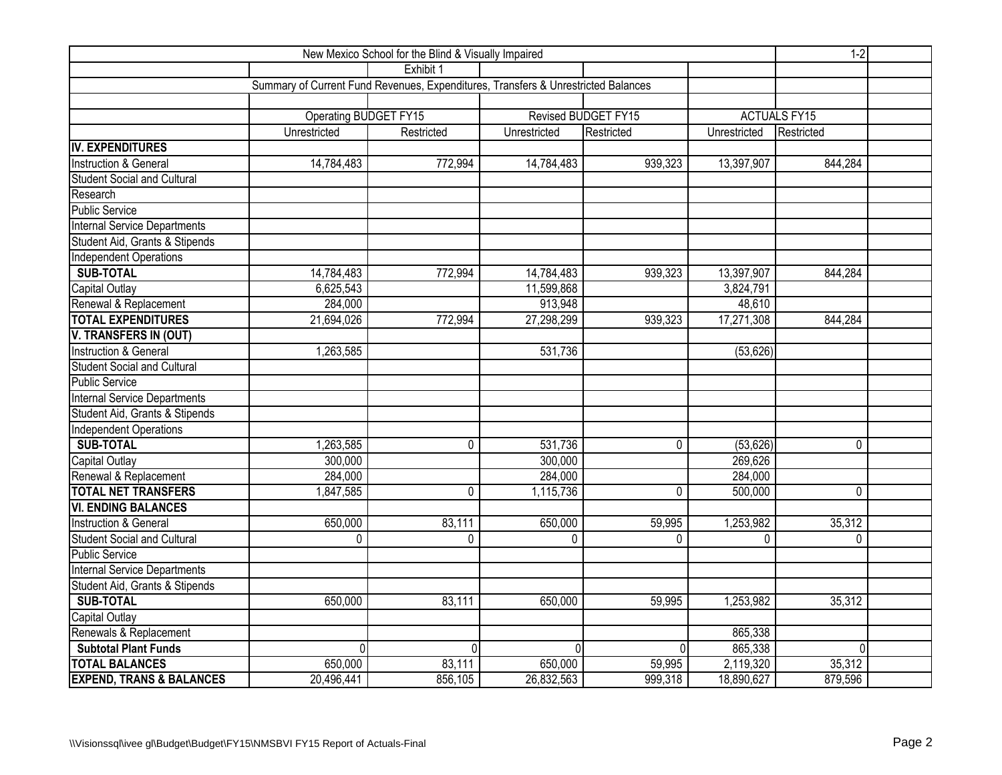|                                     | $1-2$                                                                             |              |              |                     |              |                     |  |
|-------------------------------------|-----------------------------------------------------------------------------------|--------------|--------------|---------------------|--------------|---------------------|--|
|                                     |                                                                                   | Exhibit 1    |              |                     |              |                     |  |
|                                     | Summary of Current Fund Revenues, Expenditures, Transfers & Unrestricted Balances |              |              |                     |              |                     |  |
|                                     |                                                                                   |              |              |                     |              |                     |  |
|                                     | Operating BUDGET FY15                                                             |              |              | Revised BUDGET FY15 |              | <b>ACTUALS FY15</b> |  |
|                                     | Unrestricted                                                                      | Restricted   | Unrestricted | Restricted          | Unrestricted | Restricted          |  |
| IV. EXPENDITURES                    |                                                                                   |              |              |                     |              |                     |  |
| Instruction & General               | 14,784,483                                                                        | 772,994      | 14,784,483   | 939,323             | 13,397,907   | 844,284             |  |
| <b>Student Social and Cultural</b>  |                                                                                   |              |              |                     |              |                     |  |
| Research                            |                                                                                   |              |              |                     |              |                     |  |
| <b>Public Service</b>               |                                                                                   |              |              |                     |              |                     |  |
| Internal Service Departments        |                                                                                   |              |              |                     |              |                     |  |
| Student Aid, Grants & Stipends      |                                                                                   |              |              |                     |              |                     |  |
| <b>Independent Operations</b>       |                                                                                   |              |              |                     |              |                     |  |
| <b>SUB-TOTAL</b>                    | 14,784,483                                                                        | 772,994      | 14,784,483   | 939,323             | 13,397,907   | 844,284             |  |
| <b>Capital Outlay</b>               | 6,625,543                                                                         |              | 11,599,868   |                     | 3,824,791    |                     |  |
| Renewal & Replacement               | 284,000                                                                           |              | 913,948      |                     | 48,610       |                     |  |
| <b>TOTAL EXPENDITURES</b>           | 21,694,026                                                                        | 772,994      | 27,298,299   | 939,323             | 17,271,308   | 844,284             |  |
| V. TRANSFERS IN (OUT)               |                                                                                   |              |              |                     |              |                     |  |
| Instruction & General               | 1,263,585                                                                         |              | 531,736      |                     | (53, 626)    |                     |  |
| <b>Student Social and Cultural</b>  |                                                                                   |              |              |                     |              |                     |  |
| Public Service                      |                                                                                   |              |              |                     |              |                     |  |
| Internal Service Departments        |                                                                                   |              |              |                     |              |                     |  |
| Student Aid, Grants & Stipends      |                                                                                   |              |              |                     |              |                     |  |
| <b>Independent Operations</b>       |                                                                                   |              |              |                     |              |                     |  |
| <b>SUB-TOTAL</b>                    | 1,263,585                                                                         | $\mathbf{0}$ | 531,736      | $\mathbf{0}$        | (53, 626)    | $\mathbf 0$         |  |
| <b>Capital Outlay</b>               | 300,000                                                                           |              | 300,000      |                     | 269,626      |                     |  |
| Renewal & Replacement               | 284,000                                                                           |              | 284,000      |                     | 284,000      |                     |  |
| <b>TOTAL NET TRANSFERS</b>          | 1,847,585                                                                         | 0            | 1,115,736    | 0                   | 500,000      | $\mathbf 0$         |  |
| <b>VI. ENDING BALANCES</b>          |                                                                                   |              |              |                     |              |                     |  |
| Instruction & General               | 650,000                                                                           | 83,111       | 650,000      | 59,995              | 1,253,982    | 35,312              |  |
| <b>Student Social and Cultural</b>  | 0                                                                                 | $\mathbf{0}$ | $\Omega$     | $\mathbf{0}$        | 0            | $\mathbf{0}$        |  |
| Public Service                      |                                                                                   |              |              |                     |              |                     |  |
| <b>Internal Service Departments</b> |                                                                                   |              |              |                     |              |                     |  |
| Student Aid, Grants & Stipends      |                                                                                   |              |              |                     |              |                     |  |
| <b>SUB-TOTAL</b>                    | 650,000                                                                           | 83,111       | 650,000      | 59,995              | 1,253,982    | 35,312              |  |
| Capital Outlay                      |                                                                                   |              |              |                     |              |                     |  |
| Renewals & Replacement              |                                                                                   |              |              |                     | 865,338      |                     |  |
| <b>Subtotal Plant Funds</b>         | $\Omega$                                                                          | $\Omega$     | U            | 0                   | 865,338      | $\Omega$            |  |
| <b>TOTAL BALANCES</b>               | 650,000                                                                           | 83,111       | 650,000      | 59,995              | 2,119,320    | 35,312              |  |
| <b>EXPEND, TRANS &amp; BALANCES</b> | 20,496,441                                                                        | 856,105      | 26,832,563   | 999,318             | 18,890,627   | 879,596             |  |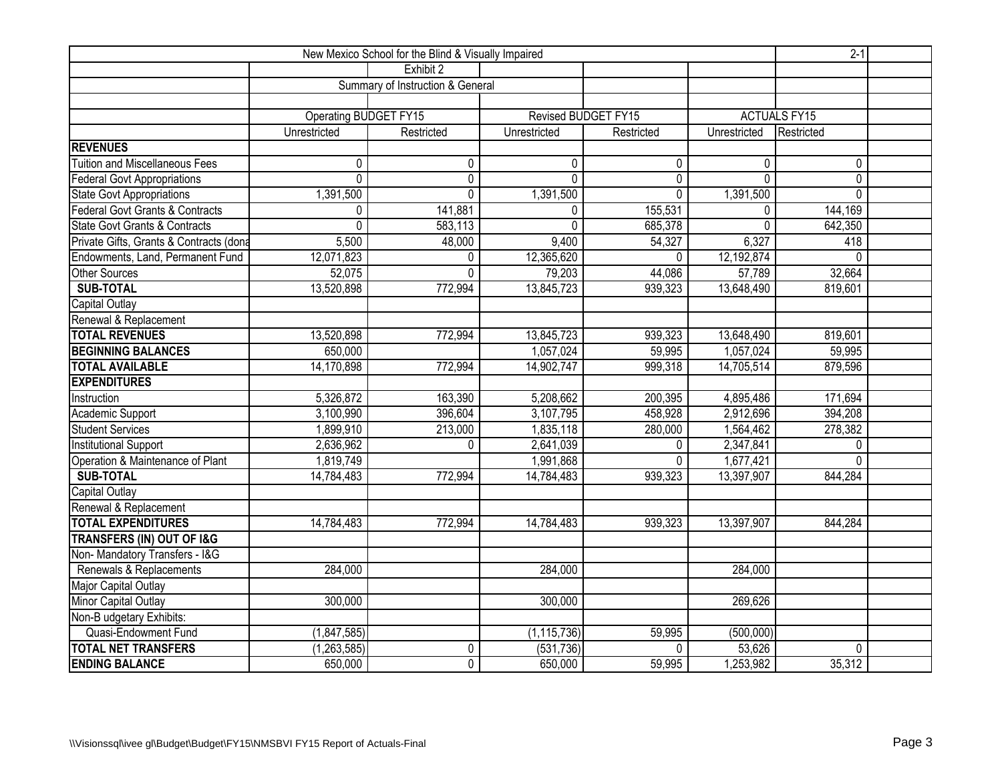|                                          | $2-1$                 |                                  |                     |              |                |                     |  |
|------------------------------------------|-----------------------|----------------------------------|---------------------|--------------|----------------|---------------------|--|
|                                          |                       | Exhibit 2                        |                     |              |                |                     |  |
|                                          |                       | Summary of Instruction & General |                     |              |                |                     |  |
|                                          |                       |                                  |                     |              |                |                     |  |
|                                          | Operating BUDGET FY15 |                                  | Revised BUDGET FY15 |              |                | <b>ACTUALS FY15</b> |  |
|                                          | Unrestricted          | Restricted                       | Unrestricted        | Restricted   | Unrestricted   | Restricted          |  |
| <b>REVENUES</b>                          |                       |                                  |                     |              |                |                     |  |
| <b>Tuition and Miscellaneous Fees</b>    | 0                     | $\mathbf{0}$                     | $\mathbf{0}$        | $\mathbf{0}$ | 0              | 0                   |  |
| <b>Federal Govt Appropriations</b>       | 0                     | 0                                | $\mathbf{0}$        | $\mathbf 0$  | $\overline{0}$ | $\pmb{0}$           |  |
| State Govt Appropriations                | 1,391,500             | $\mathbf 0$                      | 1,391,500           | $\mathbf 0$  | 1,391,500      | $\mathbf{0}$        |  |
| Federal Govt Grants & Contracts          | 0                     | 141,881                          | $\mathbf{0}$        | 155,531      | 0              | 144,169             |  |
| <b>State Govt Grants &amp; Contracts</b> | 0                     | 583,113                          | $\Omega$            | 685,378      | 0              | 642,350             |  |
| Private Gifts, Grants & Contracts (dona  | 5,500                 | 48,000                           | 9,400               | 54,327       | 6,327          | 418                 |  |
| Endowments, Land, Permanent Fund         | 12,071,823            | $\mathbf{0}$                     | 12,365,620          | $\Omega$     | 12,192,874     | $\mathbf{0}$        |  |
| <b>Other Sources</b>                     | 52,075                | $\Omega$                         | 79,203              | 44,086       | 57,789         | 32,664              |  |
| <b>SUB-TOTAL</b>                         | 13,520,898            | 772,994                          | 13,845,723          | 939,323      | 13,648,490     | 819,601             |  |
| Capital Outlay                           |                       |                                  |                     |              |                |                     |  |
| Renewal & Replacement                    |                       |                                  |                     |              |                |                     |  |
| <b>TOTAL REVENUES</b>                    | 13,520,898            | 772,994                          | 13,845,723          | 939,323      | 13,648,490     | 819,601             |  |
| <b>BEGINNING BALANCES</b>                | 650,000               |                                  | 1,057,024           | 59,995       | 1,057,024      | 59,995              |  |
| <b>TOTAL AVAILABLE</b>                   | 14,170,898            | 772,994                          | 14,902,747          | 999,318      | 14,705,514     | 879,596             |  |
| <b>EXPENDITURES</b>                      |                       |                                  |                     |              |                |                     |  |
| Instruction                              | 5,326,872             | 163,390                          | 5,208,662           | 200,395      | 4,895,486      | 171,694             |  |
| Academic Support                         | 3,100,990             | 396,604                          | 3,107,795           | 458,928      | 2,912,696      | 394,208             |  |
| Student Services                         | 1,899,910             | 213,000                          | 1,835,118           | 280,000      | 1,564,462      | 278,382             |  |
| <b>Institutional Support</b>             | 2,636,962             | $\Omega$                         | 2,641,039           | $\Omega$     | 2,347,841      | 0                   |  |
| Operation & Maintenance of Plant         | 1,819,749             |                                  | 1,991,868           | $\mathbf{0}$ | 1,677,421      | $\mathbf 0$         |  |
| <b>SUB-TOTAL</b>                         | 14,784,483            | 772,994                          | 14,784,483          | 939,323      | 13,397,907     | 844,284             |  |
| <b>Capital Outlay</b>                    |                       |                                  |                     |              |                |                     |  |
| Renewal & Replacement                    |                       |                                  |                     |              |                |                     |  |
| <b>TOTAL EXPENDITURES</b>                | 14,784,483            | 772,994                          | 14,784,483          | 939,323      | 13,397,907     | 844,284             |  |
| <b>TRANSFERS (IN) OUT OF I&amp;G</b>     |                       |                                  |                     |              |                |                     |  |
| Non- Mandatory Transfers - I&G           |                       |                                  |                     |              |                |                     |  |
| Renewals & Replacements                  | 284,000               |                                  | 284,000             |              | 284,000        |                     |  |
| Major Capital Outlay                     |                       |                                  |                     |              |                |                     |  |
| Minor Capital Outlay                     | 300,000               |                                  | 300,000             |              | 269,626        |                     |  |
| Non-B udgetary Exhibits:                 |                       |                                  |                     |              |                |                     |  |
| Quasi-Endowment Fund                     | (1,847,585)           |                                  | (1, 115, 736)       | 59,995       | (500,000)      |                     |  |
| <b>TOTAL NET TRANSFERS</b>               | (1, 263, 585)         | 0                                | (531, 736)          | $\mathbf{0}$ | 53,626         | 0                   |  |
| <b>ENDING BALANCE</b>                    | 650,000               | $\overline{0}$                   | 650,000             | 59,995       | 1,253,982      | 35,312              |  |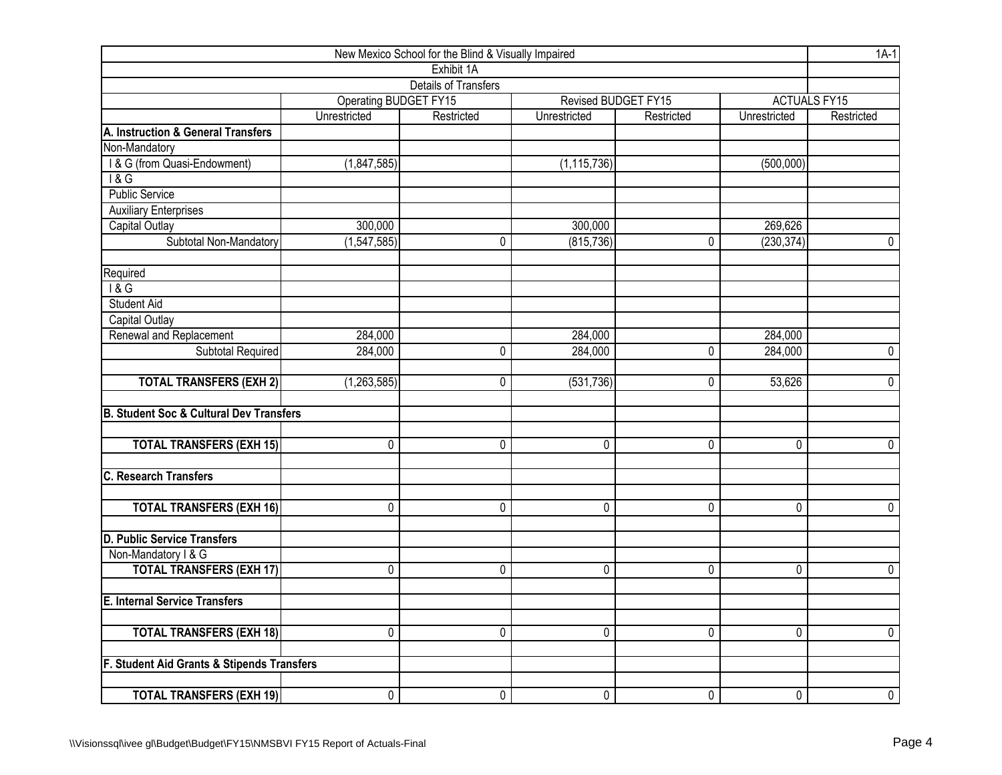| New Mexico School for the Blind & Visually Impaired |                       |                             |               |                     |                |                     |  |  |  |  |  |
|-----------------------------------------------------|-----------------------|-----------------------------|---------------|---------------------|----------------|---------------------|--|--|--|--|--|
|                                                     |                       | Exhibit 1A                  |               |                     |                |                     |  |  |  |  |  |
|                                                     |                       | <b>Details of Transfers</b> |               |                     |                |                     |  |  |  |  |  |
|                                                     | Operating BUDGET FY15 |                             |               | Revised BUDGET FY15 |                | <b>ACTUALS FY15</b> |  |  |  |  |  |
|                                                     | Unrestricted          | Restricted                  | Unrestricted  | Restricted          | Unrestricted   | Restricted          |  |  |  |  |  |
| A. Instruction & General Transfers                  |                       |                             |               |                     |                |                     |  |  |  |  |  |
| Non-Mandatory                                       |                       |                             |               |                     |                |                     |  |  |  |  |  |
| I & G (from Quasi-Endowment)                        | (1,847,585)           |                             | (1, 115, 736) |                     | (500,000)      |                     |  |  |  |  |  |
| $\overline{8}$                                      |                       |                             |               |                     |                |                     |  |  |  |  |  |
| <b>Public Service</b>                               |                       |                             |               |                     |                |                     |  |  |  |  |  |
| <b>Auxiliary Enterprises</b>                        |                       |                             |               |                     |                |                     |  |  |  |  |  |
| Capital Outlay                                      | 300,000               |                             | 300,000       |                     | 269,626        |                     |  |  |  |  |  |
| Subtotal Non-Mandatory                              | (1,547,585)           | 0                           | (815, 736)    | 0                   | (230, 374)     | $\mathbf 0$         |  |  |  |  |  |
| Required                                            |                       |                             |               |                     |                |                     |  |  |  |  |  |
| 18G                                                 |                       |                             |               |                     |                |                     |  |  |  |  |  |
| <b>Student Aid</b>                                  |                       |                             |               |                     |                |                     |  |  |  |  |  |
| <b>Capital Outlay</b>                               |                       |                             |               |                     |                |                     |  |  |  |  |  |
| Renewal and Replacement                             | 284,000               |                             | 284,000       |                     | 284,000        |                     |  |  |  |  |  |
| Subtotal Required                                   | 284,000               | 0                           | 284,000       | 0                   | 284,000        | $\mathbf 0$         |  |  |  |  |  |
| <b>TOTAL TRANSFERS (EXH 2)</b>                      | (1,263,585)           | 0                           | (531, 736)    | 0                   | 53,626         | $\mathbf 0$         |  |  |  |  |  |
| <b>B. Student Soc &amp; Cultural Dev Transfers</b>  |                       |                             |               |                     |                |                     |  |  |  |  |  |
| <b>TOTAL TRANSFERS (EXH 15)</b>                     | 0                     | 0                           | 0             | $\overline{0}$      | 0              | $\overline{0}$      |  |  |  |  |  |
| <b>C. Research Transfers</b>                        |                       |                             |               |                     |                |                     |  |  |  |  |  |
|                                                     |                       |                             |               |                     |                |                     |  |  |  |  |  |
| <b>TOTAL TRANSFERS (EXH 16)</b>                     | 0                     | 0                           | 0             | 0                   | 0              | $\mathbf 0$         |  |  |  |  |  |
| <b>D. Public Service Transfers</b>                  |                       |                             |               |                     |                |                     |  |  |  |  |  |
| Non-Mandatory I & G                                 |                       |                             |               |                     |                |                     |  |  |  |  |  |
| <b>TOTAL TRANSFERS (EXH 17)</b>                     | 0                     | 0                           | 0             | 0                   | 0              | $\mathbf 0$         |  |  |  |  |  |
| <b>E. Internal Service Transfers</b>                |                       |                             |               |                     |                |                     |  |  |  |  |  |
| <b>TOTAL TRANSFERS (EXH 18)</b>                     | 0                     | 0                           | 0             | $\overline{0}$      | $\overline{0}$ | $\overline{0}$      |  |  |  |  |  |
| F. Student Aid Grants & Stipends Transfers          |                       |                             |               |                     |                |                     |  |  |  |  |  |
|                                                     |                       |                             |               |                     |                |                     |  |  |  |  |  |
| <b>TOTAL TRANSFERS (EXH 19)</b>                     | 0                     | 0                           | 0             | 0                   | 0              | $\overline{0}$      |  |  |  |  |  |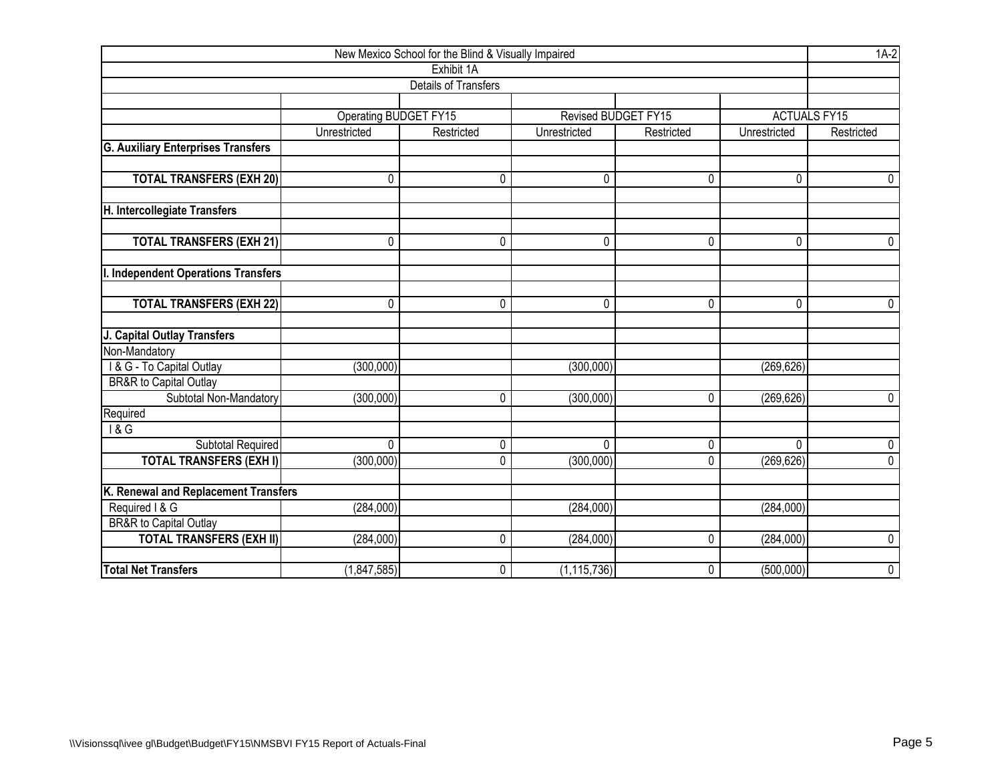| New Mexico School for the Blind & Visually Impaired |                              |                             |               |                     |              |                     |  |  |  |  |  |
|-----------------------------------------------------|------------------------------|-----------------------------|---------------|---------------------|--------------|---------------------|--|--|--|--|--|
|                                                     |                              | Exhibit 1A                  |               |                     |              |                     |  |  |  |  |  |
|                                                     |                              | <b>Details of Transfers</b> |               |                     |              |                     |  |  |  |  |  |
|                                                     |                              |                             |               |                     |              |                     |  |  |  |  |  |
|                                                     | <b>Operating BUDGET FY15</b> |                             |               | Revised BUDGET FY15 |              | <b>ACTUALS FY15</b> |  |  |  |  |  |
|                                                     | Unrestricted                 | Restricted                  | Unrestricted  | Restricted          | Unrestricted | Restricted          |  |  |  |  |  |
| <b>G. Auxiliary Enterprises Transfers</b>           |                              |                             |               |                     |              |                     |  |  |  |  |  |
|                                                     |                              |                             |               |                     |              |                     |  |  |  |  |  |
| <b>TOTAL TRANSFERS (EXH 20)</b>                     | 0                            | 0                           | 0             | 0                   | 0            | 0                   |  |  |  |  |  |
| H. Intercollegiate Transfers                        |                              |                             |               |                     |              |                     |  |  |  |  |  |
| <b>TOTAL TRANSFERS (EXH 21)</b>                     | 0                            | 0                           | 0             | 0                   | 0            | $\mathbf 0$         |  |  |  |  |  |
|                                                     |                              |                             |               |                     |              |                     |  |  |  |  |  |
| I. Independent Operations Transfers                 |                              |                             |               |                     |              |                     |  |  |  |  |  |
| <b>TOTAL TRANSFERS (EXH 22)</b>                     | $\mathbf{0}$                 | 0                           | 0             | 0                   | $\mathbf{0}$ | $\mathbf{0}$        |  |  |  |  |  |
| J. Capital Outlay Transfers                         |                              |                             |               |                     |              |                     |  |  |  |  |  |
| Non-Mandatory                                       |                              |                             |               |                     |              |                     |  |  |  |  |  |
| I & G - To Capital Outlay                           | (300, 000)                   |                             | (300,000)     |                     | (269, 626)   |                     |  |  |  |  |  |
| <b>BR&amp;R</b> to Capital Outlay                   |                              |                             |               |                     |              |                     |  |  |  |  |  |
| Subtotal Non-Mandatory                              | (300,000)                    | 0                           | (300,000)     | 0                   | (269, 626)   | $\mathbf 0$         |  |  |  |  |  |
| Required                                            |                              |                             |               |                     |              |                     |  |  |  |  |  |
| 18G                                                 |                              |                             |               |                     |              |                     |  |  |  |  |  |
| <b>Subtotal Required</b>                            | 0                            | 0                           | $\Omega$      | 0                   | $\Omega$     | 0                   |  |  |  |  |  |
| <b>TOTAL TRANSFERS (EXH I)</b>                      | (300, 000)                   | $\Omega$                    | (300,000)     | 0                   | (269, 626)   | $\overline{0}$      |  |  |  |  |  |
| K. Renewal and Replacement Transfers                |                              |                             |               |                     |              |                     |  |  |  |  |  |
| Required I & G                                      | (284,000)                    |                             | (284,000)     |                     | (284,000)    |                     |  |  |  |  |  |
| <b>BR&amp;R</b> to Capital Outlay                   |                              |                             |               |                     |              |                     |  |  |  |  |  |
| <b>TOTAL TRANSFERS (EXH II)</b>                     | (284,000)                    | 0                           | (284,000)     | 0                   | (284,000)    | 0                   |  |  |  |  |  |
| <b>Total Net Transfers</b>                          | (1,847,585)                  | 0                           | (1, 115, 736) | 0                   | (500,000)    | $\mathbf 0$         |  |  |  |  |  |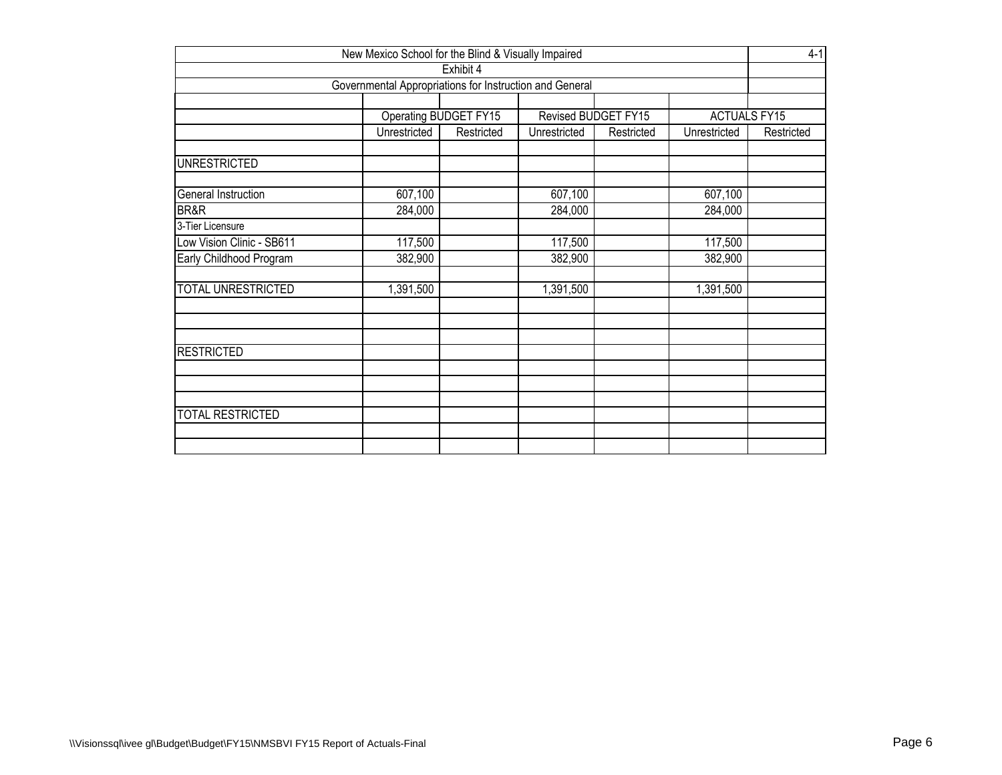| New Mexico School for the Blind & Visually Impaired                 |                                                                          |  |           |  |           |  |  |  |  |  |  |  |
|---------------------------------------------------------------------|--------------------------------------------------------------------------|--|-----------|--|-----------|--|--|--|--|--|--|--|
| Exhibit 4                                                           |                                                                          |  |           |  |           |  |  |  |  |  |  |  |
| Governmental Appropriations for Instruction and General             |                                                                          |  |           |  |           |  |  |  |  |  |  |  |
|                                                                     |                                                                          |  |           |  |           |  |  |  |  |  |  |  |
| Revised BUDGET FY15<br><b>ACTUALS FY15</b><br>Operating BUDGET FY15 |                                                                          |  |           |  |           |  |  |  |  |  |  |  |
|                                                                     | Unrestricted<br>Restricted<br>Unrestricted<br>Unrestricted<br>Restricted |  |           |  |           |  |  |  |  |  |  |  |
| <b>UNRESTRICTED</b>                                                 |                                                                          |  |           |  |           |  |  |  |  |  |  |  |
| General Instruction                                                 | 607,100                                                                  |  | 607,100   |  | 607,100   |  |  |  |  |  |  |  |
| BR&R                                                                | 284,000                                                                  |  | 284,000   |  | 284,000   |  |  |  |  |  |  |  |
| 3-Tier Licensure                                                    |                                                                          |  |           |  |           |  |  |  |  |  |  |  |
| Low Vision Clinic - SB611                                           | 117,500                                                                  |  | 117,500   |  | 117,500   |  |  |  |  |  |  |  |
| Early Childhood Program                                             | 382,900                                                                  |  | 382,900   |  | 382,900   |  |  |  |  |  |  |  |
| <b>TOTAL UNRESTRICTED</b>                                           | 1,391,500                                                                |  | 1,391,500 |  | 1,391,500 |  |  |  |  |  |  |  |
|                                                                     |                                                                          |  |           |  |           |  |  |  |  |  |  |  |
| <b>RESTRICTED</b>                                                   |                                                                          |  |           |  |           |  |  |  |  |  |  |  |
|                                                                     |                                                                          |  |           |  |           |  |  |  |  |  |  |  |
| <b>TOTAL RESTRICTED</b>                                             |                                                                          |  |           |  |           |  |  |  |  |  |  |  |
|                                                                     |                                                                          |  |           |  |           |  |  |  |  |  |  |  |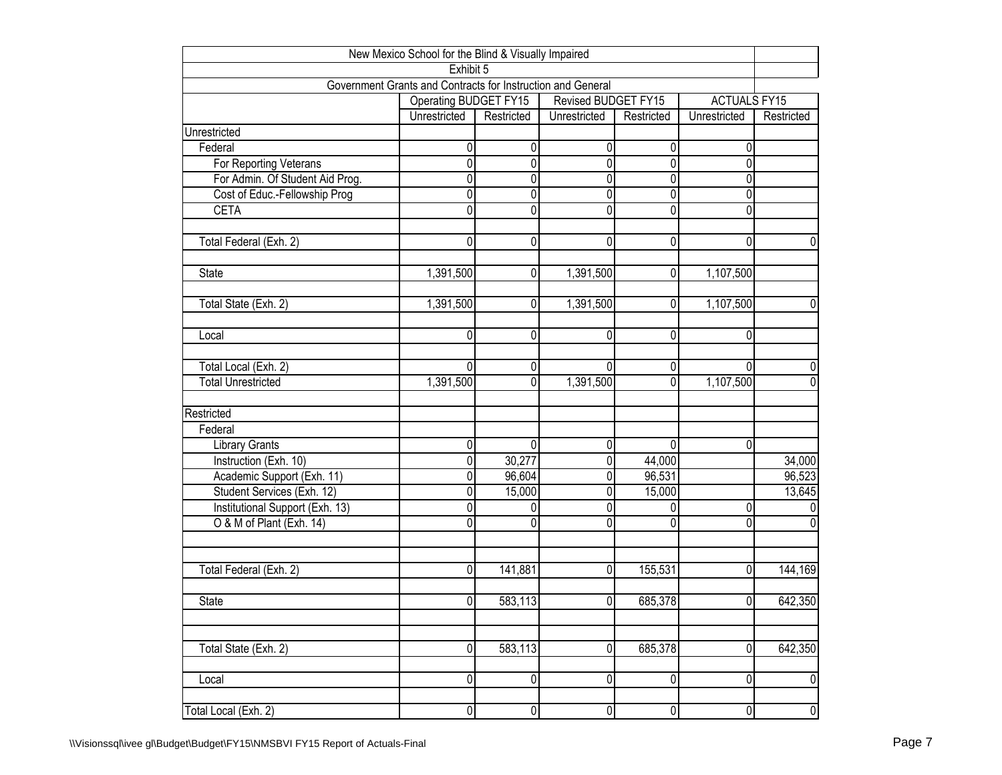| New Mexico School for the Blind & Visually Impaired                      |                       |                |                         |            |                     |             |  |  |  |  |  |  |
|--------------------------------------------------------------------------|-----------------------|----------------|-------------------------|------------|---------------------|-------------|--|--|--|--|--|--|
| Exhibit 5<br>Government Grants and Contracts for Instruction and General |                       |                |                         |            |                     |             |  |  |  |  |  |  |
|                                                                          |                       |                |                         |            |                     |             |  |  |  |  |  |  |
|                                                                          | Operating BUDGET FY15 |                | Revised BUDGET FY15     |            | <b>ACTUALS FY15</b> |             |  |  |  |  |  |  |
|                                                                          | Unrestricted          | Restricted     | Unrestricted            | Restricted | Unrestricted        | Restricted  |  |  |  |  |  |  |
| Unrestricted                                                             |                       |                |                         |            |                     |             |  |  |  |  |  |  |
| Federal                                                                  | 0                     | 0              | 0                       | 0          | 0                   |             |  |  |  |  |  |  |
| For Reporting Veterans                                                   | 0                     | 0              | $\overline{0}$          | 0          | $\mathbf 0$         |             |  |  |  |  |  |  |
| For Admin. Of Student Aid Prog.                                          | 0                     | 0              | $\overline{0}$          | 0          | 0                   |             |  |  |  |  |  |  |
| Cost of Educ.-Fellowship Prog                                            | 0                     | 0              | 0                       | 0          | 0                   |             |  |  |  |  |  |  |
| <b>CETA</b>                                                              | 0                     | 0              | 0                       | 0          | 0                   |             |  |  |  |  |  |  |
|                                                                          |                       |                |                         |            |                     |             |  |  |  |  |  |  |
| Total Federal (Exh. 2)                                                   | $\overline{0}$        | 0              | 0                       | 0          | 0                   | 0           |  |  |  |  |  |  |
| State                                                                    | 1,391,500             | 0              | 1,391,500               | 0          | 1,107,500           |             |  |  |  |  |  |  |
|                                                                          |                       |                |                         |            |                     |             |  |  |  |  |  |  |
| Total State (Exh. 2)                                                     | 1,391,500             | $\Omega$       | 1,391,500               | 0          | 1,107,500           | 0           |  |  |  |  |  |  |
| Local                                                                    | 0                     | 0              | 0                       | 0          | 0                   |             |  |  |  |  |  |  |
|                                                                          |                       |                |                         |            |                     |             |  |  |  |  |  |  |
| Total Local (Exh. 2)                                                     | $\Omega$              | $\overline{0}$ | $\Omega$                | 0          | $\Omega$            | 0           |  |  |  |  |  |  |
| <b>Total Unrestricted</b>                                                | 1,391,500             | $\Omega$       | 1,391,500               | 0          | 1,107,500           | 0           |  |  |  |  |  |  |
|                                                                          |                       |                |                         |            |                     |             |  |  |  |  |  |  |
| Restricted                                                               |                       |                |                         |            |                     |             |  |  |  |  |  |  |
| Federal                                                                  |                       |                |                         |            |                     |             |  |  |  |  |  |  |
| <b>Library Grants</b>                                                    | 0                     | 0              | 0                       | 0          | 0                   |             |  |  |  |  |  |  |
| Instruction (Exh. 10)                                                    | 0                     | 30,277         | 0                       | 44,000     |                     | 34,000      |  |  |  |  |  |  |
| Academic Support (Exh. 11)                                               | 0                     | 96,604         | $\overline{\mathsf{o}}$ | 96,531     |                     | 96,523      |  |  |  |  |  |  |
| Student Services (Exh. 12)                                               | $\overline{0}$        | 15,000         | $\overline{0}$          | 15,000     |                     | 13,645      |  |  |  |  |  |  |
| Institutional Support (Exh. 13)                                          | $\overline{0}$        | 0              | $\overline{\mathbf{0}}$ | 0          | $\overline{0}$      | 0           |  |  |  |  |  |  |
| O & M of Plant (Exh. 14)                                                 | 0                     | 0              | $\overline{0}$          | 0          | 0                   | 0           |  |  |  |  |  |  |
|                                                                          |                       |                |                         |            |                     |             |  |  |  |  |  |  |
| Total Federal (Exh. 2)                                                   | 0                     | 141,881        | 0                       | 155,531    | 0                   | 144,169     |  |  |  |  |  |  |
|                                                                          |                       |                |                         |            |                     |             |  |  |  |  |  |  |
| <b>State</b>                                                             | 0                     | 583,113        | $\overline{0}$          | 685,378    | $\overline{0}$      | 642,350     |  |  |  |  |  |  |
|                                                                          |                       |                |                         |            |                     |             |  |  |  |  |  |  |
| Total State (Exh. 2)                                                     | $\overline{0}$        | 583,113        | $\overline{0}$          | 685,378    | 0                   | 642,350     |  |  |  |  |  |  |
|                                                                          |                       |                |                         |            |                     |             |  |  |  |  |  |  |
| Local                                                                    | $\overline{0}$        | 0              | 0                       | 0          | 0                   | $\mathbf 0$ |  |  |  |  |  |  |
| Total Local (Exh. 2)                                                     | 0                     | $\pmb{0}$      | 0                       | 0          | $\overline{0}$      | $\pmb{0}$   |  |  |  |  |  |  |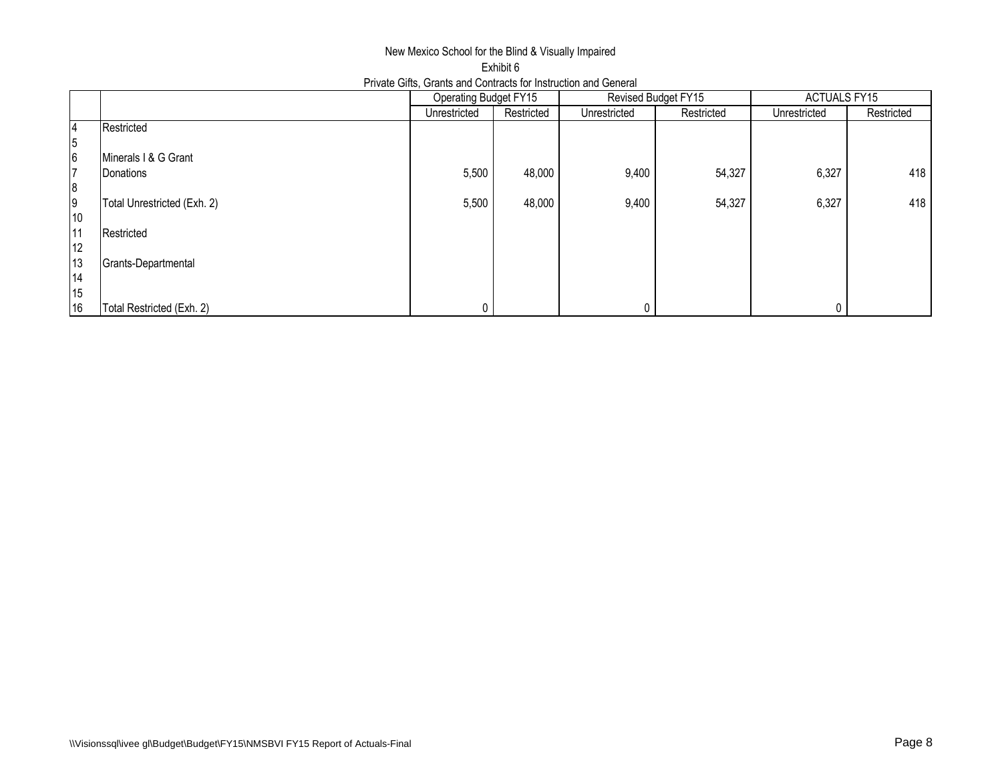## New Mexico School for the Blind & Visually Impaired Exhibit 6 Private Gifts, Grants and Contracts for Instruction and General

|    |                             | Operating Budget FY15 |            |              | Revised Budget FY15 | <b>ACTUALS FY15</b> |            |  |
|----|-----------------------------|-----------------------|------------|--------------|---------------------|---------------------|------------|--|
|    |                             | Unrestricted          | Restricted | Unrestricted | Restricted          | Unrestricted        | Restricted |  |
| 4  | Restricted                  |                       |            |              |                     |                     |            |  |
| 5  |                             |                       |            |              |                     |                     |            |  |
| 6  | Minerals I & G Grant        |                       |            |              |                     |                     |            |  |
| 7  | Donations                   | 5,500                 | 48,000     | 9,400        | 54,327              | 6,327               | 418        |  |
| 8  |                             |                       |            |              |                     |                     |            |  |
| 9  | Total Unrestricted (Exh. 2) | 5,500                 | 48,000     | 9,400        | 54,327              | 6,327               | 418        |  |
| 10 |                             |                       |            |              |                     |                     |            |  |
| 11 | Restricted                  |                       |            |              |                     |                     |            |  |
| 12 |                             |                       |            |              |                     |                     |            |  |
| 13 | Grants-Departmental         |                       |            |              |                     |                     |            |  |
| 14 |                             |                       |            |              |                     |                     |            |  |
| 15 |                             |                       |            |              |                     |                     |            |  |
| 16 | Total Restricted (Exh. 2)   |                       |            |              |                     |                     |            |  |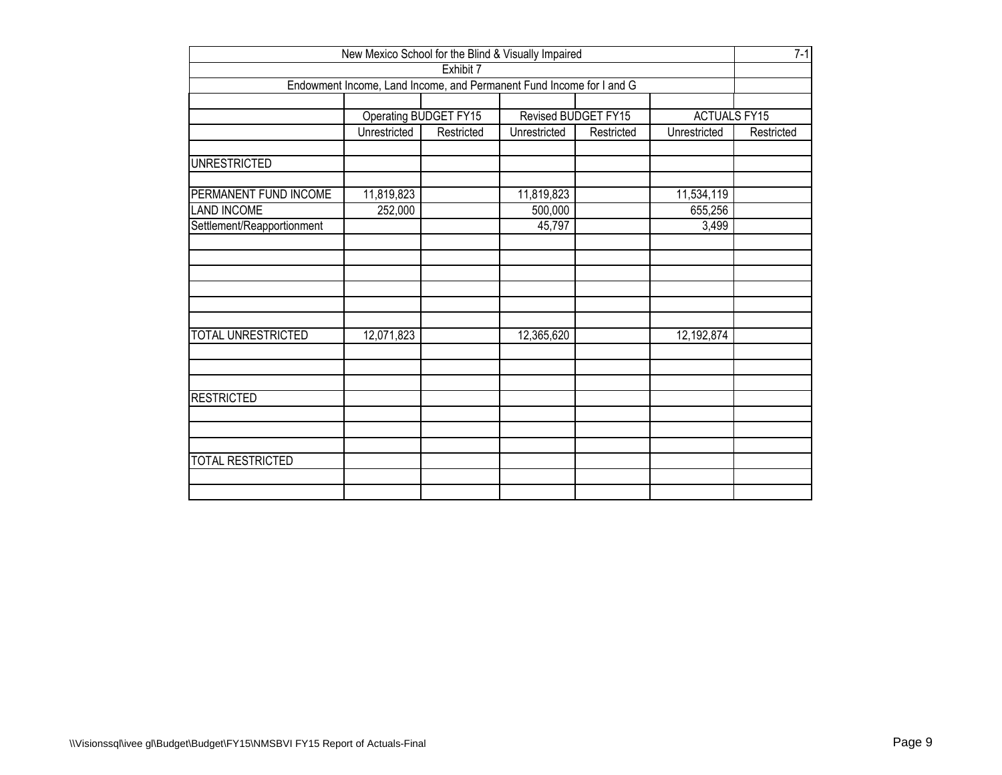| New Mexico School for the Blind & Visually Impaired                               |              |                       |              |                     |                     |            |  |  |  |  |
|-----------------------------------------------------------------------------------|--------------|-----------------------|--------------|---------------------|---------------------|------------|--|--|--|--|
| Exhibit 7<br>Endowment Income, Land Income, and Permanent Fund Income for I and G |              |                       |              |                     |                     |            |  |  |  |  |
|                                                                                   |              |                       |              |                     |                     |            |  |  |  |  |
|                                                                                   |              |                       |              |                     |                     |            |  |  |  |  |
|                                                                                   |              | Operating BUDGET FY15 |              | Revised BUDGET FY15 | <b>ACTUALS FY15</b> |            |  |  |  |  |
|                                                                                   | Unrestricted | Restricted            | Unrestricted | Restricted          | Unrestricted        | Restricted |  |  |  |  |
|                                                                                   |              |                       |              |                     |                     |            |  |  |  |  |
| <b>UNRESTRICTED</b>                                                               |              |                       |              |                     |                     |            |  |  |  |  |
| PERMANENT FUND INCOME                                                             | 11,819,823   |                       | 11,819,823   |                     | 11,534,119          |            |  |  |  |  |
| <b>LAND INCOME</b>                                                                | 252,000      |                       | 500,000      |                     | 655,256             |            |  |  |  |  |
| Settlement/Reapportionment                                                        |              |                       | 45,797       |                     | 3,499               |            |  |  |  |  |
|                                                                                   |              |                       |              |                     |                     |            |  |  |  |  |
|                                                                                   |              |                       |              |                     |                     |            |  |  |  |  |
|                                                                                   |              |                       |              |                     |                     |            |  |  |  |  |
|                                                                                   |              |                       |              |                     |                     |            |  |  |  |  |
|                                                                                   |              |                       |              |                     |                     |            |  |  |  |  |
|                                                                                   |              |                       |              |                     |                     |            |  |  |  |  |
| <b>TOTAL UNRESTRICTED</b>                                                         | 12,071,823   |                       | 12,365,620   |                     | 12,192,874          |            |  |  |  |  |
|                                                                                   |              |                       |              |                     |                     |            |  |  |  |  |
|                                                                                   |              |                       |              |                     |                     |            |  |  |  |  |
|                                                                                   |              |                       |              |                     |                     |            |  |  |  |  |
| <b>RESTRICTED</b>                                                                 |              |                       |              |                     |                     |            |  |  |  |  |
|                                                                                   |              |                       |              |                     |                     |            |  |  |  |  |
|                                                                                   |              |                       |              |                     |                     |            |  |  |  |  |
|                                                                                   |              |                       |              |                     |                     |            |  |  |  |  |
| <b>TOTAL RESTRICTED</b>                                                           |              |                       |              |                     |                     |            |  |  |  |  |
|                                                                                   |              |                       |              |                     |                     |            |  |  |  |  |
|                                                                                   |              |                       |              |                     |                     |            |  |  |  |  |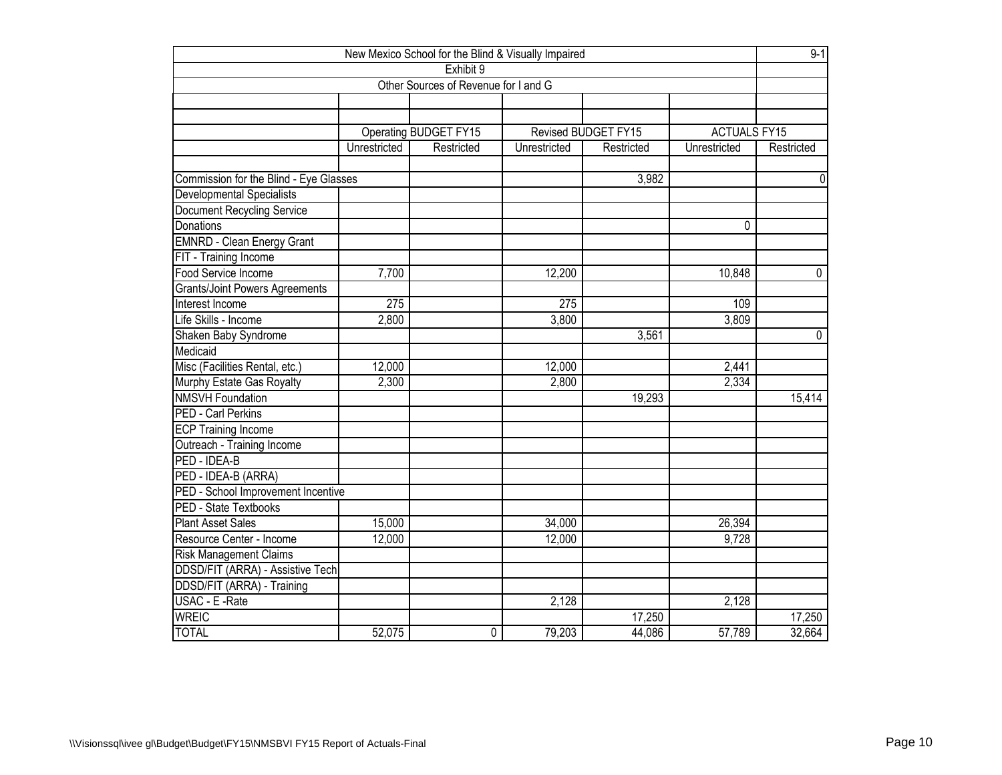| New Mexico School for the Blind & Visually Impaired |              |                                      |              |                     |                     |                |  |  |  |
|-----------------------------------------------------|--------------|--------------------------------------|--------------|---------------------|---------------------|----------------|--|--|--|
|                                                     |              | Exhibit 9                            |              |                     |                     |                |  |  |  |
|                                                     |              | Other Sources of Revenue for I and G |              |                     |                     |                |  |  |  |
|                                                     |              |                                      |              |                     |                     |                |  |  |  |
|                                                     |              |                                      |              |                     |                     |                |  |  |  |
|                                                     |              | Operating BUDGET FY15                |              | Revised BUDGET FY15 | <b>ACTUALS FY15</b> |                |  |  |  |
|                                                     | Unrestricted | Restricted                           | Unrestricted | Restricted          | Unrestricted        | Restricted     |  |  |  |
|                                                     |              |                                      |              |                     |                     |                |  |  |  |
| Commission for the Blind - Eye Glasses              |              |                                      |              | 3,982               |                     | $\mathbf 0$    |  |  |  |
| Developmental Specialists                           |              |                                      |              |                     |                     |                |  |  |  |
| <b>Document Recycling Service</b>                   |              |                                      |              |                     |                     |                |  |  |  |
| Donations                                           |              |                                      |              |                     | 0                   |                |  |  |  |
| <b>EMNRD - Clean Energy Grant</b>                   |              |                                      |              |                     |                     |                |  |  |  |
| FIT - Training Income                               |              |                                      |              |                     |                     |                |  |  |  |
| Food Service Income                                 | 7,700        |                                      | 12,200       |                     | 10,848              | $\overline{0}$ |  |  |  |
| <b>Grants/Joint Powers Agreements</b>               |              |                                      |              |                     |                     |                |  |  |  |
| Interest Income                                     | 275          |                                      | 275          |                     | 109                 |                |  |  |  |
| Life Skills - Income                                | 2,800        |                                      | 3,800        |                     | 3,809               |                |  |  |  |
| Shaken Baby Syndrome                                |              |                                      |              | 3,561               |                     | $\mathbf 0$    |  |  |  |
| Medicaid                                            |              |                                      |              |                     |                     |                |  |  |  |
| Misc (Facilities Rental, etc.)                      | 12,000       |                                      | 12,000       |                     | 2,441               |                |  |  |  |
| Murphy Estate Gas Royalty                           | 2,300        |                                      | 2,800        |                     | 2,334               |                |  |  |  |
| <b>NMSVH Foundation</b>                             |              |                                      |              | 19,293              |                     | 15,414         |  |  |  |
| PED - Carl Perkins                                  |              |                                      |              |                     |                     |                |  |  |  |
| <b>ECP Training Income</b>                          |              |                                      |              |                     |                     |                |  |  |  |
| Outreach - Training Income                          |              |                                      |              |                     |                     |                |  |  |  |
| PED - IDEA-B                                        |              |                                      |              |                     |                     |                |  |  |  |
| PED - IDEA-B (ARRA)                                 |              |                                      |              |                     |                     |                |  |  |  |
| PED - School Improvement Incentive                  |              |                                      |              |                     |                     |                |  |  |  |
| PED - State Textbooks                               |              |                                      |              |                     |                     |                |  |  |  |
| <b>Plant Asset Sales</b>                            | 15,000       |                                      | 34,000       |                     | 26,394              |                |  |  |  |
| Resource Center - Income                            | 12,000       |                                      | 12,000       |                     | 9,728               |                |  |  |  |
| <b>Risk Management Claims</b>                       |              |                                      |              |                     |                     |                |  |  |  |
| <b>DDSD/FIT (ARRA) - Assistive Tech</b>             |              |                                      |              |                     |                     |                |  |  |  |
| DDSD/FIT (ARRA) - Training                          |              |                                      |              |                     |                     |                |  |  |  |
| USAC - E -Rate                                      |              |                                      | 2,128        |                     | 2,128               |                |  |  |  |
| <b>WREIC</b>                                        |              |                                      |              | 17,250              |                     | 17,250         |  |  |  |
| <b>TOTAL</b>                                        | 52,075       | 0                                    | 79,203       | 44,086              | 57,789              | 32,664         |  |  |  |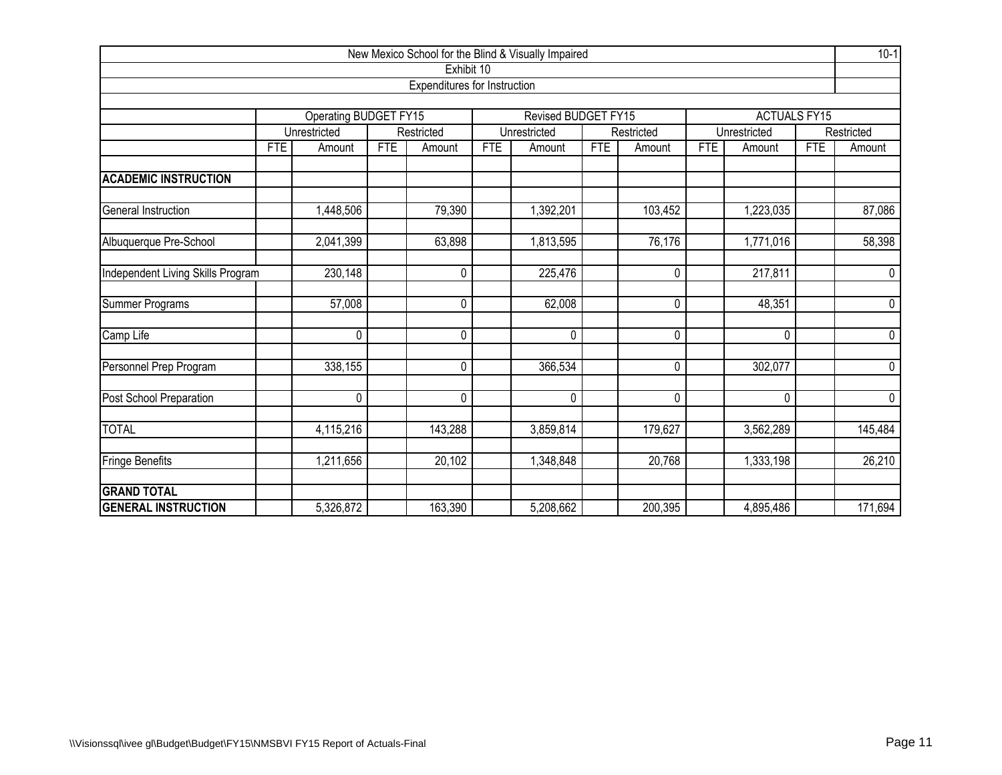| New Mexico School for the Blind & Visually Impaired |            |                                                     |            |                              |            |                     |            |            |            |                     | $10-1$     |                |
|-----------------------------------------------------|------------|-----------------------------------------------------|------------|------------------------------|------------|---------------------|------------|------------|------------|---------------------|------------|----------------|
|                                                     |            |                                                     |            | Exhibit 10                   |            |                     |            |            |            |                     |            |                |
|                                                     |            |                                                     |            | Expenditures for Instruction |            |                     |            |            |            |                     |            |                |
|                                                     |            |                                                     |            |                              |            | Revised BUDGET FY15 |            |            |            | <b>ACTUALS FY15</b> |            |                |
|                                                     |            | Operating BUDGET FY15<br>Restricted<br>Unrestricted |            |                              |            | Unrestricted        |            | Restricted |            | Unrestricted        | Restricted |                |
|                                                     | <b>FTE</b> | Amount                                              | <b>FTE</b> | Amount                       | <b>FTE</b> | Amount              | <b>FTE</b> | Amount     | <b>FTE</b> | Amount              | <b>FTE</b> | Amount         |
| <b>ACADEMIC INSTRUCTION</b>                         |            |                                                     |            |                              |            |                     |            |            |            |                     |            |                |
| General Instruction                                 |            | 1,448,506                                           |            | 79,390                       |            | 1,392,201           |            | 103,452    |            | 1,223,035           |            | 87,086         |
| Albuquerque Pre-School                              |            | 2,041,399                                           |            | 63,898                       |            | 1,813,595           |            | 76,176     |            | 1,771,016           |            | 58,398         |
| Independent Living Skills Program                   |            | 230,148                                             |            | 0                            |            | 225,476             |            | 0          | 217,811    |                     |            | 0              |
| <b>Summer Programs</b>                              |            | 57,008                                              |            | $\overline{0}$               |            | 62,008              |            | 0          |            | 48,351              |            | $\overline{0}$ |
| Camp Life                                           |            | 0                                                   |            | 0                            |            | 0                   |            | 0          |            | $\mathbf{0}$        |            | 0              |
| Personnel Prep Program                              |            | 338,155                                             |            | 0                            |            | 366,534             |            | $\Omega$   |            | 302,077             |            | $\Omega$       |
| Post School Preparation                             |            | 0                                                   |            | $\mathbf 0$                  |            | 0                   |            | 0          |            | 0                   |            | 0              |
| <b>TOTAL</b>                                        |            | 4,115,216                                           |            | 143,288                      |            | 3,859,814           |            | 179,627    |            | 3,562,289           |            | 145,484        |
| Fringe Benefits                                     |            | 1,211,656                                           |            | 20,102                       |            | 1,348,848           |            | 20,768     |            | 1,333,198           |            | 26,210         |
| <b>GRAND TOTAL</b>                                  |            |                                                     |            |                              |            |                     |            |            |            |                     |            |                |
| <b>GENERAL INSTRUCTION</b>                          |            | 5,326,872                                           |            | 163,390                      |            | 5,208,662           |            | 200,395    |            | 4,895,486           |            | 171,694        |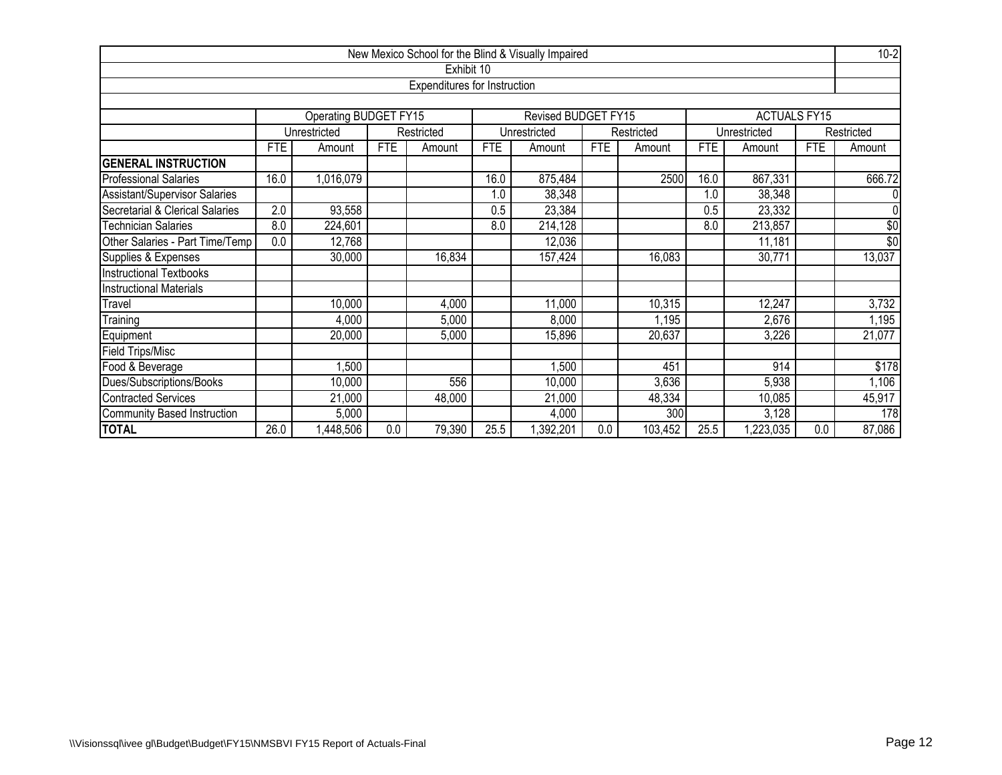|                                      |      |                                                                          |            |                              |            | New Mexico School for the Blind & Visually Impaired |            |         |            |                     |            | $10-2$          |  |
|--------------------------------------|------|--------------------------------------------------------------------------|------------|------------------------------|------------|-----------------------------------------------------|------------|---------|------------|---------------------|------------|-----------------|--|
|                                      |      |                                                                          |            | Exhibit 10                   |            |                                                     |            |         |            |                     |            |                 |  |
|                                      |      |                                                                          |            | Expenditures for Instruction |            |                                                     |            |         |            |                     |            |                 |  |
|                                      |      |                                                                          |            |                              |            |                                                     |            |         |            |                     |            |                 |  |
|                                      |      | Operating BUDGET FY15                                                    |            |                              |            | Revised BUDGET FY15                                 |            |         |            | <b>ACTUALS FY15</b> |            |                 |  |
|                                      |      | Unrestricted<br>Unrestricted<br>Restricted<br>Unrestricted<br>Restricted |            |                              |            |                                                     |            |         |            | Restricted          |            |                 |  |
|                                      | FTE  | Amount                                                                   | <b>FTE</b> | Amount                       | <b>FTE</b> | Amount                                              | <b>FTE</b> | Amount  | <b>FTE</b> | Amount              | <b>FTE</b> | Amount          |  |
| <b>GENERAL INSTRUCTION</b>           |      |                                                                          |            |                              |            |                                                     |            |         |            |                     |            |                 |  |
| <b>Professional Salaries</b>         | 16.0 | 1,016,079                                                                |            |                              | 16.0       | 875,484                                             |            | 2500    | 16.0       | 867,331             |            | 666.72          |  |
| <b>Assistant/Supervisor Salaries</b> |      |                                                                          |            |                              | 1.0        | 38,348                                              |            |         | 1.0        | 38,348              |            |                 |  |
| Secretarial & Clerical Salaries      | 2.0  | 93,558                                                                   |            |                              | 0.5        | 23,384                                              |            |         | 0.5        | 23,332              |            | $\mathbf{0}$    |  |
| <b>Technician Salaries</b>           | 8.0  | 224,601                                                                  |            |                              | 8.0        | 214,128                                             |            |         | 8.0        | 213,857             |            | \$0             |  |
| Other Salaries - Part Time/Temp      | 0.0  | 12,768                                                                   |            |                              |            | 12,036                                              |            |         |            | 11,181              |            | $\overline{60}$ |  |
| Supplies & Expenses                  |      | 30,000                                                                   |            | 16,834                       |            | 157,424                                             |            | 16,083  |            | 30,771              |            | 13,037          |  |
| Instructional Textbooks              |      |                                                                          |            |                              |            |                                                     |            |         |            |                     |            |                 |  |
| <b>Instructional Materials</b>       |      |                                                                          |            |                              |            |                                                     |            |         |            |                     |            |                 |  |
| Travel                               |      | 10,000                                                                   |            | 4,000                        |            | 11,000                                              |            | 10,315  |            | 12,247              |            | 3,732           |  |
| Training                             |      | 4,000                                                                    |            | 5,000                        |            | 8,000                                               |            | 1,195   |            | 2,676               |            | 1,195           |  |
| Equipment                            |      | 20,000                                                                   |            | 5,000                        |            | 15,896                                              |            | 20,637  |            | 3,226               |            | 21,077          |  |
| Field Trips/Misc                     |      |                                                                          |            |                              |            |                                                     |            |         |            |                     |            |                 |  |
| Food & Beverage                      |      | 1,500                                                                    |            |                              |            | 1,500                                               |            | 451     |            | 914                 |            | \$178           |  |
| Dues/Subscriptions/Books             |      | 10,000                                                                   |            | 556                          |            | 10,000                                              |            | 3,636   |            | 5,938               |            | 1,106           |  |
| Contracted Services                  |      | 21,000                                                                   |            | 48,000                       |            | 21,000                                              |            | 48,334  |            | 10,085              |            | 45,917          |  |
| Community Based Instruction          |      | 5,000                                                                    |            |                              |            | 4,000                                               |            | 300     |            | 3,128               |            | 178             |  |
| <b>TOTAL</b>                         | 26.0 | ,448,506                                                                 | 0.0        | 79,390                       | 25.5       | ,392,201                                            | 0.0        | 103,452 | 25.5       | ,223,035            | 0.0        | 87,086          |  |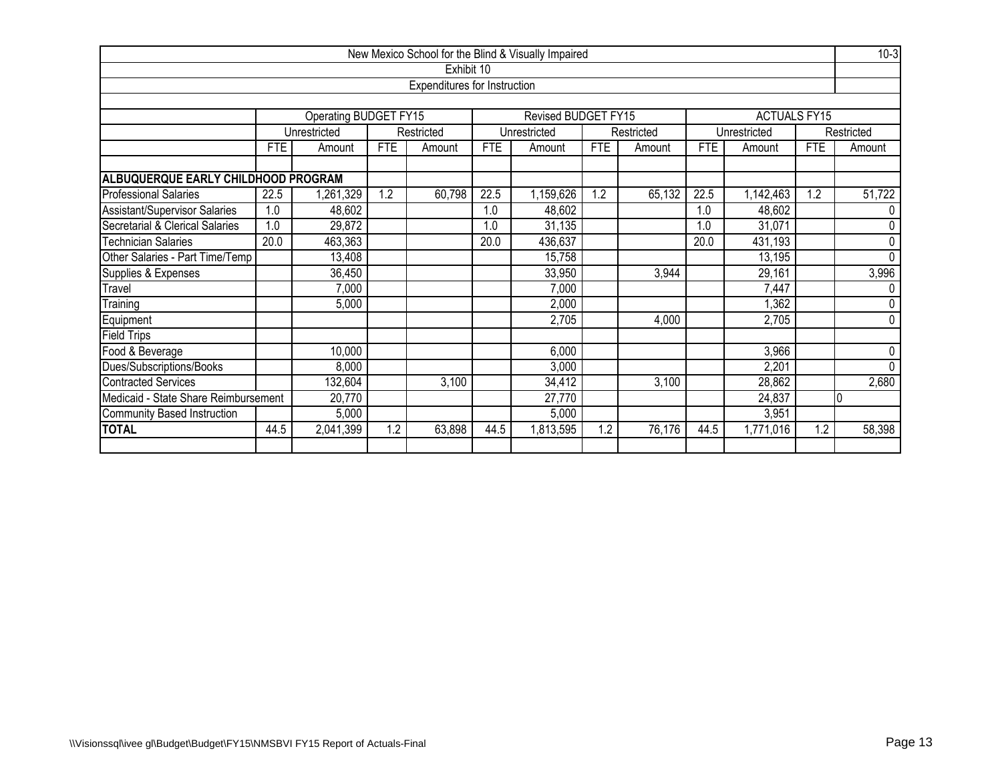|                                                                      |                         |                                               |            |                                     |            | New Mexico School for the Blind & Visually Impaired |            |            |            |                     |            | $10-3$         |
|----------------------------------------------------------------------|-------------------------|-----------------------------------------------|------------|-------------------------------------|------------|-----------------------------------------------------|------------|------------|------------|---------------------|------------|----------------|
|                                                                      |                         |                                               |            | Exhibit 10                          |            |                                                     |            |            |            |                     |            |                |
|                                                                      |                         |                                               |            | <b>Expenditures for Instruction</b> |            |                                                     |            |            |            |                     |            |                |
|                                                                      |                         |                                               |            |                                     |            |                                                     |            |            |            |                     |            |                |
|                                                                      |                         | Operating BUDGET FY15                         |            |                                     |            | Revised BUDGET FY15                                 |            |            |            | <b>ACTUALS FY15</b> |            |                |
|                                                                      |                         | Unrestricted                                  |            | Restricted                          |            | Unrestricted                                        |            | Restricted |            | Unrestricted        |            | Restricted     |
|                                                                      | <b>FTE</b>              | Amount                                        | <b>FTE</b> | Amount                              | <b>FTE</b> | Amount                                              | <b>FTE</b> | Amount     | <b>FTE</b> | Amount              | <b>FTE</b> | Amount         |
| ALBUQUERQUE EARLY CHILDHOOD PROGRAM                                  |                         |                                               |            |                                     |            |                                                     |            |            |            |                     |            |                |
| <b>Professional Salaries</b>                                         | 22.5                    | ,261,329                                      | 1.2        | 60,798                              | 22.5       | 1,159,626                                           | 1.2        | 65,132     | 22.5       | 1,142,463           | 1.2        | 51,722         |
| Assistant/Supervisor Salaries                                        | 1.0                     | 48,602                                        |            |                                     | 1.0        | 48,602                                              |            |            | 1.0        | 48,602              |            |                |
| Secretarial & Clerical Salaries                                      | 1.0                     | 29,872                                        |            |                                     | 1.0        | 31,135                                              |            |            | 1.0        | 31,071              |            | $\Omega$       |
| <b>Technician Salaries</b>                                           | 20.0                    | 463,363<br>20.0<br>436,637<br>20.0<br>431,193 |            |                                     |            |                                                     |            |            |            |                     |            | $\mathbf 0$    |
| Other Salaries - Part Time/Temp                                      |                         | 13,408                                        |            |                                     |            | 15,758                                              |            |            |            | 13,195              |            | $\Omega$       |
| Supplies & Expenses                                                  |                         | 36,450                                        |            |                                     |            | 33,950                                              |            | 3,944      |            | 29,161              |            | 3,996          |
| Travel                                                               |                         | 7,000                                         |            |                                     |            | 7,000                                               |            |            |            | 7,447               |            | 0              |
| Training                                                             |                         | 5,000                                         |            |                                     |            | 2,000                                               |            |            |            | 1,362               |            | $\mathbf{0}$   |
| Equipment                                                            |                         |                                               |            |                                     |            | 2,705                                               |            | 4,000      |            | 2,705               |            | $\overline{0}$ |
| <b>Field Trips</b>                                                   |                         |                                               |            |                                     |            |                                                     |            |            |            |                     |            |                |
| Food & Beverage                                                      |                         | 10,000                                        |            |                                     |            | 6,000                                               |            |            |            | 3,966               |            | $\mathbf 0$    |
| Dues/Subscriptions/Books                                             |                         | 8,000                                         |            |                                     |            | 3,000                                               |            |            |            | 2,201               |            | $\Omega$       |
| 3,100<br>Contracted Services<br>132,604<br>3,100<br>34,412<br>28,862 |                         |                                               |            |                                     |            |                                                     |            |            | 2,680      |                     |            |                |
| Medicaid - State Share Reimbursement                                 |                         | 20,770                                        |            |                                     |            | 27,770                                              |            |            |            | 24,837              |            | I0             |
| Community Based Instruction                                          | 5,000<br>5,000<br>3,951 |                                               |            |                                     |            |                                                     |            |            |            |                     |            |                |
| <b>TOTAL</b>                                                         | 44.5                    | 2,041,399                                     | 1.2        | 63,898                              | 44.5       | 1,813,595                                           | 1.2        | 76,176     | 44.5       | 1,771,016           | 1.2        | 58,398         |
|                                                                      |                         |                                               |            |                                     |            |                                                     |            |            |            |                     |            |                |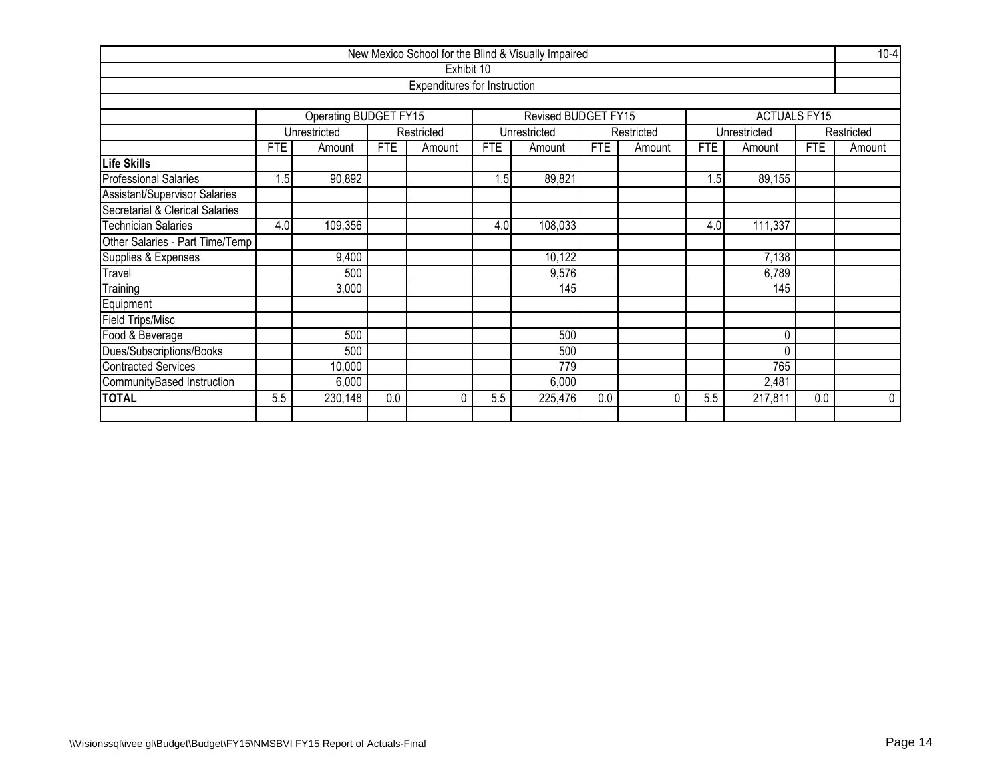|                                                    |            |                                                    |            |                              |            | New Mexico School for the Blind & Visually Impaired |            |            |                  |                     |            | $10-4$      |  |  |
|----------------------------------------------------|------------|----------------------------------------------------|------------|------------------------------|------------|-----------------------------------------------------|------------|------------|------------------|---------------------|------------|-------------|--|--|
|                                                    |            |                                                    |            | Exhibit 10                   |            |                                                     |            |            |                  |                     |            |             |  |  |
|                                                    |            |                                                    |            | Expenditures for Instruction |            |                                                     |            |            |                  |                     |            |             |  |  |
|                                                    |            |                                                    |            |                              |            |                                                     |            |            |                  |                     |            |             |  |  |
|                                                    |            | Operating BUDGET FY15                              |            |                              |            | Revised BUDGET FY15                                 |            |            |                  | <b>ACTUALS FY15</b> |            |             |  |  |
|                                                    |            | Unrestricted                                       |            | Restricted                   |            | Unrestricted                                        |            | Restricted |                  | Unrestricted        |            | Restricted  |  |  |
|                                                    | <b>FTE</b> | Amount                                             | <b>FTE</b> | Amount                       | <b>FTE</b> | Amount                                              | <b>FTE</b> | Amount     | <b>FTE</b>       | Amount              | <b>FTE</b> | Amount      |  |  |
| Life Skills                                        |            |                                                    |            |                              |            |                                                     |            |            |                  |                     |            |             |  |  |
| <b>Professional Salaries</b>                       | 1.5        | 90,892                                             |            |                              | 1.5        | 89,821                                              |            |            | 1.5 <sub>1</sub> | 89,155              |            |             |  |  |
| Assistant/Supervisor Salaries                      |            |                                                    |            |                              |            |                                                     |            |            |                  |                     |            |             |  |  |
| Secretarial & Clerical Salaries                    |            |                                                    |            |                              |            |                                                     |            |            |                  |                     |            |             |  |  |
| <b>Technician Salaries</b>                         |            | 109,356<br>4.0<br>108,033<br>111,337<br>4.0<br>4.0 |            |                              |            |                                                     |            |            |                  |                     |            |             |  |  |
| Other Salaries - Part Time/Temp                    |            |                                                    |            |                              |            |                                                     |            |            |                  |                     |            |             |  |  |
| Supplies & Expenses                                |            | 9,400                                              |            |                              |            | 10,122                                              |            |            |                  | 7,138               |            |             |  |  |
| Travel                                             |            | 500                                                |            |                              |            | 9,576                                               |            |            |                  | 6,789               |            |             |  |  |
| Training                                           |            | 3,000                                              |            |                              |            | 145                                                 |            |            |                  | 145                 |            |             |  |  |
| Equipment                                          |            |                                                    |            |                              |            |                                                     |            |            |                  |                     |            |             |  |  |
| <b>Field Trips/Misc</b>                            |            |                                                    |            |                              |            |                                                     |            |            |                  |                     |            |             |  |  |
| Food & Beverage                                    |            | 500                                                |            |                              |            | 500                                                 |            |            |                  | 0                   |            |             |  |  |
| Dues/Subscriptions/Books                           |            | 500                                                |            |                              |            | 500                                                 |            |            |                  | 0                   |            |             |  |  |
| 765<br><b>Contracted Services</b><br>10,000<br>779 |            |                                                    |            |                              |            |                                                     |            |            |                  |                     |            |             |  |  |
| CommunityBased Instruction                         |            | 6,000                                              |            |                              |            | 6,000                                               |            |            |                  | 2,481               |            |             |  |  |
| <b>TOTAL</b>                                       | 5.5        | 230,148                                            | 0.0        | $\Omega$                     | 5.5        | 225,476                                             | 0.0        | 0          | 5.5              | 217,811             | 0.0        | $\mathbf 0$ |  |  |
|                                                    |            |                                                    |            |                              |            |                                                     |            |            |                  |                     |            |             |  |  |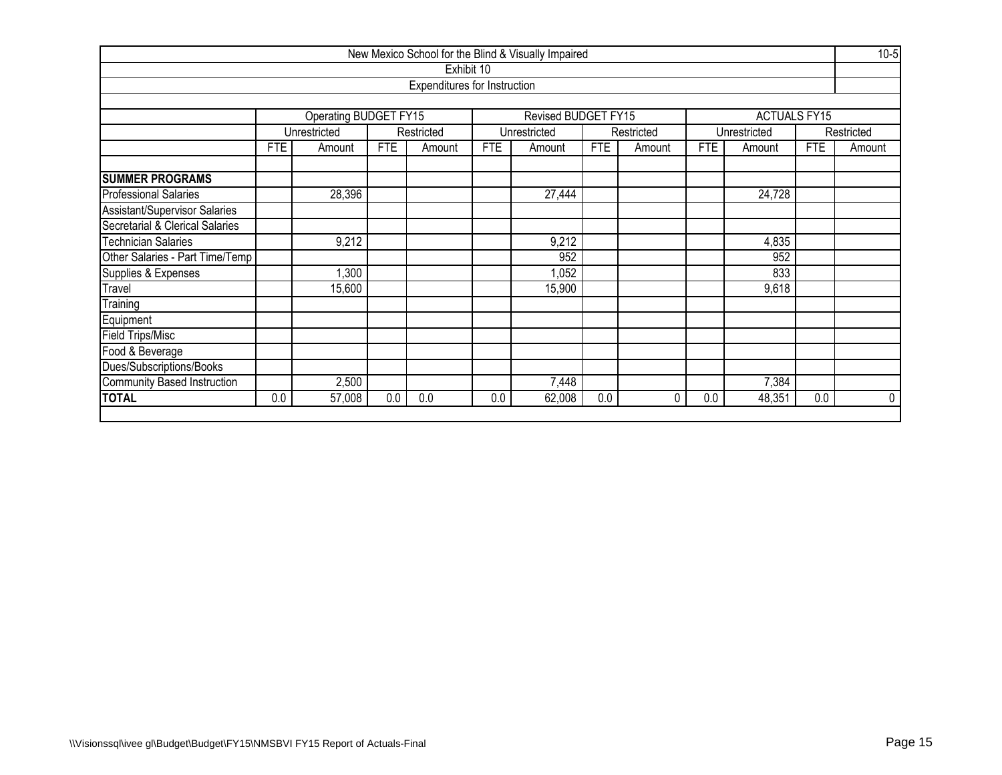|                                                            |            |                       |            |                                     |            | New Mexico School for the Blind & Visually Impaired |            |            |            |                     |            | $10-5$      |  |  |
|------------------------------------------------------------|------------|-----------------------|------------|-------------------------------------|------------|-----------------------------------------------------|------------|------------|------------|---------------------|------------|-------------|--|--|
|                                                            |            |                       |            | Exhibit 10                          |            |                                                     |            |            |            |                     |            |             |  |  |
|                                                            |            |                       |            | <b>Expenditures for Instruction</b> |            |                                                     |            |            |            |                     |            |             |  |  |
|                                                            |            |                       |            |                                     |            |                                                     |            |            |            |                     |            |             |  |  |
|                                                            |            | Operating BUDGET FY15 |            |                                     |            | Revised BUDGET FY15                                 |            |            |            | <b>ACTUALS FY15</b> |            |             |  |  |
|                                                            |            | Unrestricted          |            | Restricted                          |            | Unrestricted                                        |            | Restricted |            | Unrestricted        |            | Restricted  |  |  |
|                                                            | <b>FTE</b> | Amount                | <b>FTE</b> | Amount                              | <b>FTE</b> | Amount                                              | <b>FTE</b> | Amount     | <b>FTE</b> | Amount              | <b>FTE</b> | Amount      |  |  |
|                                                            |            |                       |            |                                     |            |                                                     |            |            |            |                     |            |             |  |  |
| <b>SUMMER PROGRAMS</b>                                     |            |                       |            |                                     |            |                                                     |            |            |            |                     |            |             |  |  |
| <b>Professional Salaries</b><br>28,396<br>27,444<br>24,728 |            |                       |            |                                     |            |                                                     |            |            |            |                     |            |             |  |  |
| Assistant/Supervisor Salaries                              |            |                       |            |                                     |            |                                                     |            |            |            |                     |            |             |  |  |
| Secretarial & Clerical Salaries                            |            |                       |            |                                     |            |                                                     |            |            |            |                     |            |             |  |  |
| <b>Technician Salaries</b>                                 |            | 9,212                 |            |                                     |            | 9,212                                               |            |            |            | 4,835               |            |             |  |  |
| Other Salaries - Part Time/Temp                            |            |                       |            |                                     |            | 952                                                 |            |            |            | 952                 |            |             |  |  |
| Supplies & Expenses                                        |            | 1,300                 |            |                                     |            | 1,052                                               |            |            |            | 833                 |            |             |  |  |
| Travel                                                     |            | 15,600                |            |                                     |            | 15,900                                              |            |            |            | 9,618               |            |             |  |  |
| Training                                                   |            |                       |            |                                     |            |                                                     |            |            |            |                     |            |             |  |  |
| Equipment                                                  |            |                       |            |                                     |            |                                                     |            |            |            |                     |            |             |  |  |
| Field Trips/Misc                                           |            |                       |            |                                     |            |                                                     |            |            |            |                     |            |             |  |  |
| Food & Beverage                                            |            |                       |            |                                     |            |                                                     |            |            |            |                     |            |             |  |  |
| Dues/Subscriptions/Books                                   |            |                       |            |                                     |            |                                                     |            |            |            |                     |            |             |  |  |
| <b>Community Based Instruction</b>                         |            | 2,500                 |            |                                     |            | 7,448                                               |            |            |            | 7,384               |            |             |  |  |
| <b>TOTAL</b>                                               | 0.0        | 57,008                | 0.0        | 0.0                                 | 0.0        | 62,008                                              | 0.0        | 0          | 0.0        | 48,351              | 0.0        | $\mathbf 0$ |  |  |
|                                                            |            |                       |            |                                     |            |                                                     |            |            |            |                     |            |             |  |  |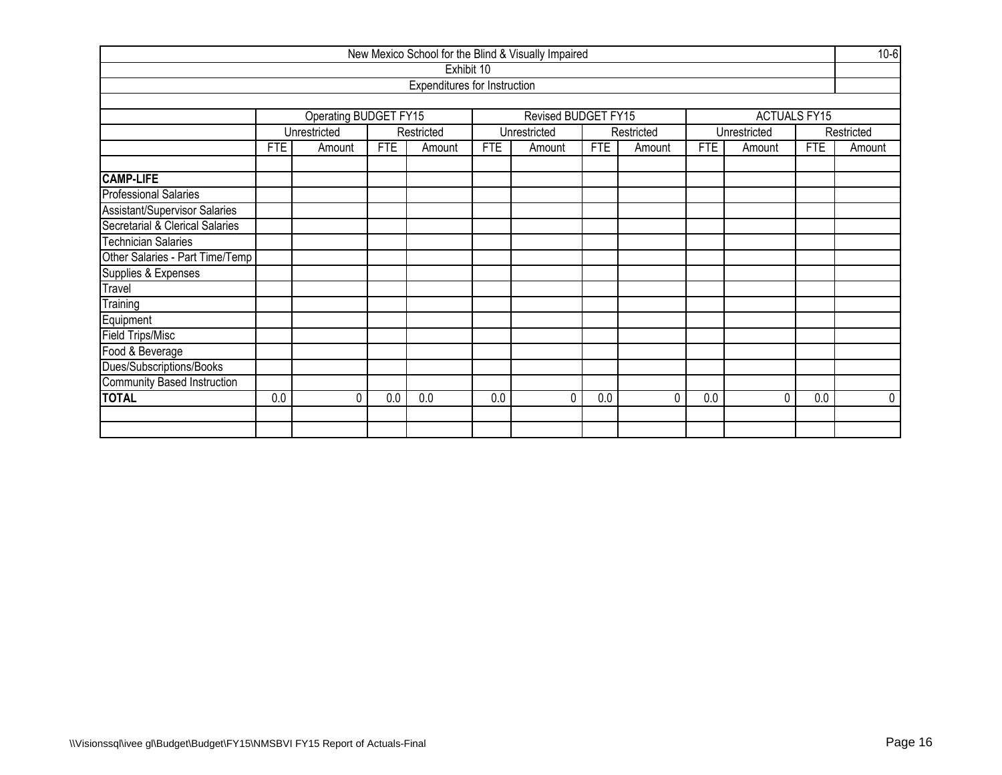| New Mexico School for the Blind & Visually Impaired |            |                       |            |                              |            |                     |            |            |            |                     |            |            |  |  |
|-----------------------------------------------------|------------|-----------------------|------------|------------------------------|------------|---------------------|------------|------------|------------|---------------------|------------|------------|--|--|
|                                                     |            |                       |            | Exhibit 10                   |            |                     |            |            |            |                     |            |            |  |  |
|                                                     |            |                       |            | Expenditures for Instruction |            |                     |            |            |            |                     |            |            |  |  |
|                                                     |            |                       |            |                              |            |                     |            |            |            |                     |            |            |  |  |
|                                                     |            | Operating BUDGET FY15 |            |                              |            | Revised BUDGET FY15 |            |            |            | <b>ACTUALS FY15</b> |            |            |  |  |
|                                                     |            | Unrestricted          |            | Restricted                   |            | Unrestricted        |            | Restricted |            | Unrestricted        |            | Restricted |  |  |
|                                                     | <b>FTE</b> | Amount                | <b>FTE</b> | Amount                       | <b>FTE</b> | Amount              | <b>FTE</b> | Amount     | <b>FTE</b> | Amount              | <b>FTE</b> | Amount     |  |  |
|                                                     |            |                       |            |                              |            |                     |            |            |            |                     |            |            |  |  |
| <b>CAMP-LIFE</b>                                    |            |                       |            |                              |            |                     |            |            |            |                     |            |            |  |  |
| <b>Professional Salaries</b>                        |            |                       |            |                              |            |                     |            |            |            |                     |            |            |  |  |
| Assistant/Supervisor Salaries                       |            |                       |            |                              |            |                     |            |            |            |                     |            |            |  |  |
| Secretarial & Clerical Salaries                     |            |                       |            |                              |            |                     |            |            |            |                     |            |            |  |  |
| <b>Technician Salaries</b>                          |            |                       |            |                              |            |                     |            |            |            |                     |            |            |  |  |
| Other Salaries - Part Time/Temp                     |            |                       |            |                              |            |                     |            |            |            |                     |            |            |  |  |
| Supplies & Expenses                                 |            |                       |            |                              |            |                     |            |            |            |                     |            |            |  |  |
| Travel                                              |            |                       |            |                              |            |                     |            |            |            |                     |            |            |  |  |
| Training                                            |            |                       |            |                              |            |                     |            |            |            |                     |            |            |  |  |
| Equipment                                           |            |                       |            |                              |            |                     |            |            |            |                     |            |            |  |  |
| <b>Field Trips/Misc</b>                             |            |                       |            |                              |            |                     |            |            |            |                     |            |            |  |  |
| Food & Beverage                                     |            |                       |            |                              |            |                     |            |            |            |                     |            |            |  |  |
| Dues/Subscriptions/Books                            |            |                       |            |                              |            |                     |            |            |            |                     |            |            |  |  |
| Community Based Instruction                         |            |                       |            |                              |            |                     |            |            |            |                     |            |            |  |  |
| <b>TOTAL</b>                                        | 0.0        | 0                     | 0.0        | 0.0                          | 0.0        | ſ                   | 0.0        | 0          | 0.0        | $\Omega$            | 0.0        | $\Omega$   |  |  |
|                                                     |            |                       |            |                              |            |                     |            |            |            |                     |            |            |  |  |
|                                                     |            |                       |            |                              |            |                     |            |            |            |                     |            |            |  |  |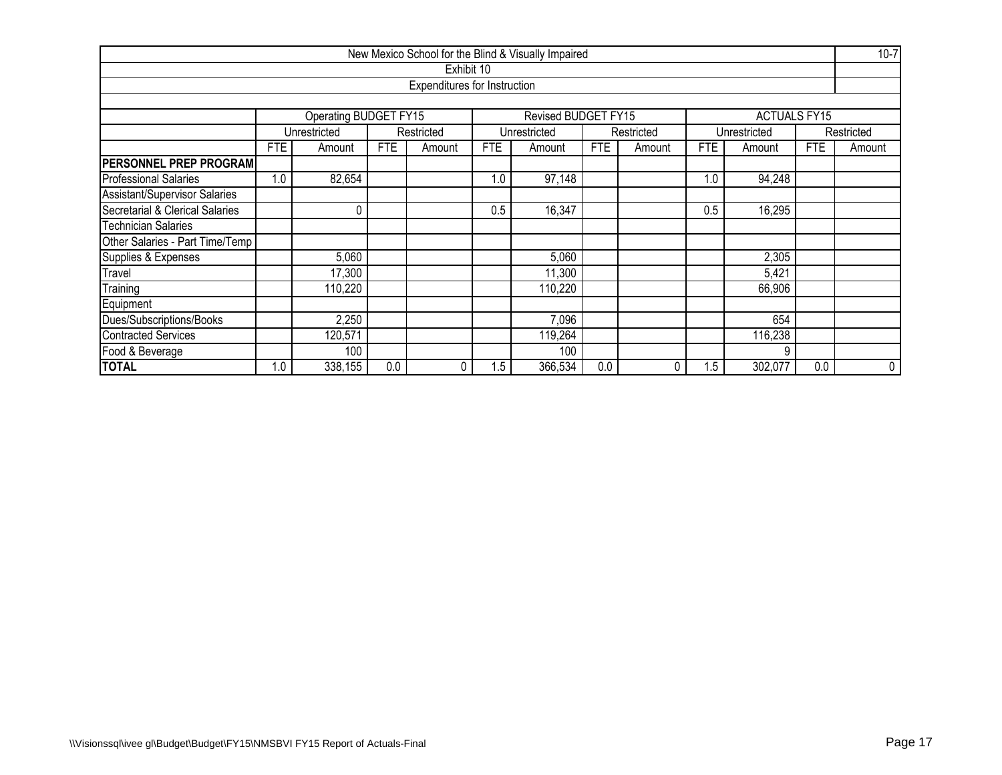|                                 |                               |                                     |            |                              |            | New Mexico School for the Blind & Visually Impaired |            |            |            |                     |            | $10 - 7$   |  |  |
|---------------------------------|-------------------------------|-------------------------------------|------------|------------------------------|------------|-----------------------------------------------------|------------|------------|------------|---------------------|------------|------------|--|--|
|                                 |                               |                                     |            | Exhibit 10                   |            |                                                     |            |            |            |                     |            |            |  |  |
|                                 |                               |                                     |            | Expenditures for Instruction |            |                                                     |            |            |            |                     |            |            |  |  |
|                                 |                               |                                     |            |                              |            |                                                     |            |            |            |                     |            |            |  |  |
|                                 |                               | Operating BUDGET FY15               |            |                              |            | Revised BUDGET FY15                                 |            |            |            | <b>ACTUALS FY15</b> |            |            |  |  |
|                                 |                               | Unrestricted                        |            | Restricted                   |            | Unrestricted                                        |            | Restricted |            | Unrestricted        |            | Restricted |  |  |
|                                 | <b>FTE</b>                    | Amount                              | <b>FTE</b> | Amount                       | <b>FTE</b> | Amount                                              | <b>FTE</b> | Amount     | <b>FTE</b> | Amount              | <b>FTE</b> | Amount     |  |  |
| <b>PERSONNEL PREP PROGRAM</b>   |                               |                                     |            |                              |            |                                                     |            |            |            |                     |            |            |  |  |
| <b>Professional Salaries</b>    | 1.0                           | 82,654                              |            |                              |            | 1.0                                                 | 94,248     |            |            |                     |            |            |  |  |
| Assistant/Supervisor Salaries   |                               |                                     |            |                              |            |                                                     |            |            |            |                     |            |            |  |  |
| Secretarial & Clerical Salaries |                               | 16,347<br>0.5<br>16,295<br>0<br>0.5 |            |                              |            |                                                     |            |            |            |                     |            |            |  |  |
| <b>Technician Salaries</b>      |                               |                                     |            |                              |            |                                                     |            |            |            |                     |            |            |  |  |
| Other Salaries - Part Time/Temp |                               |                                     |            |                              |            |                                                     |            |            |            |                     |            |            |  |  |
| Supplies & Expenses             |                               | 5,060                               |            |                              |            | 5,060                                               |            |            |            | 2,305               |            |            |  |  |
| Travel                          |                               | 17,300                              |            |                              |            | 11,300                                              |            |            |            | 5,421               |            |            |  |  |
| Training                        |                               | 110,220                             |            |                              |            | 110,220                                             |            |            |            | 66,906              |            |            |  |  |
| Equipment                       |                               |                                     |            |                              |            |                                                     |            |            |            |                     |            |            |  |  |
| Dues/Subscriptions/Books        | 7,096<br>654<br>2,250         |                                     |            |                              |            |                                                     |            |            |            |                     |            |            |  |  |
| <b>Contracted Services</b>      | 119,264<br>116,238<br>120,571 |                                     |            |                              |            |                                                     |            |            |            |                     |            |            |  |  |
| Food & Beverage                 |                               | 100<br>100                          |            |                              |            |                                                     |            |            |            |                     |            |            |  |  |
| <b>TOTAL</b>                    | 1.0                           | 338,155                             | 0.0        |                              | 1.5        | 366,534                                             | 0.0        |            | 1.5        | 302,077             | 0.0        | 0          |  |  |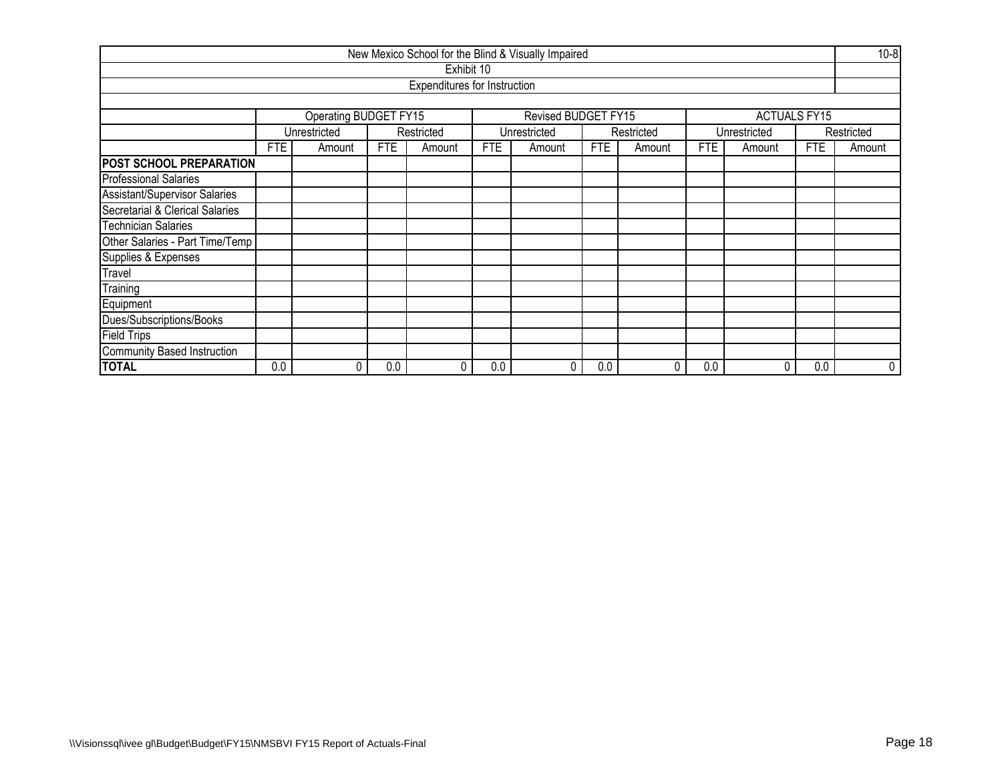|                                      |            |                       |            |                              |            | New Mexico School for the Blind & Visually Impaired |     |            |            |                     |            | $10 - 8$   |  |  |
|--------------------------------------|------------|-----------------------|------------|------------------------------|------------|-----------------------------------------------------|-----|------------|------------|---------------------|------------|------------|--|--|
|                                      |            |                       |            | Exhibit 10                   |            |                                                     |     |            |            |                     |            |            |  |  |
|                                      |            |                       |            | Expenditures for Instruction |            |                                                     |     |            |            |                     |            |            |  |  |
|                                      |            |                       |            |                              |            |                                                     |     |            |            |                     |            |            |  |  |
|                                      |            | Operating BUDGET FY15 |            |                              |            | Revised BUDGET FY15                                 |     |            |            | <b>ACTUALS FY15</b> |            |            |  |  |
|                                      |            | Unrestricted          |            | Restricted                   |            | Unrestricted                                        |     | Restricted |            | Unrestricted        |            | Restricted |  |  |
|                                      | <b>FTE</b> | Amount                | <b>FTE</b> | Amount                       | <b>FTE</b> | Amount                                              | FTE | Amount     | <b>FTE</b> | Amount              | <b>FTE</b> | Amount     |  |  |
| POST SCHOOL PREPARATION              |            |                       |            |                              |            |                                                     |     |            |            |                     |            |            |  |  |
| <b>Professional Salaries</b>         |            |                       |            |                              |            |                                                     |     |            |            |                     |            |            |  |  |
| <b>Assistant/Supervisor Salaries</b> |            |                       |            |                              |            |                                                     |     |            |            |                     |            |            |  |  |
| Secretarial & Clerical Salaries      |            |                       |            |                              |            |                                                     |     |            |            |                     |            |            |  |  |
| <b>Technician Salaries</b>           |            |                       |            |                              |            |                                                     |     |            |            |                     |            |            |  |  |
| Other Salaries - Part Time/Temp      |            |                       |            |                              |            |                                                     |     |            |            |                     |            |            |  |  |
| Supplies & Expenses                  |            |                       |            |                              |            |                                                     |     |            |            |                     |            |            |  |  |
| Travel                               |            |                       |            |                              |            |                                                     |     |            |            |                     |            |            |  |  |
| Training                             |            |                       |            |                              |            |                                                     |     |            |            |                     |            |            |  |  |
| Equipment                            |            |                       |            |                              |            |                                                     |     |            |            |                     |            |            |  |  |
| Dues/Subscriptions/Books             |            |                       |            |                              |            |                                                     |     |            |            |                     |            |            |  |  |
| <b>Field Trips</b>                   |            |                       |            |                              |            |                                                     |     |            |            |                     |            |            |  |  |
| Community Based Instruction          |            |                       |            |                              |            |                                                     |     |            |            |                     |            |            |  |  |
| <b>TOTAL</b>                         | 0.0        | 0                     | 0.0        | 0                            | 0.0        | 0                                                   | 0.0 | 0          | 0.0        | 0                   | 0.0        | 0          |  |  |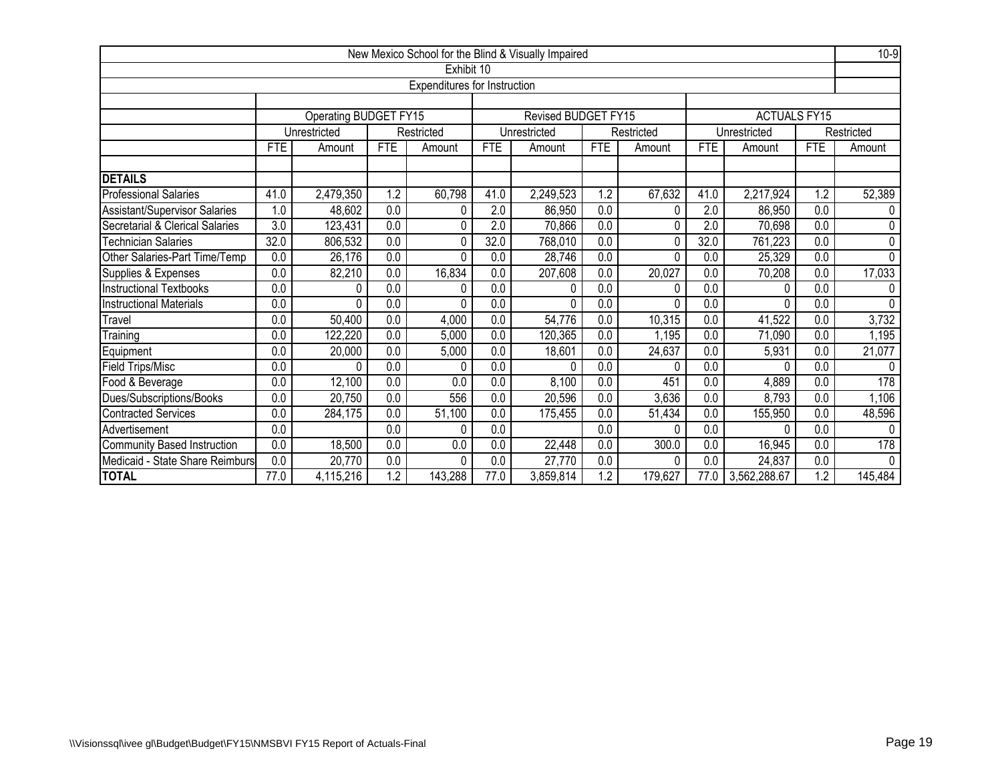|                                    |                  |                       |                  |                              |                  | New Mexico School for the Blind & Visually Impaired |            |              |                  |                     |            | $10-9$       |
|------------------------------------|------------------|-----------------------|------------------|------------------------------|------------------|-----------------------------------------------------|------------|--------------|------------------|---------------------|------------|--------------|
|                                    |                  |                       |                  | Exhibit 10                   |                  |                                                     |            |              |                  |                     |            |              |
|                                    |                  |                       |                  | Expenditures for Instruction |                  |                                                     |            |              |                  |                     |            |              |
|                                    |                  |                       |                  |                              |                  |                                                     |            |              |                  |                     |            |              |
|                                    |                  | Operating BUDGET FY15 |                  |                              |                  | <b>Revised BUDGET FY15</b>                          |            |              |                  | <b>ACTUALS FY15</b> |            |              |
|                                    |                  | Unrestricted          |                  | Restricted                   |                  | Unrestricted                                        |            | Restricted   |                  | Unrestricted        |            | Restricted   |
|                                    | <b>FTE</b>       | Amount                | <b>FTE</b>       | Amount                       | <b>FTE</b>       | Amount                                              | <b>FTE</b> | Amount       | <b>FTE</b>       | Amount              | <b>FTE</b> | Amount       |
| <b>DETAILS</b>                     |                  |                       |                  |                              |                  |                                                     |            |              |                  |                     |            |              |
| <b>Professional Salaries</b>       | 41.0             | 2,479,350             | 1.2              | 60,798                       | 41.0             | 2,249,523                                           | 1.2        | 67,632       | 41.0             | 2,217,924           | 1.2        | 52,389       |
| Assistant/Supervisor Salaries      | .0               | 48,602                | 0.0              | 0                            | 2.0              | 86,950                                              | 0.0        | 0            | 2.0              | 86,950              | 0.0        | 0            |
| Secretarial & Clerical Salaries    | $\overline{3.0}$ | 123,431               | 0.0              | 0                            | 2.0              | 70,866                                              | 0.0        | $\Omega$     | 2.0              | 70,698              | 0.0        | $\Omega$     |
| <b>Technician Salaries</b>         | 32.0             | 806,532               | 0.0              | 0                            | 32.0             | 768,010                                             | 0.0        | 0            | 32.0             | 761,223             | 0.0        | $\mathbf{0}$ |
| Other Salaries-Part Time/Temp      | $\overline{0.0}$ | 26,176                | 0.0              | 0                            | 0.0              | 28,746                                              | 0.0        | $\Omega$     | 0.0              | 25,329              | 0.0        | $\mathbf{0}$ |
| Supplies & Expenses                | 0.0              | 82,210                | $\overline{0.0}$ | 16,834                       | 0.0              | 207,608                                             | 0.0        | 20,027       | 0.0              | 70,208              | 0.0        | 17,033       |
| <b>Instructional Textbooks</b>     | 0.0              | 0                     | $\overline{0.0}$ | 0                            | 0.0              | 0                                                   | 0.0        | <sup>0</sup> | 0.0              | 0                   | 0.0        |              |
| <b>Instructional Materials</b>     | $\overline{0.0}$ | 0                     | $\overline{0.0}$ | 0                            | $\overline{0.0}$ | 0                                                   | 0.0        | $\Omega$     | $\overline{0.0}$ | 0                   | 0.0        | $\Omega$     |
| Travel                             | 0.0              | 50,400                | $\overline{0.0}$ | 4,000                        | $\overline{0.0}$ | 54,776                                              | 0.0        | 10,315       | $\overline{0.0}$ | 41,522              | 0.0        | 3,732        |
| Training                           | 0.0              | 122,220               | $\overline{0.0}$ | 5,000                        | 0.0              | 120,365                                             | 0.0        | 1,195        | 0.0              | 71,090              | 0.0        | 1,195        |
| Equipment                          | 0.0              | 20,000                | $\overline{0.0}$ | 5,000                        | 0.0              | 18,601                                              | 0.0        | 24,637       | 0.0              | 5,931               | 0.0        | 21,077       |
| <b>Field Trips/Misc</b>            | 0.0              | 0                     | 0.0              | 0                            | 0.0              | 0                                                   | 0.0        | 0            | 0.0              | 0                   | 0.0        | $\Omega$     |
| Food & Beverage                    | 0.0              | 12,100                | 0.0              | 0.0                          | 0.0              | 8,100                                               | 0.0        | 451          | 0.0              | 4,889               | 0.0        | 178          |
| Dues/Subscriptions/Books           | 0.0              | 20,750                | 0.0              | 556                          | 0.0              | 20,596                                              | 0.0        | 3,636        | 0.0              | 8,793               | 0.0        | 1,106        |
| Contracted Services                | 0.0              | 284,175               | 0.0              | 51,100                       | 0.0              | 175,455                                             | 0.0        | 51,434       | 0.0              | 155,950             | 0.0        | 48,596       |
| Advertisement                      | $\overline{0.0}$ |                       | 0.0              | 0                            | 0.0              |                                                     | 0.0        | <sup>0</sup> | 0.0              | 0                   | 0.0        | $\Omega$     |
| <b>Community Based Instruction</b> | 0.0              | 18,500                | 0.0              | 0.0                          | 0.0              | 22,448                                              | 0.0        | 300.0        | 0.0              | 16,945              | 0.0        | 178          |
| Medicaid - State Share Reimburs    | $\overline{0.0}$ | 20,770                | 0.0              | 0                            | 0.0              | 27,770                                              | 0.0        | 0            | 0.0              | 24,837              | 0.0        | $\Omega$     |
| <b>TOTAL</b>                       | 77.0             | 4,115,216             | 1.2              | 143,288                      | 77.0             | 3,859,814                                           | 1.2        | 179,627      | 77.0             | 3,562,288.67        | 1.2        | 145,484      |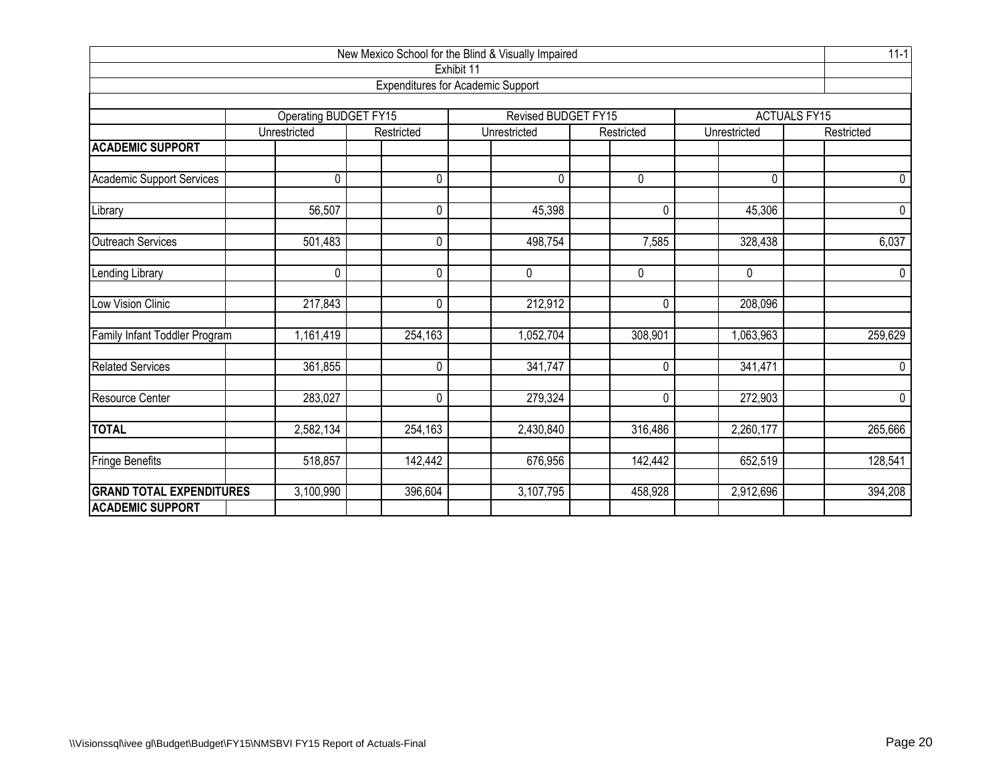|                                  |                                       |                |                                          |                | New Mexico School for the Blind & Visually Impaired |                     |  |  |  |  |  |  |  |  |  |  |  |  |
|----------------------------------|---------------------------------------|----------------|------------------------------------------|----------------|-----------------------------------------------------|---------------------|--|--|--|--|--|--|--|--|--|--|--|--|
|                                  |                                       |                | Exhibit 11                               |                |                                                     |                     |  |  |  |  |  |  |  |  |  |  |  |  |
|                                  |                                       |                | <b>Expenditures for Academic Support</b> |                |                                                     |                     |  |  |  |  |  |  |  |  |  |  |  |  |
|                                  |                                       |                | Revised BUDGET FY15                      |                |                                                     | <b>ACTUALS FY15</b> |  |  |  |  |  |  |  |  |  |  |  |  |
|                                  | Operating BUDGET FY15<br>Unrestricted | Restricted     | Unrestricted                             | Restricted     | Unrestricted                                        | Restricted          |  |  |  |  |  |  |  |  |  |  |  |  |
| <b>ACADEMIC SUPPORT</b>          |                                       |                |                                          |                |                                                     |                     |  |  |  |  |  |  |  |  |  |  |  |  |
| <b>Academic Support Services</b> | 0                                     | 0              | $\Omega$                                 | 0              | $\mathbf 0$                                         | 0                   |  |  |  |  |  |  |  |  |  |  |  |  |
|                                  |                                       |                |                                          |                |                                                     |                     |  |  |  |  |  |  |  |  |  |  |  |  |
| Library                          | 56,507                                | 0              | 45,398                                   | 0              | 45,306                                              | $\mathbf 0$         |  |  |  |  |  |  |  |  |  |  |  |  |
| Outreach Services                | 501,483                               | 0              | 498,754                                  | 7,585          | 328,438                                             | 6,037               |  |  |  |  |  |  |  |  |  |  |  |  |
| Lending Library                  | 0                                     | 0              | 0                                        | 0              | 0                                                   | $\overline{0}$      |  |  |  |  |  |  |  |  |  |  |  |  |
| Low Vision Clinic                | 217,843                               | $\overline{0}$ | 212,912                                  | $\overline{0}$ | 208,096                                             |                     |  |  |  |  |  |  |  |  |  |  |  |  |
| Family Infant Toddler Program    | 1,161,419                             | 254,163        | 1,052,704                                | 308,901        | 1,063,963                                           | 259,629             |  |  |  |  |  |  |  |  |  |  |  |  |
| <b>Related Services</b>          | 361,855                               | $\mathbf 0$    | 341,747                                  | $\pmb{0}$      | 341,471                                             | $\pmb{0}$           |  |  |  |  |  |  |  |  |  |  |  |  |
| Resource Center                  | 283,027                               | 0              | 279,324                                  | $\pmb{0}$      | 272,903                                             | $\overline{0}$      |  |  |  |  |  |  |  |  |  |  |  |  |
| <b>TOTAL</b>                     | 2,582,134                             | 254,163        | 2,430,840                                | 316,486        | 2,260,177                                           | 265,666             |  |  |  |  |  |  |  |  |  |  |  |  |
| Fringe Benefits                  | 518,857                               | 142,442        | 676,956                                  | 142,442        | 652,519                                             | 128,541             |  |  |  |  |  |  |  |  |  |  |  |  |
| <b>GRAND TOTAL EXPENDITURES</b>  | 3,100,990                             | 396,604        | 3,107,795                                | 458,928        | 2,912,696                                           | 394,208             |  |  |  |  |  |  |  |  |  |  |  |  |
| <b>ACADEMIC SUPPORT</b>          |                                       |                |                                          |                |                                                     |                     |  |  |  |  |  |  |  |  |  |  |  |  |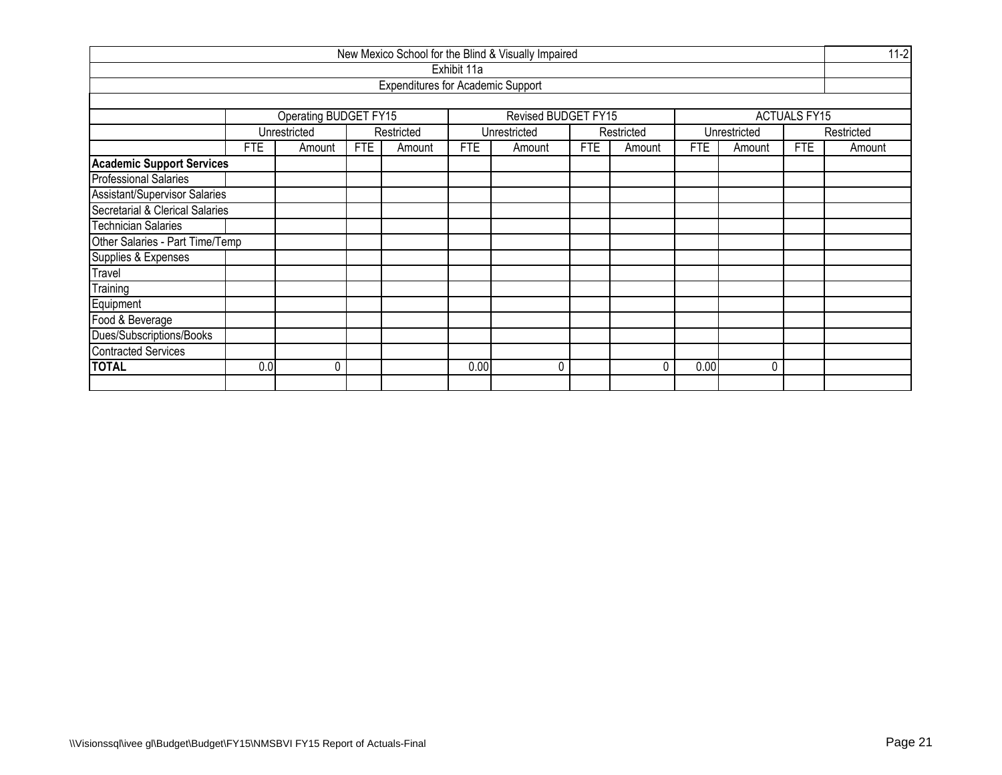|                                  |     |                                                    |     |                                          |             | New Mexico School for the Blind & Visually Impaired |            |            |            |              |                     | $11-2$     |  |
|----------------------------------|-----|----------------------------------------------------|-----|------------------------------------------|-------------|-----------------------------------------------------|------------|------------|------------|--------------|---------------------|------------|--|
|                                  |     |                                                    |     |                                          | Exhibit 11a |                                                     |            |            |            |              |                     |            |  |
|                                  |     |                                                    |     | <b>Expenditures for Academic Support</b> |             |                                                     |            |            |            |              |                     |            |  |
|                                  |     |                                                    |     |                                          |             |                                                     |            |            |            |              |                     |            |  |
|                                  |     | Operating BUDGET FY15                              |     |                                          |             | Revised BUDGET FY15                                 |            |            |            |              | <b>ACTUALS FY15</b> |            |  |
|                                  |     | Unrestricted                                       |     | Restricted                               |             | Unrestricted                                        |            | Restricted |            | Unrestricted |                     | Restricted |  |
|                                  | FTE | Amount                                             | FTE | Amount                                   | <b>FTE</b>  | Amount                                              | <b>FTE</b> | Amount     | <b>FTE</b> | Amount       | FTE                 | Amount     |  |
| <b>Academic Support Services</b> |     |                                                    |     |                                          |             |                                                     |            |            |            |              |                     |            |  |
| <b>Professional Salaries</b>     |     |                                                    |     |                                          |             |                                                     |            |            |            |              |                     |            |  |
| Assistant/Supervisor Salaries    |     |                                                    |     |                                          |             |                                                     |            |            |            |              |                     |            |  |
| Secretarial & Clerical Salaries  |     |                                                    |     |                                          |             |                                                     |            |            |            |              |                     |            |  |
| <b>Technician Salaries</b>       |     |                                                    |     |                                          |             |                                                     |            |            |            |              |                     |            |  |
| Other Salaries - Part Time/Temp  |     |                                                    |     |                                          |             |                                                     |            |            |            |              |                     |            |  |
| Supplies & Expenses              |     |                                                    |     |                                          |             |                                                     |            |            |            |              |                     |            |  |
| Travel                           |     |                                                    |     |                                          |             |                                                     |            |            |            |              |                     |            |  |
| <b>Training</b>                  |     |                                                    |     |                                          |             |                                                     |            |            |            |              |                     |            |  |
| Equipment                        |     |                                                    |     |                                          |             |                                                     |            |            |            |              |                     |            |  |
| Food & Beverage                  |     |                                                    |     |                                          |             |                                                     |            |            |            |              |                     |            |  |
| Dues/Subscriptions/Books         |     |                                                    |     |                                          |             |                                                     |            |            |            |              |                     |            |  |
| <b>Contracted Services</b>       |     |                                                    |     |                                          |             |                                                     |            |            |            |              |                     |            |  |
| <b>TOTAL</b>                     |     | 0.00<br>0.0<br>0<br>0<br>0.00<br>$\mathbf{0}$<br>N |     |                                          |             |                                                     |            |            |            |              |                     |            |  |
|                                  |     |                                                    |     |                                          |             |                                                     |            |            |            |              |                     |            |  |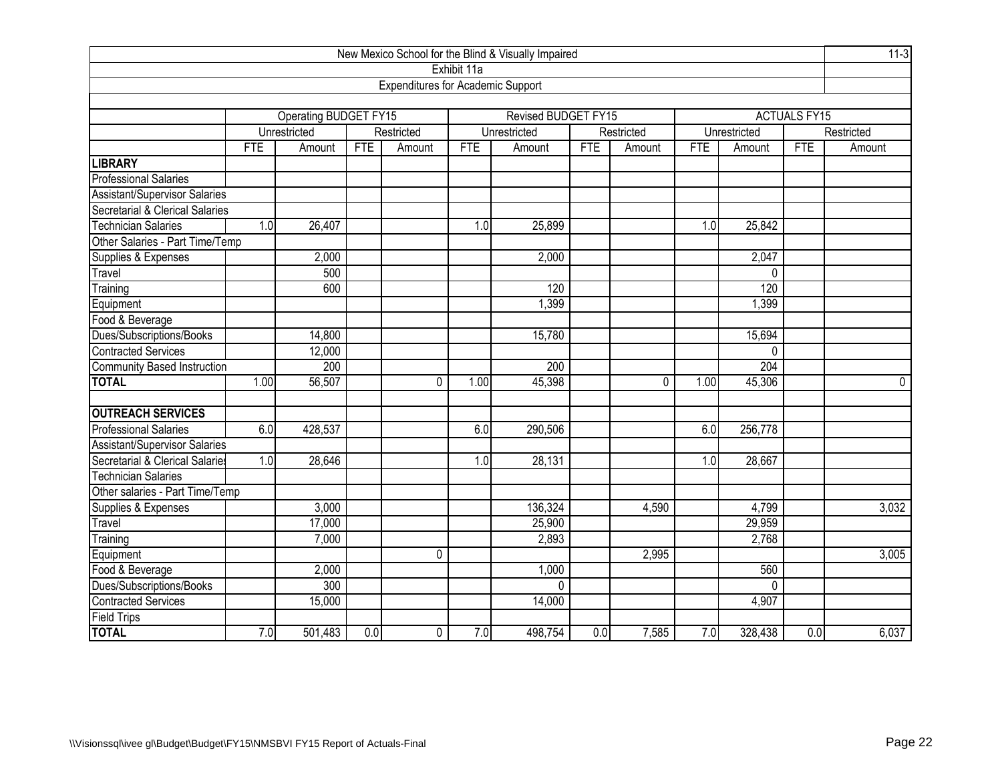|                                      |                   |                       |     |                                          |             | New Mexico School for the Blind & Visually Impaired |            |            |            |                  |                     | $11-3$     |
|--------------------------------------|-------------------|-----------------------|-----|------------------------------------------|-------------|-----------------------------------------------------|------------|------------|------------|------------------|---------------------|------------|
|                                      |                   |                       |     |                                          | Exhibit 11a |                                                     |            |            |            |                  |                     |            |
|                                      |                   |                       |     | <b>Expenditures for Academic Support</b> |             |                                                     |            |            |            |                  |                     |            |
|                                      |                   |                       |     |                                          |             |                                                     |            |            |            |                  |                     |            |
|                                      |                   | Operating BUDGET FY15 |     |                                          |             | Revised BUDGET FY15                                 |            |            |            |                  | <b>ACTUALS FY15</b> |            |
|                                      |                   | Unrestricted          |     | Restricted                               |             | Unrestricted                                        |            | Restricted |            | Unrestricted     |                     | Restricted |
|                                      | <b>FTE</b>        | Amount                | FTE | Amount                                   | <b>FTE</b>  | Amount                                              | <b>FTE</b> | Amount     | <b>FTE</b> | Amount           | <b>FTE</b>          | Amount     |
| <b>LIBRARY</b>                       |                   |                       |     |                                          |             |                                                     |            |            |            |                  |                     |            |
| <b>Professional Salaries</b>         |                   |                       |     |                                          |             |                                                     |            |            |            |                  |                     |            |
| <b>Assistant/Supervisor Salaries</b> |                   |                       |     |                                          |             |                                                     |            |            |            |                  |                     |            |
| Secretarial & Clerical Salaries      |                   |                       |     |                                          |             |                                                     |            |            |            |                  |                     |            |
| <b>Technician Salaries</b>           | 1.0               | 26,407                |     |                                          | 1.0         | 25,899                                              |            |            | 1.0        | 25,842           |                     |            |
| Other Salaries - Part Time/Temp      |                   |                       |     |                                          |             |                                                     |            |            |            |                  |                     |            |
| Supplies & Expenses                  |                   | 2,000                 |     |                                          |             | 2,000                                               |            |            |            | 2,047            |                     |            |
| Travel                               |                   | 500                   |     |                                          |             |                                                     |            |            |            | 0                |                     |            |
| Training                             | 120<br>120<br>600 |                       |     |                                          |             |                                                     |            |            |            |                  |                     |            |
| Equipment                            | 1,399<br>1,399    |                       |     |                                          |             |                                                     |            |            |            |                  |                     |            |
| Food & Beverage                      |                   |                       |     |                                          |             |                                                     |            |            |            |                  |                     |            |
| Dues/Subscriptions/Books             |                   | 14,800                |     |                                          |             | 15,780                                              |            |            |            | 15,694           |                     |            |
| <b>Contracted Services</b>           |                   | 12,000                |     |                                          |             |                                                     |            |            |            | $\Omega$         |                     |            |
| Community Based Instruction          |                   | 200                   |     |                                          |             | 200                                                 |            |            |            | $\overline{204}$ |                     |            |
| <b>TOTAL</b>                         | 1.00              | 56,507                |     | $\Omega$                                 | 1.00        | 45,398                                              |            | 0          | 1.00       | 45,306           |                     | $\pmb{0}$  |
| <b>OUTREACH SERVICES</b>             |                   |                       |     |                                          |             |                                                     |            |            |            |                  |                     |            |
| <b>Professional Salaries</b>         | 6.0               | 428,537               |     |                                          | 6.0         | 290,506                                             |            |            | 6.0        | 256,778          |                     |            |
| Assistant/Supervisor Salaries        |                   |                       |     |                                          |             |                                                     |            |            |            |                  |                     |            |
| Secretarial & Clerical Salaries      | 1.0               | 28,646                |     |                                          | 1.0         | 28,131                                              |            |            | 1.0        | 28,667           |                     |            |
| <b>Technician Salaries</b>           |                   |                       |     |                                          |             |                                                     |            |            |            |                  |                     |            |
| Other salaries - Part Time/Temp      |                   |                       |     |                                          |             |                                                     |            |            |            |                  |                     |            |
| Supplies & Expenses                  |                   | 3,000                 |     |                                          |             | 136,324                                             |            | 4,590      |            | 4,799            |                     | 3,032      |
| Travel                               |                   | 17,000                |     |                                          |             | 25,900                                              |            |            |            | 29,959           |                     |            |
| Training                             |                   | 7,000                 |     |                                          |             | 2,893                                               |            |            |            | 2,768            |                     |            |
| Equipment                            |                   |                       |     | $\mathbf 0$                              |             |                                                     |            | 2,995      |            |                  |                     | 3,005      |
| Food & Beverage                      |                   | 2,000                 |     |                                          |             | 1,000                                               |            |            |            | 560              |                     |            |
| Dues/Subscriptions/Books             |                   | 300                   |     |                                          |             | $\Omega$                                            |            |            |            | $\Omega$         |                     |            |
| <b>Contracted Services</b>           |                   | 15,000                |     |                                          |             | 14,000                                              |            |            |            | 4,907            |                     |            |
| Field Trips                          |                   |                       |     |                                          |             |                                                     |            |            |            |                  |                     |            |
| <b>TOTAL</b>                         | 7.0               | 501,483               | 0.0 | 0                                        | 7.0         | 498,754                                             | 0.0        | 7,585      | 7.0        | 328,438          | 0.0                 | 6,037      |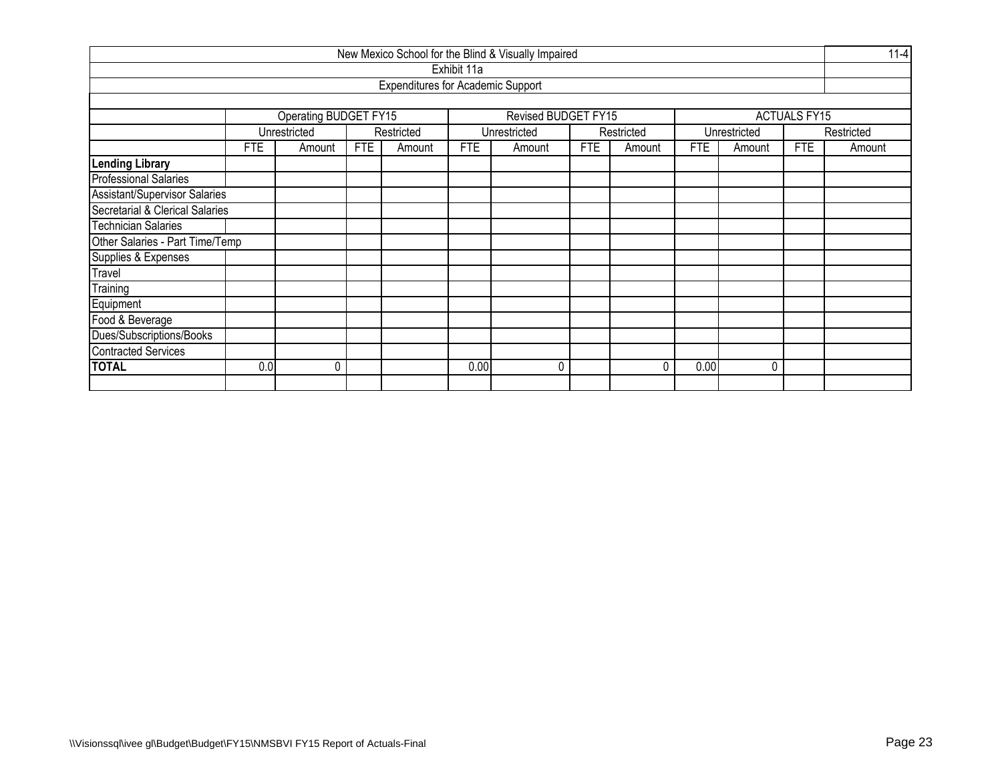|                                 |                                                                             |                                                    |  |                                          |             | New Mexico School for the Blind & Visually Impaired |  |            |            |              |                     | $11 - 4$   |  |  |
|---------------------------------|-----------------------------------------------------------------------------|----------------------------------------------------|--|------------------------------------------|-------------|-----------------------------------------------------|--|------------|------------|--------------|---------------------|------------|--|--|
|                                 |                                                                             |                                                    |  |                                          | Exhibit 11a |                                                     |  |            |            |              |                     |            |  |  |
|                                 |                                                                             |                                                    |  | <b>Expenditures for Academic Support</b> |             |                                                     |  |            |            |              |                     |            |  |  |
|                                 |                                                                             |                                                    |  |                                          |             |                                                     |  |            |            |              |                     |            |  |  |
|                                 |                                                                             | Operating BUDGET FY15                              |  |                                          |             | Revised BUDGET FY15                                 |  |            |            |              | <b>ACTUALS FY15</b> |            |  |  |
|                                 |                                                                             | Unrestricted                                       |  | Restricted                               |             | Unrestricted                                        |  | Restricted |            | Unrestricted |                     | Restricted |  |  |
|                                 | <b>FTE</b><br><b>FTE</b><br><b>FTE</b><br>FTE<br>Amount<br>Amount<br>Amount |                                                    |  |                                          |             |                                                     |  | Amount     | <b>FTE</b> | Amount       | <b>FTE</b>          | Amount     |  |  |
| <b>Lending Library</b>          |                                                                             |                                                    |  |                                          |             |                                                     |  |            |            |              |                     |            |  |  |
| <b>Professional Salaries</b>    |                                                                             |                                                    |  |                                          |             |                                                     |  |            |            |              |                     |            |  |  |
| Assistant/Supervisor Salaries   |                                                                             |                                                    |  |                                          |             |                                                     |  |            |            |              |                     |            |  |  |
| Secretarial & Clerical Salaries |                                                                             |                                                    |  |                                          |             |                                                     |  |            |            |              |                     |            |  |  |
| <b>Technician Salaries</b>      |                                                                             |                                                    |  |                                          |             |                                                     |  |            |            |              |                     |            |  |  |
| Other Salaries - Part Time/Temp |                                                                             |                                                    |  |                                          |             |                                                     |  |            |            |              |                     |            |  |  |
| Supplies & Expenses             |                                                                             |                                                    |  |                                          |             |                                                     |  |            |            |              |                     |            |  |  |
| Travel                          |                                                                             |                                                    |  |                                          |             |                                                     |  |            |            |              |                     |            |  |  |
| Training                        |                                                                             |                                                    |  |                                          |             |                                                     |  |            |            |              |                     |            |  |  |
| Equipment                       |                                                                             |                                                    |  |                                          |             |                                                     |  |            |            |              |                     |            |  |  |
| Food & Beverage                 |                                                                             |                                                    |  |                                          |             |                                                     |  |            |            |              |                     |            |  |  |
| Dues/Subscriptions/Books        |                                                                             |                                                    |  |                                          |             |                                                     |  |            |            |              |                     |            |  |  |
| <b>Contracted Services</b>      |                                                                             |                                                    |  |                                          |             |                                                     |  |            |            |              |                     |            |  |  |
| <b>TOTAL</b>                    |                                                                             | 0.00<br>0.0<br>0<br>0<br>0.00<br>$\mathbf{0}$<br>N |  |                                          |             |                                                     |  |            |            |              |                     |            |  |  |
|                                 |                                                                             |                                                    |  |                                          |             |                                                     |  |            |            |              |                     |            |  |  |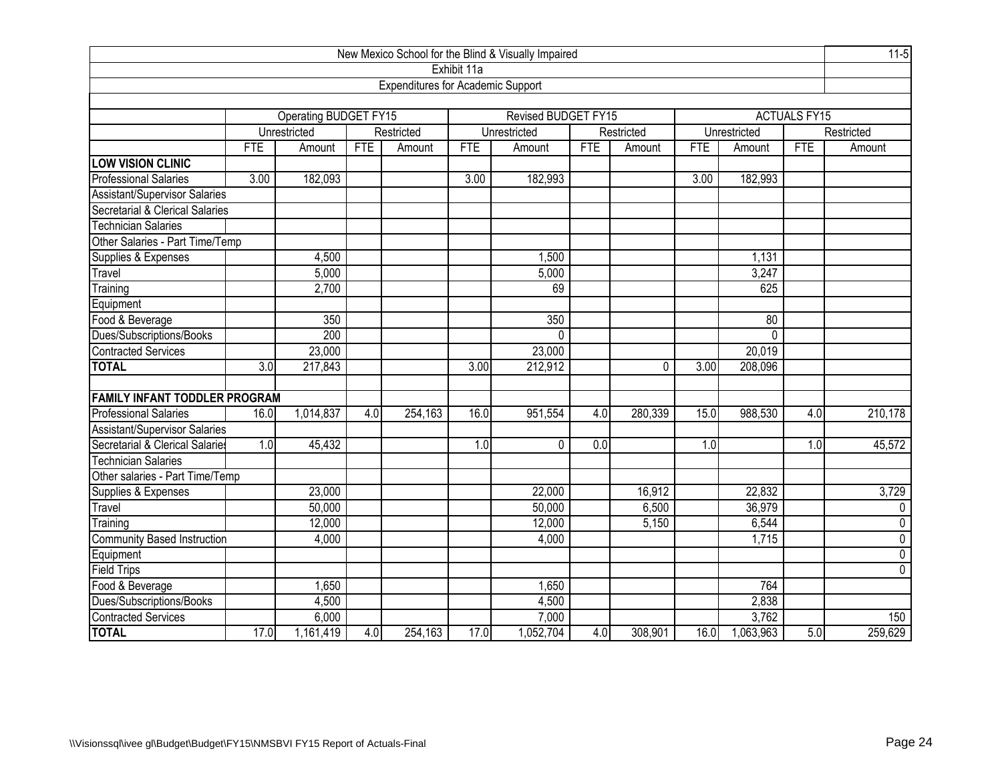| New Mexico School for the Blind & Visually Impaired |            |                              |     |                                          |             |                            |            |            |            |                 |                     |                |  |
|-----------------------------------------------------|------------|------------------------------|-----|------------------------------------------|-------------|----------------------------|------------|------------|------------|-----------------|---------------------|----------------|--|
|                                                     |            |                              |     |                                          | Exhibit 11a |                            |            |            |            |                 |                     |                |  |
|                                                     |            |                              |     | <b>Expenditures for Academic Support</b> |             |                            |            |            |            |                 |                     |                |  |
|                                                     |            |                              |     |                                          |             |                            |            |            |            |                 |                     |                |  |
|                                                     |            | <b>Operating BUDGET FY15</b> |     |                                          |             | <b>Revised BUDGET FY15</b> |            |            |            |                 | <b>ACTUALS FY15</b> |                |  |
|                                                     |            | Unrestricted                 |     | Restricted                               |             | Unrestricted               |            | Restricted |            | Unrestricted    |                     | Restricted     |  |
|                                                     | <b>FTE</b> | Amount                       | FTE | Amount                                   | FTE         | Amount                     | <b>FTE</b> | Amount     | <b>FTE</b> | Amount          | <b>FTE</b>          | Amount         |  |
| <b>LOW VISION CLINIC</b>                            |            |                              |     |                                          |             |                            |            |            |            |                 |                     |                |  |
| <b>Professional Salaries</b>                        | 3.00       | 182,093                      |     |                                          | 3.00        | 182,993                    |            |            | 3.00       | 182,993         |                     |                |  |
| Assistant/Supervisor Salaries                       |            |                              |     |                                          |             |                            |            |            |            |                 |                     |                |  |
| Secretarial & Clerical Salaries                     |            |                              |     |                                          |             |                            |            |            |            |                 |                     |                |  |
| <b>Technician Salaries</b>                          |            |                              |     |                                          |             |                            |            |            |            |                 |                     |                |  |
| Other Salaries - Part Time/Temp                     |            |                              |     |                                          |             |                            |            |            |            |                 |                     |                |  |
| Supplies & Expenses                                 |            | 4,500                        |     |                                          |             | 1,500                      |            |            |            | 1,131           |                     |                |  |
| Travel                                              |            | 5,000                        |     |                                          |             | 5,000                      |            |            |            | 3,247           |                     |                |  |
| Training                                            |            | 2,700                        |     |                                          |             | 69                         |            |            |            | 625             |                     |                |  |
| Equipment                                           |            |                              |     |                                          |             |                            |            |            |            |                 |                     |                |  |
| Food & Beverage                                     |            | 350                          |     |                                          |             | 350                        |            |            |            | $\overline{80}$ |                     |                |  |
| Dues/Subscriptions/Books                            |            | 200                          |     |                                          |             | $\mathbf{0}$               |            |            |            | 0               |                     |                |  |
| <b>Contracted Services</b>                          |            | 23,000                       |     |                                          |             | 23,000                     |            |            |            | 20,019          |                     |                |  |
| <b>TOTAL</b>                                        | 3.0        | 217,843                      |     |                                          | 3.00        | 212,912                    |            | 0          | 3.00       | 208,096         |                     |                |  |
|                                                     |            |                              |     |                                          |             |                            |            |            |            |                 |                     |                |  |
| <b>FAMILY INFANT TODDLER PROGRAM</b>                |            |                              |     |                                          |             |                            |            |            |            |                 |                     |                |  |
| <b>Professional Salaries</b>                        | 16.0       | 1,014,837                    | 4.0 | 254,163                                  | 16.0        | 951,554                    | 4.0        | 280,339    | 15.0       | 988,530         | 4.0                 | 210,178        |  |
| Assistant/Supervisor Salaries                       |            |                              |     |                                          |             |                            |            |            |            |                 |                     |                |  |
| Secretarial & Clerical Salaries                     | 1.0        | 45,432                       |     |                                          | 1.0         | 0                          | 0.0        |            | 1.0        |                 | 1.0                 | 45,572         |  |
| <b>Technician Salaries</b>                          |            |                              |     |                                          |             |                            |            |            |            |                 |                     |                |  |
| Other salaries - Part Time/Temp                     |            |                              |     |                                          |             |                            |            |            |            |                 |                     |                |  |
| Supplies & Expenses                                 |            | 23,000                       |     |                                          |             | 22,000                     |            | 16,912     |            | 22,832          |                     | 3,729          |  |
| Travel                                              |            | 50,000                       |     |                                          |             | 50,000                     |            | 6,500      |            | 36,979          |                     | 0              |  |
| Training                                            |            | 12,000                       |     |                                          |             | 12,000                     |            | 5,150      |            | 6,544           |                     | $\pmb{0}$      |  |
| <b>Community Based Instruction</b>                  |            | 4,000                        |     |                                          |             | 4,000                      |            |            |            | 1,715           |                     | $\overline{0}$ |  |
| Equipment                                           |            |                              |     |                                          |             |                            |            |            |            |                 |                     | $\pmb{0}$      |  |
| Field Trips                                         |            |                              |     |                                          |             |                            |            |            |            |                 |                     | $\overline{0}$ |  |
| Food & Beverage                                     |            | 1,650                        |     |                                          |             | 1,650                      |            |            |            | 764             |                     |                |  |
| Dues/Subscriptions/Books                            |            | 4,500                        |     |                                          |             | 4,500                      |            |            |            | 2,838           |                     |                |  |
| <b>Contracted Services</b>                          |            | 6,000                        |     |                                          |             | 7,000                      |            |            |            | 3,762           |                     | 150            |  |
| <b>TOTAL</b>                                        | 17.0       | 1,161,419                    | 4.0 | 254,163                                  | 17.0        | 1,052,704                  | 4.0        | 308,901    | 16.0       | 1,063,963       | 5.0                 | 259,629        |  |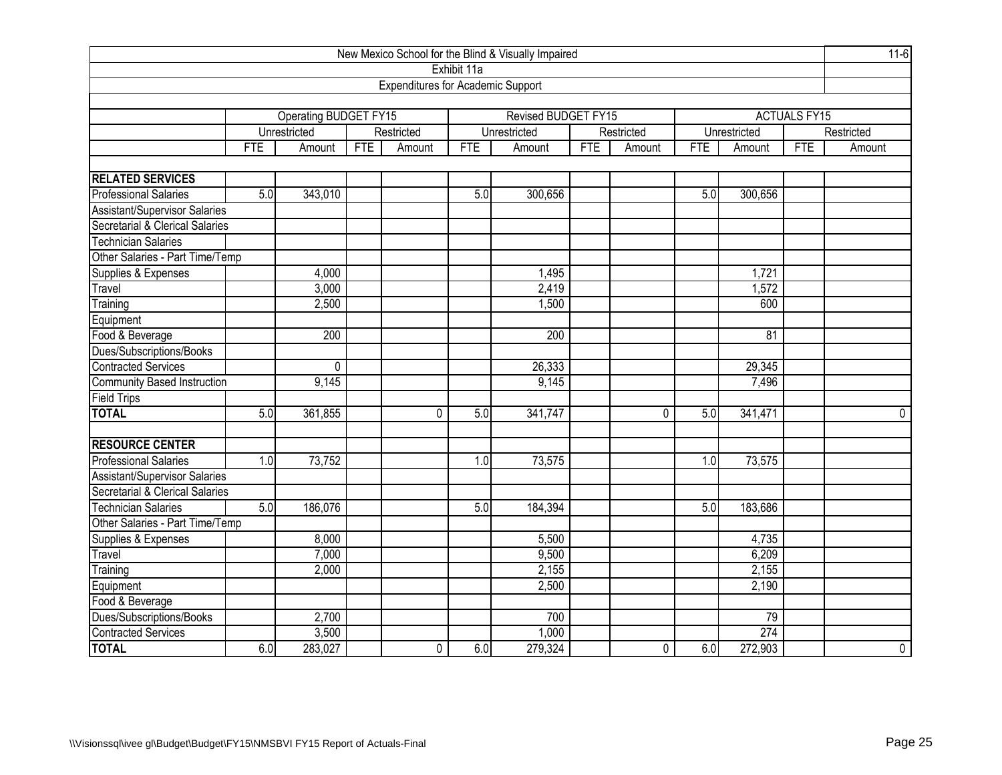| New Mexico School for the Blind & Visually Impaired |                |                       |            |                                          |             |                     |     |                |     |                                                                                                                                                                                                          |  |             |
|-----------------------------------------------------|----------------|-----------------------|------------|------------------------------------------|-------------|---------------------|-----|----------------|-----|----------------------------------------------------------------------------------------------------------------------------------------------------------------------------------------------------------|--|-------------|
|                                                     |                |                       |            |                                          | Exhibit 11a |                     |     |                |     |                                                                                                                                                                                                          |  |             |
|                                                     |                |                       |            | <b>Expenditures for Academic Support</b> |             |                     |     |                |     |                                                                                                                                                                                                          |  |             |
|                                                     |                |                       |            |                                          |             |                     |     |                |     |                                                                                                                                                                                                          |  |             |
|                                                     |                | Operating BUDGET FY15 |            |                                          |             | Revised BUDGET FY15 |     |                |     | <b>ACTUALS FY15</b><br>Unrestricted<br>FTE<br><b>FTE</b><br>Amount<br>5.0<br>300,656<br>1,721<br>1,572<br>600<br>$\overline{81}$<br>29,345<br>7,496<br>5.0<br>341,471<br>1.0<br>73,575<br>5.0<br>183,686 |  |             |
|                                                     |                | Unrestricted          |            | Restricted                               |             | Unrestricted        |     | Restricted     |     |                                                                                                                                                                                                          |  | Restricted  |
|                                                     | <b>FTE</b>     | Amount                | <b>FTE</b> | Amount                                   | <b>FTE</b>  | Amount              | FTE | Amount         |     |                                                                                                                                                                                                          |  | Amount      |
| <b>RELATED SERVICES</b>                             |                |                       |            |                                          |             |                     |     |                |     |                                                                                                                                                                                                          |  |             |
| <b>Professional Salaries</b>                        | 5.0            | 343,010               |            |                                          | 5.0         | 300,656             |     |                |     |                                                                                                                                                                                                          |  |             |
| Assistant/Supervisor Salaries                       |                |                       |            |                                          |             |                     |     |                |     |                                                                                                                                                                                                          |  |             |
| Secretarial & Clerical Salaries                     |                |                       |            |                                          |             |                     |     |                |     |                                                                                                                                                                                                          |  |             |
| <b>Technician Salaries</b>                          |                |                       |            |                                          |             |                     |     |                |     |                                                                                                                                                                                                          |  |             |
| Other Salaries - Part Time/Temp                     |                |                       |            |                                          |             |                     |     |                |     |                                                                                                                                                                                                          |  |             |
| Supplies & Expenses                                 |                | 4,000                 |            |                                          |             | 1,495               |     |                |     |                                                                                                                                                                                                          |  |             |
| Travel                                              |                | 3,000                 |            |                                          |             | 2,419               |     |                |     |                                                                                                                                                                                                          |  |             |
| Training                                            | 2,500<br>1,500 |                       |            |                                          |             |                     |     |                |     |                                                                                                                                                                                                          |  |             |
| Equipment                                           |                |                       |            |                                          |             |                     |     |                |     |                                                                                                                                                                                                          |  |             |
| Food & Beverage                                     |                | 200                   |            |                                          |             | 200                 |     |                |     |                                                                                                                                                                                                          |  |             |
| Dues/Subscriptions/Books                            |                |                       |            |                                          |             |                     |     |                |     |                                                                                                                                                                                                          |  |             |
| <b>Contracted Services</b>                          |                | 0                     |            |                                          |             | 26,333              |     |                |     |                                                                                                                                                                                                          |  |             |
| <b>Community Based Instruction</b>                  |                | 9,145                 |            |                                          |             | 9,145               |     |                |     |                                                                                                                                                                                                          |  |             |
| <b>Field Trips</b>                                  |                |                       |            |                                          |             |                     |     |                |     |                                                                                                                                                                                                          |  |             |
| <b>TOTAL</b>                                        | 5.0            | 361,855               |            | $\Omega$                                 | 5.0         | 341,747             |     | $\overline{0}$ |     |                                                                                                                                                                                                          |  | 0           |
|                                                     |                |                       |            |                                          |             |                     |     |                |     |                                                                                                                                                                                                          |  |             |
| <b>RESOURCE CENTER</b>                              |                |                       |            |                                          |             |                     |     |                |     |                                                                                                                                                                                                          |  |             |
| <b>Professional Salaries</b>                        | 1.0            | 73,752                |            |                                          | 1.0         | 73,575              |     |                |     |                                                                                                                                                                                                          |  |             |
| <b>Assistant/Supervisor Salaries</b>                |                |                       |            |                                          |             |                     |     |                |     |                                                                                                                                                                                                          |  |             |
| Secretarial & Clerical Salaries                     |                |                       |            |                                          |             |                     |     |                |     |                                                                                                                                                                                                          |  |             |
| <b>Technician Salaries</b>                          | 5.0            | 186,076               |            |                                          | 5.0         | 184,394             |     |                |     |                                                                                                                                                                                                          |  |             |
| Other Salaries - Part Time/Temp                     |                |                       |            |                                          |             |                     |     |                |     |                                                                                                                                                                                                          |  |             |
| Supplies & Expenses                                 |                | 8,000                 |            |                                          |             | 5,500               |     |                |     | 4,735                                                                                                                                                                                                    |  |             |
| Travel                                              |                | 7,000                 |            |                                          |             | 9,500               |     |                |     | 6,209                                                                                                                                                                                                    |  |             |
| Training                                            |                | 2,000                 |            |                                          |             | 2,155               |     |                |     | 2,155                                                                                                                                                                                                    |  |             |
| Equipment                                           |                |                       |            |                                          |             | 2,500               |     |                |     | 2,190                                                                                                                                                                                                    |  |             |
| Food & Beverage                                     |                |                       |            |                                          |             |                     |     |                |     |                                                                                                                                                                                                          |  |             |
| Dues/Subscriptions/Books                            |                | 2,700                 |            |                                          |             | 700                 |     |                |     | 79                                                                                                                                                                                                       |  |             |
| Contracted Services                                 |                | 3,500                 |            |                                          |             | 1,000               |     |                |     | 274                                                                                                                                                                                                      |  |             |
| <b>TOTAL</b>                                        | 6.0            | 283,027               |            | 0                                        | 6.0         | 279,324             |     | 0              | 6.0 | 272,903                                                                                                                                                                                                  |  | $\mathbf 0$ |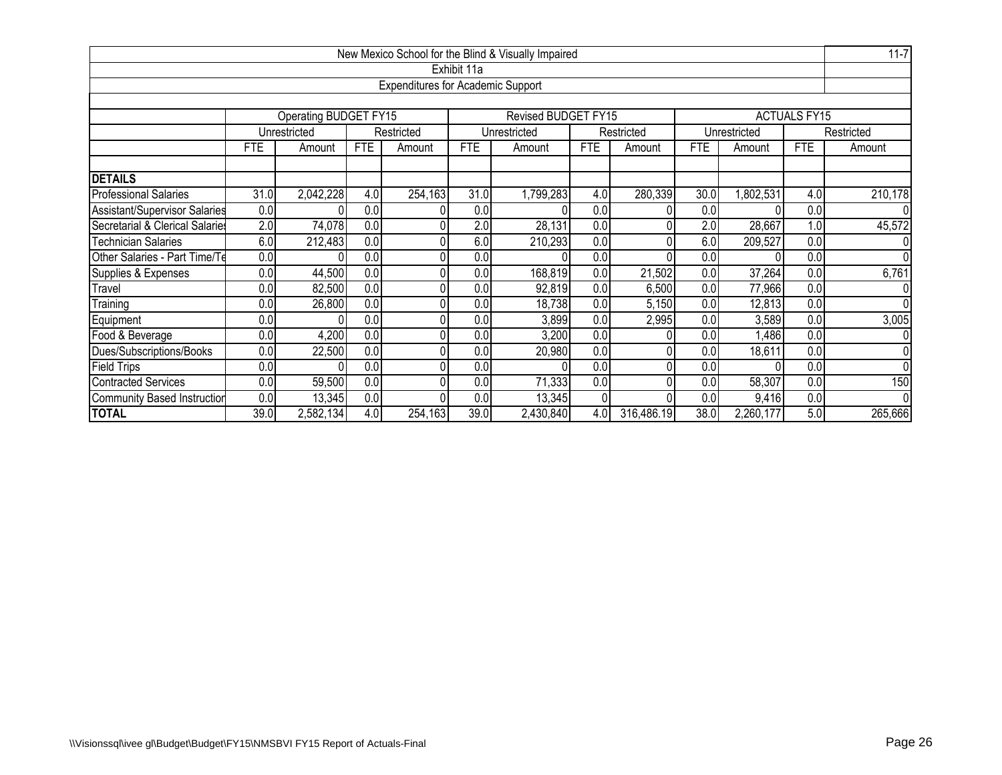|                                    |                                                                                        |                                                                              |            |                                          |             | New Mexico School for the Blind & Visually Impaired |                  |            |            |              |                     | $11 - 7$       |  |  |
|------------------------------------|----------------------------------------------------------------------------------------|------------------------------------------------------------------------------|------------|------------------------------------------|-------------|-----------------------------------------------------|------------------|------------|------------|--------------|---------------------|----------------|--|--|
|                                    |                                                                                        |                                                                              |            |                                          | Exhibit 11a |                                                     |                  |            |            |              |                     |                |  |  |
|                                    |                                                                                        |                                                                              |            | <b>Expenditures for Academic Support</b> |             |                                                     |                  |            |            |              |                     |                |  |  |
|                                    |                                                                                        |                                                                              |            |                                          |             |                                                     |                  |            |            |              |                     |                |  |  |
|                                    |                                                                                        | Operating BUDGET FY15                                                        |            |                                          |             | <b>Revised BUDGET FY15</b>                          |                  |            |            |              | <b>ACTUALS FY15</b> |                |  |  |
|                                    |                                                                                        | Unrestricted                                                                 |            | Restricted                               |             | Unrestricted                                        |                  | Restricted |            | Unrestricted |                     | Restricted     |  |  |
|                                    | <b>FTE</b>                                                                             | Amount                                                                       | <b>FTE</b> | Amount                                   | <b>FTE</b>  | Amount                                              | <b>FTE</b>       | Amount     | <b>FTE</b> | Amount       | <b>FTE</b>          | Amount         |  |  |
|                                    |                                                                                        |                                                                              |            |                                          |             |                                                     |                  |            |            |              |                     |                |  |  |
| <b>DETAILS</b>                     |                                                                                        |                                                                              |            |                                          |             |                                                     |                  |            |            |              |                     |                |  |  |
| <b>Professional Salaries</b>       | 31.0                                                                                   | 2,042,228                                                                    | 4.0        | 254,163                                  | 31.0        | 1,799,283                                           | 4.0              | 280,339    | 30.0       | ,802,531     | 4.0                 | 210,178        |  |  |
| Assistant/Supervisor Salaries      | 0.0                                                                                    | 0.0<br>0.0<br>0.0<br>0.0<br>0.0<br>$\Omega$                                  |            |                                          |             |                                                     |                  |            |            |              |                     |                |  |  |
| Secretarial & Clerical Salaries    | 2.0                                                                                    | 74,078<br>28,131<br>2.0<br>28,667<br>1.0<br>0.0<br>2.0<br>0.0                |            |                                          |             |                                                     |                  |            |            |              |                     |                |  |  |
| <b>Technician Salaries</b>         | 6.0                                                                                    | 6.0<br>212,483<br>0.0<br>6.0<br>210,293<br>0.0<br>209,527<br>0.0<br>Ŋ        |            |                                          |             |                                                     |                  |            |            |              |                     |                |  |  |
| Other Salaries - Part Time/Te      | $\overline{0.0}$                                                                       |                                                                              | 0.0        | $\Omega$                                 | 0.0         |                                                     | 0.0              |            | 0.0        |              | 0.0                 | $\overline{0}$ |  |  |
| Supplies & Expenses                | 0.0                                                                                    | 44,500                                                                       | 0.0        | 0                                        | 0.0         | 168,819                                             | 0.0              | 21,502     | 0.0        | 37,264       | 0.0                 | 6,761          |  |  |
| Travel                             | $\overline{0}$                                                                         | 82,500                                                                       | 0.0        | $\Omega$                                 | 0.0         | 92,819                                              | $\overline{0.0}$ | 6,500      | 0.0        | 77,966       | 0.0                 | $\overline{0}$ |  |  |
| Training                           | 0.0                                                                                    | 26,800                                                                       | 0.0        | 0                                        | 0.0         | 18,738                                              | 0.0              | 5,150      | 0.0        | 12,813       | 0.0                 | $\Omega$       |  |  |
| Equipment                          | 0.0                                                                                    |                                                                              | 0.0        | 0                                        | 0.0         | 3,899                                               | 0.0              | 2,995      | 0.0        | 3,589        | 0.0                 | 3,005          |  |  |
| Food & Beverage                    | 0.0                                                                                    | 4,200                                                                        | 0.0        |                                          | 0.0         | 3,200                                               | 0.0              |            | 0.0        | 1,486        | 0.0                 | $\overline{0}$ |  |  |
| Dues/Subscriptions/Books           | 0.0<br>0.0<br>0.0<br>22,500<br>0.0 <sub>l</sub><br>20,980<br>0.0<br>18,611<br>0.0<br>0 |                                                                              |            |                                          |             |                                                     |                  |            |            |              |                     |                |  |  |
| Field Trips                        | 0.0<br>0.0<br>0.0<br>0.0<br>0.0<br>0.0                                                 |                                                                              |            |                                          |             |                                                     |                  |            |            |              |                     | $\overline{0}$ |  |  |
| <b>Contracted Services</b>         | 0.0                                                                                    | 59,500                                                                       | 0.0        |                                          | 0.0         | 71,333                                              | 0.0              |            | 0.0        | 58,307       | 0.0                 | 150            |  |  |
| <b>Community Based Instruction</b> | 0.0                                                                                    | 0.0<br>13,345<br>0.0<br>0.0<br>13,345<br>0.0<br>9,416<br>$\overline{0}$<br>n |            |                                          |             |                                                     |                  |            |            |              |                     |                |  |  |
| <b>TOTAL</b>                       | 39.0                                                                                   | 2,582,134                                                                    | 4.0        | 254,163                                  | 39.0        | 2,430,840                                           | 4.0              | 316,486.19 | 38.0       | 2,260,177    | 5.0                 | 265,666        |  |  |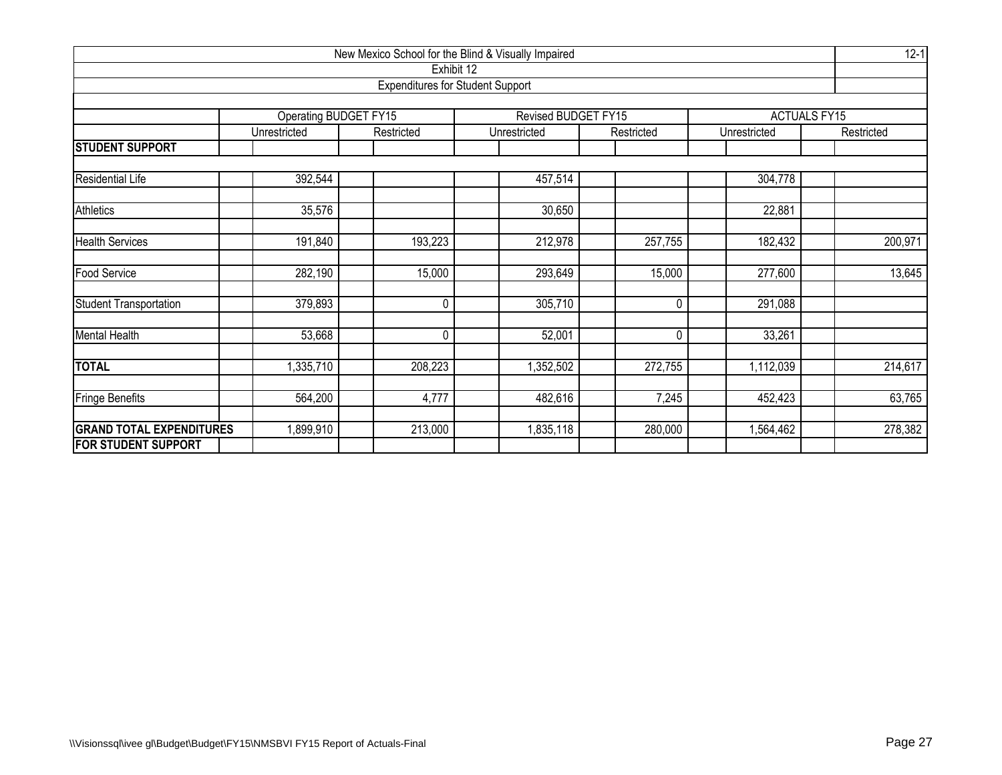| New Mexico School for the Blind & Visually Impaired<br>Exhibit 12 |                       |                                         |                     |            |              |                     |  |  |  |  |  |  |  |
|-------------------------------------------------------------------|-----------------------|-----------------------------------------|---------------------|------------|--------------|---------------------|--|--|--|--|--|--|--|
|                                                                   |                       | <b>Expenditures for Student Support</b> |                     |            |              |                     |  |  |  |  |  |  |  |
|                                                                   |                       |                                         |                     |            |              |                     |  |  |  |  |  |  |  |
|                                                                   | Operating BUDGET FY15 |                                         | Revised BUDGET FY15 |            |              | <b>ACTUALS FY15</b> |  |  |  |  |  |  |  |
|                                                                   | Unrestricted          | Restricted                              | Unrestricted        | Restricted | Unrestricted | Restricted          |  |  |  |  |  |  |  |
| <b>STUDENT SUPPORT</b>                                            |                       |                                         |                     |            |              |                     |  |  |  |  |  |  |  |
| 392,544<br>457,514<br>Residential Life<br>304,778                 |                       |                                         |                     |            |              |                     |  |  |  |  |  |  |  |
| Athletics                                                         | 35,576                |                                         | 30,650              |            | 22,881       |                     |  |  |  |  |  |  |  |
|                                                                   |                       |                                         |                     |            |              |                     |  |  |  |  |  |  |  |
| <b>Health Services</b>                                            | 191,840               | 193,223                                 | 212,978             | 257,755    | 182,432      | 200,971             |  |  |  |  |  |  |  |
| <b>Food Service</b>                                               | 282,190               | 15,000                                  | 293,649             | 15,000     | 277,600      | 13,645              |  |  |  |  |  |  |  |
| <b>Student Transportation</b>                                     | 379,893               | $\mathbf{0}$                            | 305,710             | 0          | 291,088      |                     |  |  |  |  |  |  |  |
| <b>Mental Health</b>                                              | 53,668                | 0                                       | 52,001              | $\Omega$   | 33,261       |                     |  |  |  |  |  |  |  |
| <b>TOTAL</b>                                                      | ,335,710              | 208,223                                 | 1,352,502           | 272,755    | 1,112,039    | 214,617             |  |  |  |  |  |  |  |
| <b>Fringe Benefits</b>                                            | 564,200               | 4,777                                   | 482,616             | 7,245      | 452,423      | 63,765              |  |  |  |  |  |  |  |
| <b>GRAND TOTAL EXPENDITURES</b>                                   | ,899,910              | 213,000                                 | 1,835,118           | 280,000    | ,564,462     | 278,382             |  |  |  |  |  |  |  |
| <b>FOR STUDENT SUPPORT</b>                                        |                       |                                         |                     |            |              |                     |  |  |  |  |  |  |  |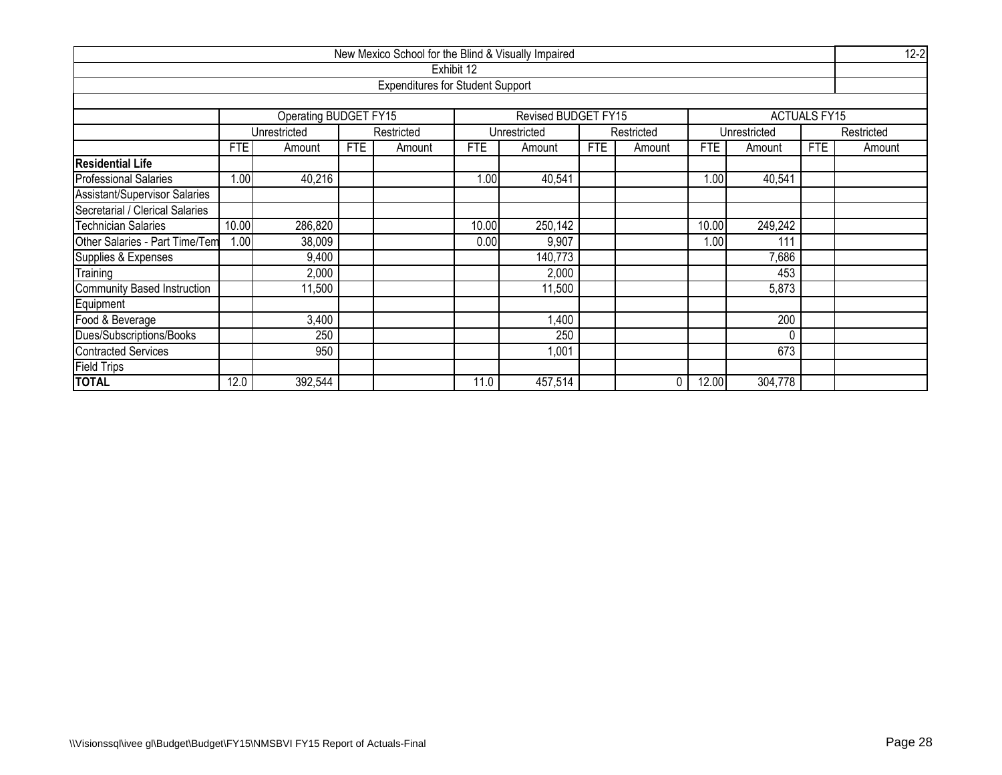| $12 - 2$<br>New Mexico School for the Blind & Visually Impaired |            |                                            |            |                                         |            |                     |            |            |       |              |                     |            |  |  |
|-----------------------------------------------------------------|------------|--------------------------------------------|------------|-----------------------------------------|------------|---------------------|------------|------------|-------|--------------|---------------------|------------|--|--|
|                                                                 |            |                                            |            |                                         | Exhibit 12 |                     |            |            |       |              |                     |            |  |  |
|                                                                 |            |                                            |            | <b>Expenditures for Student Support</b> |            |                     |            |            |       |              |                     |            |  |  |
|                                                                 |            |                                            |            |                                         |            |                     |            |            |       |              |                     |            |  |  |
|                                                                 |            | Operating BUDGET FY15                      |            |                                         |            | Revised BUDGET FY15 |            |            |       |              | <b>ACTUALS FY15</b> |            |  |  |
|                                                                 |            | Unrestricted                               |            | Restricted                              |            | Unrestricted        |            | Restricted |       | Unrestricted |                     | Restricted |  |  |
|                                                                 | <b>FTE</b> | Amount                                     | <b>FTE</b> | Amount                                  | <b>FTE</b> | Amount              | <b>FTE</b> | Amount     | FTE.  | Amount       | FTE                 | Amount     |  |  |
| <b>Residential Life</b>                                         |            |                                            |            |                                         |            |                     |            |            |       |              |                     |            |  |  |
| <b>Professional Salaries</b>                                    | 1.00       | 40,216<br>1.00<br>40,541<br>1.00<br>40,541 |            |                                         |            |                     |            |            |       |              |                     |            |  |  |
| Assistant/Supervisor Salaries                                   |            |                                            |            |                                         |            |                     |            |            |       |              |                     |            |  |  |
| Secretarial / Clerical Salaries                                 |            |                                            |            |                                         |            |                     |            |            |       |              |                     |            |  |  |
| <b>Technician Salaries</b>                                      | 10.00      | 286,820                                    |            |                                         | 10.00      | 250,142             |            |            | 10.00 | 249,242      |                     |            |  |  |
| Other Salaries - Part Time/Tem                                  | 1.00       | 38,009                                     |            |                                         | 0.00       | 9,907               |            |            | 1.00  | 111          |                     |            |  |  |
| Supplies & Expenses                                             |            | 9,400                                      |            |                                         |            | 140,773             |            |            |       | 7,686        |                     |            |  |  |
| Training                                                        |            | 2,000                                      |            |                                         |            | 2,000               |            |            |       | 453          |                     |            |  |  |
| <b>Community Based Instruction</b>                              |            | 11,500                                     |            |                                         |            | 11,500              |            |            |       | 5,873        |                     |            |  |  |
| Equipment                                                       |            |                                            |            |                                         |            |                     |            |            |       |              |                     |            |  |  |
| Food & Beverage                                                 |            | 3,400                                      |            |                                         |            | 1,400               |            |            |       | 200          |                     |            |  |  |
| Dues/Subscriptions/Books                                        |            | 250<br>250<br>$\Omega$                     |            |                                         |            |                     |            |            |       |              |                     |            |  |  |
| <b>Contracted Services</b>                                      |            | 950                                        |            |                                         |            | 1,001               |            |            |       | 673          |                     |            |  |  |
| <b>Field Trips</b>                                              |            |                                            |            |                                         |            |                     |            |            |       |              |                     |            |  |  |
| <b>TOTAL</b>                                                    | 12.0       | 392,544                                    |            |                                         | 11.0       | 457,514             |            | 0          | 12.00 | 304,778      |                     |            |  |  |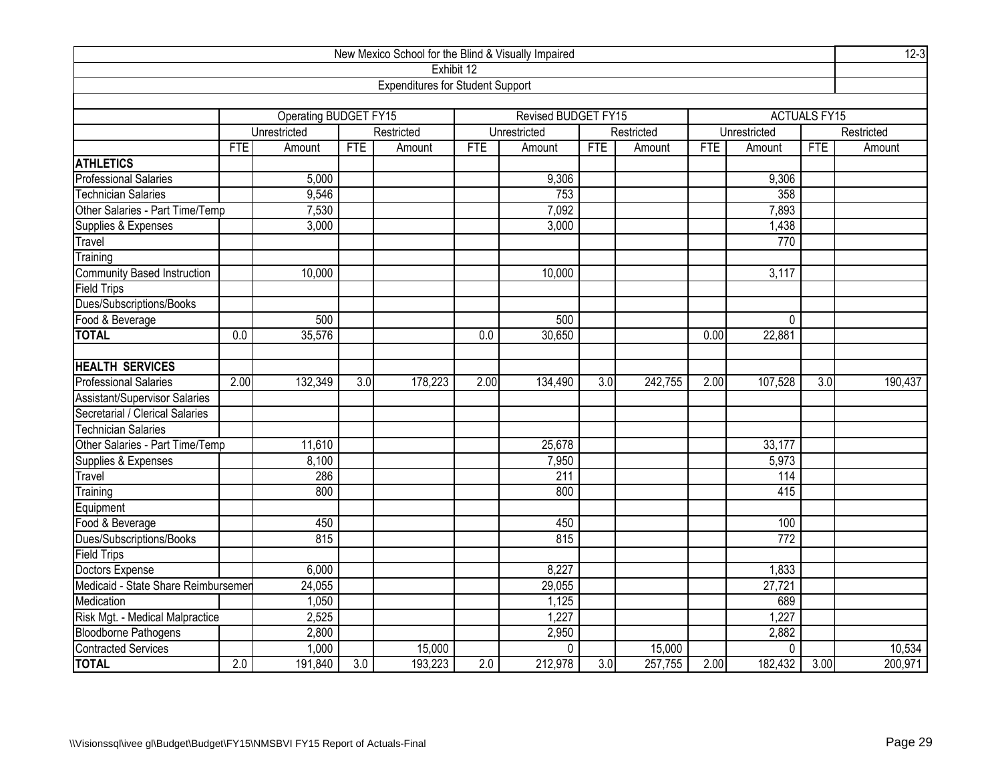| New Mexico School for the Blind & Visually Impaired |            |                        |                  |                                         |            |                            |            |            |            |              |                     |            |
|-----------------------------------------------------|------------|------------------------|------------------|-----------------------------------------|------------|----------------------------|------------|------------|------------|--------------|---------------------|------------|
|                                                     |            |                        |                  | Exhibit 12                              |            |                            |            |            |            |              |                     |            |
|                                                     |            |                        |                  | <b>Expenditures for Student Support</b> |            |                            |            |            |            |              |                     |            |
|                                                     |            |                        |                  |                                         |            |                            |            |            |            |              |                     |            |
|                                                     |            | Operating BUDGET FY15  |                  |                                         |            | <b>Revised BUDGET FY15</b> |            |            |            |              | <b>ACTUALS FY15</b> |            |
|                                                     |            | Unrestricted           |                  | Restricted                              |            | Unrestricted               |            | Restricted |            | Unrestricted |                     | Restricted |
|                                                     | <b>FTE</b> | Amount                 | <b>FTE</b>       | Amount                                  | <b>FTE</b> | Amount                     | <b>FTE</b> | Amount     | <b>FTE</b> | Amount       | <b>FTE</b>          | Amount     |
| <b>ATHLETICS</b>                                    |            |                        |                  |                                         |            |                            |            |            |            |              |                     |            |
| <b>Professional Salaries</b>                        |            | 5,000                  |                  |                                         |            | 9,306                      |            |            |            | 9,306        |                     |            |
| <b>Technician Salaries</b>                          |            | 9,546                  |                  |                                         |            | 753                        |            |            |            | 358          |                     |            |
| Other Salaries - Part Time/Temp                     |            | 7,530                  |                  |                                         |            | 7,092                      |            |            |            | 7,893        |                     |            |
| Supplies & Expenses                                 |            | 3,000                  |                  |                                         |            | 3,000                      |            |            |            | 1,438        |                     |            |
| Travel                                              |            |                        |                  |                                         |            |                            |            |            |            | 770          |                     |            |
| Training                                            |            |                        |                  |                                         |            |                            |            |            |            |              |                     |            |
| <b>Community Based Instruction</b>                  |            | 10,000                 |                  |                                         |            | 10,000                     |            |            |            | 3,117        |                     |            |
| <b>Field Trips</b>                                  |            |                        |                  |                                         |            |                            |            |            |            |              |                     |            |
| Dues/Subscriptions/Books                            |            |                        |                  |                                         |            |                            |            |            |            |              |                     |            |
| Food & Beverage                                     |            | 500<br>500<br>$\Omega$ |                  |                                         |            |                            |            |            |            |              |                     |            |
| <b>TOTAL</b>                                        | 0.0        | 35,576                 |                  |                                         | 0.0        | 30,650                     |            |            | 0.00       | 22,881       |                     |            |
|                                                     |            |                        |                  |                                         |            |                            |            |            |            |              |                     |            |
| <b>HEALTH SERVICES</b>                              |            |                        |                  |                                         |            |                            |            |            |            |              |                     |            |
| <b>Professional Salaries</b>                        | 2.00       | 132,349                | 3.0              | 178,223                                 | 2.00       | 134,490                    | 3.0        | 242,755    | 2.00       | 107,528      | 3.0                 | 190,437    |
| Assistant/Supervisor Salaries                       |            |                        |                  |                                         |            |                            |            |            |            |              |                     |            |
| Secretarial / Clerical Salaries                     |            |                        |                  |                                         |            |                            |            |            |            |              |                     |            |
| <b>Technician Salaries</b>                          |            |                        |                  |                                         |            |                            |            |            |            |              |                     |            |
| Other Salaries - Part Time/Temp                     |            | 11,610                 |                  |                                         |            | 25,678                     |            |            |            | 33,177       |                     |            |
| Supplies & Expenses                                 |            | 8,100                  |                  |                                         |            | 7,950                      |            |            |            | 5,973        |                     |            |
| Travel                                              |            | 286                    |                  |                                         |            | 211                        |            |            |            | 114          |                     |            |
| Training                                            |            | 800                    |                  |                                         |            | 800                        |            |            |            | 415          |                     |            |
| Equipment                                           |            |                        |                  |                                         |            |                            |            |            |            |              |                     |            |
| Food & Beverage                                     |            | 450                    |                  |                                         |            | 450                        |            |            |            | 100          |                     |            |
| Dues/Subscriptions/Books                            |            | 815                    |                  |                                         |            | 815                        |            |            |            | 772          |                     |            |
| <b>Field Trips</b>                                  |            |                        |                  |                                         |            |                            |            |            |            |              |                     |            |
| Doctors Expense                                     |            | 6,000                  |                  |                                         |            | 8,227                      |            |            |            | 1,833        |                     |            |
| Medicaid - State Share Reimbursemer                 |            | 24,055                 |                  |                                         |            | 29,055                     |            |            |            | 27,721       |                     |            |
| Medication                                          |            | 1,050                  |                  |                                         |            | 1,125                      |            |            |            | 689          |                     |            |
| Risk Mgt. - Medical Malpractice                     |            | 2,525                  |                  |                                         |            | 1,227                      |            |            |            | 1,227        |                     |            |
| Bloodborne Pathogens<br>Contracted Services         |            | 2,800                  |                  |                                         |            | 2,950                      |            |            |            | 2,882        |                     |            |
|                                                     |            | 1,000                  |                  | 15,000                                  |            | $\mathbf 0$                |            | 15,000     |            | $\mathbf 0$  |                     | 10,534     |
| <b>TOTAL</b>                                        | 2.0        | 191,840                | $\overline{3.0}$ | 193,223                                 | 2.0        | 212,978                    | 3.0        | 257,755    | 2.00       | 182,432      | 3.00                | 200,971    |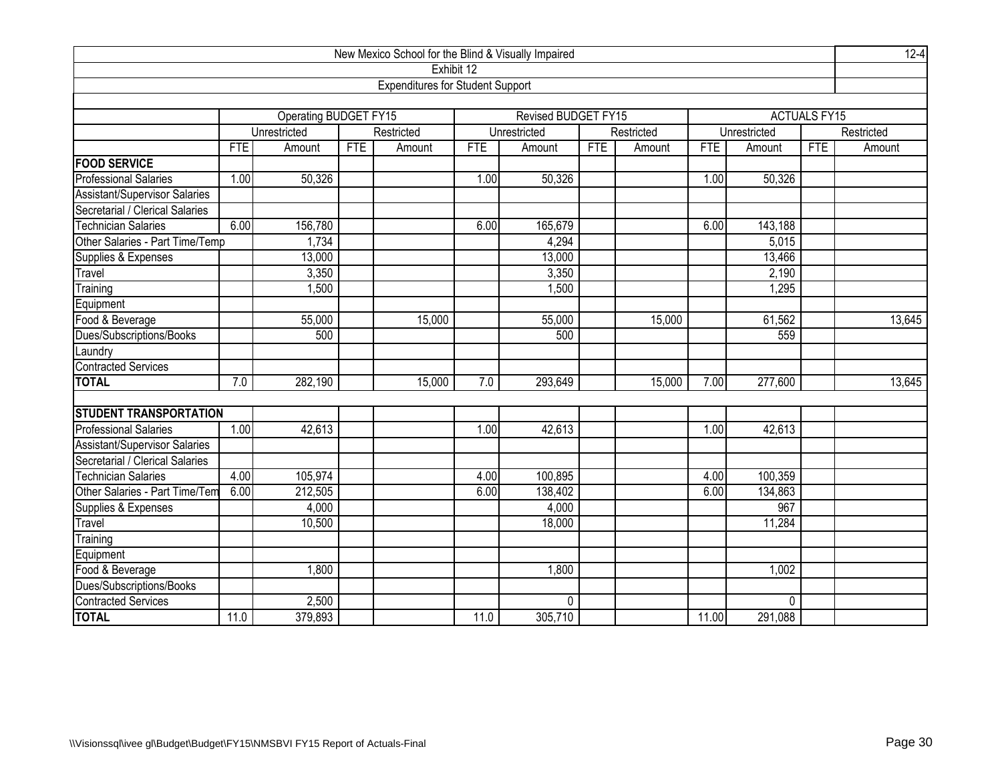|                                      |            |                       |            | New Mexico School for the Blind & Visually Impaired |            |                     |            |            |       |              |                     | $12 - 4$   |
|--------------------------------------|------------|-----------------------|------------|-----------------------------------------------------|------------|---------------------|------------|------------|-------|--------------|---------------------|------------|
|                                      |            |                       |            | Exhibit 12                                          |            |                     |            |            |       |              |                     |            |
|                                      |            |                       |            | <b>Expenditures for Student Support</b>             |            |                     |            |            |       |              |                     |            |
|                                      |            |                       |            |                                                     |            |                     |            |            |       |              |                     |            |
|                                      |            | Operating BUDGET FY15 |            |                                                     |            | Revised BUDGET FY15 |            |            |       |              | <b>ACTUALS FY15</b> |            |
|                                      |            | Unrestricted          |            | Restricted                                          |            | Unrestricted        |            | Restricted |       | Unrestricted |                     | Restricted |
|                                      | <b>FTE</b> | Amount                | <b>FTE</b> | Amount                                              | <b>FTE</b> | Amount              | <b>FTE</b> | Amount     | FTE   | Amount       | <b>FTE</b>          | Amount     |
| <b>FOOD SERVICE</b>                  |            |                       |            |                                                     |            |                     |            |            |       |              |                     |            |
| <b>Professional Salaries</b>         | 1.00       | 50,326                |            |                                                     | 1.00       | 50,326              |            |            | 1.00  | 50,326       |                     |            |
| <b>Assistant/Supervisor Salaries</b> |            |                       |            |                                                     |            |                     |            |            |       |              |                     |            |
| Secretarial / Clerical Salaries      |            |                       |            |                                                     |            |                     |            |            |       |              |                     |            |
| <b>Technician Salaries</b>           | 6.00       | 156,780               |            |                                                     | 6.00       | 165,679             |            |            | 6.00  | 143,188      |                     |            |
| Other Salaries - Part Time/Temp      |            | 1,734                 |            |                                                     |            | 4,294               |            |            |       | 5,015        |                     |            |
| Supplies & Expenses                  |            | 13,000                |            |                                                     |            | 13,000              |            |            |       | 13,466       |                     |            |
| Travel                               |            | 3,350                 |            |                                                     |            | 3,350               |            |            |       | 2,190        |                     |            |
| Training                             |            | 1,500                 |            |                                                     |            | 1,500               |            |            |       | 1,295        |                     |            |
| Equipment                            |            |                       |            |                                                     |            |                     |            |            |       |              |                     |            |
| Food & Beverage                      |            | 55,000                |            | 15,000                                              |            | 55,000              |            | 15,000     |       | 61,562       |                     | 13,645     |
| Dues/Subscriptions/Books             |            | 500                   |            |                                                     |            | 500                 |            |            |       | 559          |                     |            |
| aundry                               |            |                       |            |                                                     |            |                     |            |            |       |              |                     |            |
| <b>Contracted Services</b>           |            |                       |            |                                                     |            |                     |            |            |       |              |                     |            |
| <b>TOTAL</b>                         | 7.0        | 282,190               |            | 15,000                                              | 7.0        | 293,649             |            | 15,000     | 7.00  | 277,600      |                     | 13,645     |
|                                      |            |                       |            |                                                     |            |                     |            |            |       |              |                     |            |
| <b>STUDENT TRANSPORTATION</b>        |            |                       |            |                                                     |            |                     |            |            |       |              |                     |            |
| <b>Professional Salaries</b>         | 1.00       | 42,613                |            |                                                     | 1.00       | 42,613              |            |            | 1.00  | 42,613       |                     |            |
| Assistant/Supervisor Salaries        |            |                       |            |                                                     |            |                     |            |            |       |              |                     |            |
| Secretarial / Clerical Salaries      |            |                       |            |                                                     |            |                     |            |            |       |              |                     |            |
| <b>Technician Salaries</b>           | 4.00       | 105,974               |            |                                                     | 4.00       | 100,895             |            |            | 4.00  | 100,359      |                     |            |
| Other Salaries - Part Time/Tem       | 6.00       | 212,505               |            |                                                     | 6.00       | 138,402             |            |            | 6.00  | 134,863      |                     |            |
| Supplies & Expenses                  |            | 4,000                 |            |                                                     |            | 4,000               |            |            |       | 967          |                     |            |
| Travel                               |            | 10,500                |            |                                                     |            | 18,000              |            |            |       | 11,284       |                     |            |
| Training                             |            |                       |            |                                                     |            |                     |            |            |       |              |                     |            |
| Equipment                            |            |                       |            |                                                     |            |                     |            |            |       |              |                     |            |
| Food & Beverage                      |            | 1,800                 |            |                                                     |            | 1,800               |            |            |       | 1,002        |                     |            |
| Dues/Subscriptions/Books             |            |                       |            |                                                     |            |                     |            |            |       |              |                     |            |
| <b>Contracted Services</b>           |            | 2,500                 |            |                                                     |            | $\mathbf 0$         |            |            |       | $\Omega$     |                     |            |
| <b>TOTAL</b>                         | 11.0       | 379,893               |            |                                                     | 11.0       | 305,710             |            |            | 11.00 | 291,088      |                     |            |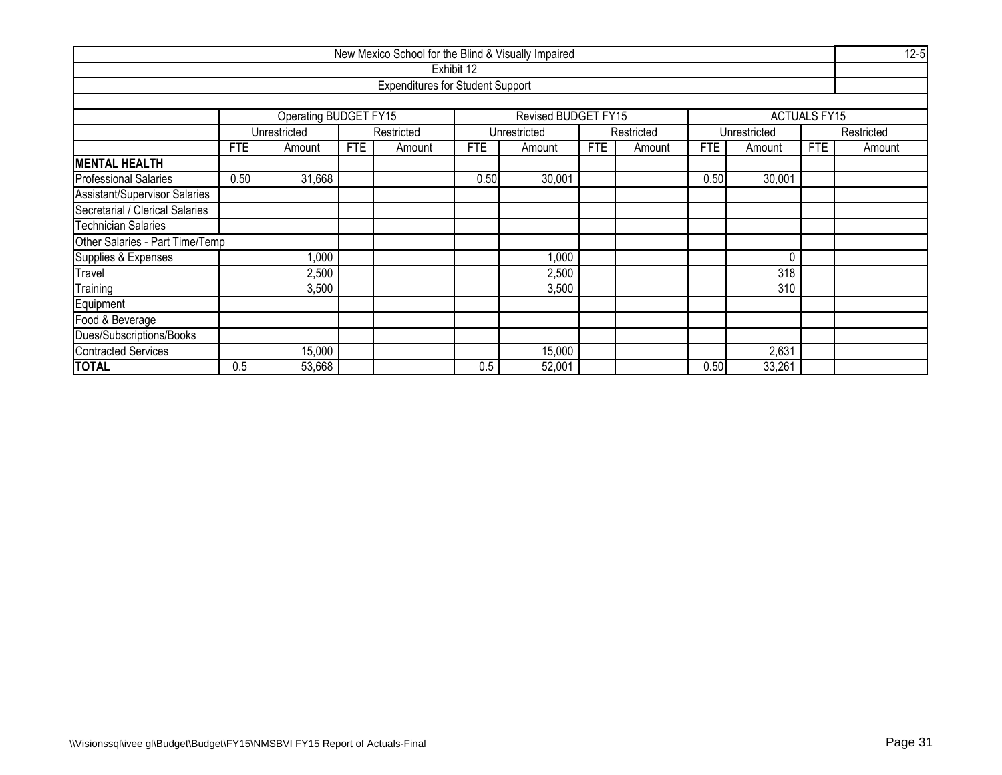| New Mexico School for the Blind & Visually Impaired |      |                                            |            |                                         |            |                     |            |            |            |              |                     |            |  |
|-----------------------------------------------------|------|--------------------------------------------|------------|-----------------------------------------|------------|---------------------|------------|------------|------------|--------------|---------------------|------------|--|
|                                                     |      |                                            |            |                                         | Exhibit 12 |                     |            |            |            |              |                     |            |  |
|                                                     |      |                                            |            | <b>Expenditures for Student Support</b> |            |                     |            |            |            |              |                     |            |  |
|                                                     |      |                                            |            |                                         |            |                     |            |            |            |              |                     |            |  |
|                                                     |      | <b>Operating BUDGET FY15</b>               |            |                                         |            | Revised BUDGET FY15 |            |            |            |              | <b>ACTUALS FY15</b> |            |  |
|                                                     |      | Unrestricted                               |            | Restricted                              |            | Unrestricted        |            | Restricted |            | Unrestricted |                     | Restricted |  |
|                                                     | FTE  | Amount                                     | <b>FTE</b> | Amount                                  | FTE        | Amount              | <b>FTE</b> | Amount     | <b>FTE</b> | Amount       | <b>FTE</b>          | Amount     |  |
| <b>MENTAL HEALTH</b>                                |      |                                            |            |                                         |            |                     |            |            |            |              |                     |            |  |
| <b>Professional Salaries</b>                        | 0.50 | 30,001<br>31,668<br>0.50<br>30,001<br>0.50 |            |                                         |            |                     |            |            |            |              |                     |            |  |
| Assistant/Supervisor Salaries                       |      |                                            |            |                                         |            |                     |            |            |            |              |                     |            |  |
| Secretarial / Clerical Salaries                     |      |                                            |            |                                         |            |                     |            |            |            |              |                     |            |  |
| Technician Salaries                                 |      |                                            |            |                                         |            |                     |            |            |            |              |                     |            |  |
| Other Salaries - Part Time/Temp                     |      |                                            |            |                                         |            |                     |            |            |            |              |                     |            |  |
| Supplies & Expenses                                 |      | $\overline{000}$                           |            |                                         |            | 1,000               |            |            |            | 0            |                     |            |  |
| Travel                                              |      | 2,500                                      |            |                                         |            | 2,500               |            |            |            | 318          |                     |            |  |
| Training                                            |      | 3,500                                      |            |                                         |            | 3,500               |            |            |            | 310          |                     |            |  |
| Equipment                                           |      |                                            |            |                                         |            |                     |            |            |            |              |                     |            |  |
| Food & Beverage                                     |      |                                            |            |                                         |            |                     |            |            |            |              |                     |            |  |
| Dues/Subscriptions/Books                            |      |                                            |            |                                         |            |                     |            |            |            |              |                     |            |  |
| <b>Contracted Services</b>                          |      | 15,000                                     |            |                                         |            | 15,000              |            |            |            | 2,631        |                     |            |  |
| <b>TOTAL</b>                                        | 0.5  | 53,668                                     |            |                                         | 0.5        | 52,001              |            |            | 0.50       | 33,261       |                     |            |  |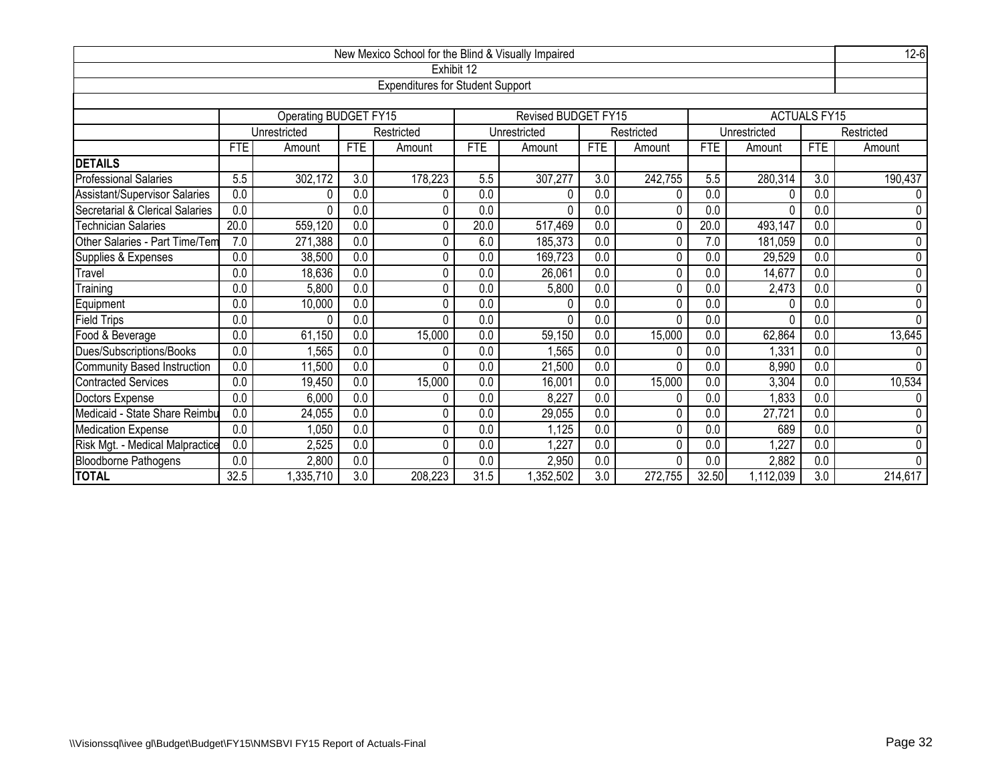| $12-6$<br>New Mexico School for the Blind & Visually Impaired<br>Exhibit 12 |                                                                                                                         |                                                                                                 |                  |                                         |                  |                            |                  |            |            |              |                     |                |  |  |  |  |
|-----------------------------------------------------------------------------|-------------------------------------------------------------------------------------------------------------------------|-------------------------------------------------------------------------------------------------|------------------|-----------------------------------------|------------------|----------------------------|------------------|------------|------------|--------------|---------------------|----------------|--|--|--|--|
|                                                                             |                                                                                                                         |                                                                                                 |                  |                                         |                  |                            |                  |            |            |              |                     |                |  |  |  |  |
|                                                                             |                                                                                                                         |                                                                                                 |                  | <b>Expenditures for Student Support</b> |                  |                            |                  |            |            |              |                     |                |  |  |  |  |
|                                                                             |                                                                                                                         |                                                                                                 |                  |                                         |                  |                            |                  |            |            |              |                     |                |  |  |  |  |
|                                                                             |                                                                                                                         | Operating BUDGET FY15                                                                           |                  |                                         |                  | <b>Revised BUDGET FY15</b> |                  |            |            |              | <b>ACTUALS FY15</b> |                |  |  |  |  |
|                                                                             |                                                                                                                         | Unrestricted                                                                                    |                  | Restricted                              |                  | Unrestricted               |                  | Restricted |            | Unrestricted |                     | Restricted     |  |  |  |  |
|                                                                             | <b>FTE</b>                                                                                                              | Amount                                                                                          | <b>FTE</b>       | Amount                                  | <b>FTE</b>       | Amount                     | <b>FTE</b>       | Amount     | <b>FTE</b> | Amount       | <b>FTE</b>          | Amount         |  |  |  |  |
| <b>DETAILS</b>                                                              |                                                                                                                         |                                                                                                 |                  |                                         |                  |                            |                  |            |            |              |                     | 190,437        |  |  |  |  |
| <b>Professional Salaries</b>                                                | 5.5                                                                                                                     | 178,223<br>302,172<br>3.0<br>5.5<br>307,277<br>3.0<br>242,755<br>5.5<br>280,314<br>3.0          |                  |                                         |                  |                            |                  |            |            |              |                     |                |  |  |  |  |
| Assistant/Supervisor Salaries                                               | 0.0                                                                                                                     | 0.0<br>0.0<br>0.0<br>0.0<br>0.0<br>0<br>0<br>ŋ                                                  |                  |                                         |                  |                            |                  |            |            |              |                     |                |  |  |  |  |
| Secretarial & Clerical Salaries                                             | $\overline{0.0}$                                                                                                        | $\overline{0.0}$<br>0.0<br>0<br>0.0<br>$\mathbf{0}$<br>0.0<br>0.0<br>$\pmb{0}$<br>$\Omega$<br>0 |                  |                                         |                  |                            |                  |            |            |              |                     |                |  |  |  |  |
| <b>Technician Salaries</b>                                                  | 20.0                                                                                                                    | $\pmb{0}$<br>559,120<br>0.0<br>0<br>20.0<br>517,469<br>0.0<br>20.0<br>493,147<br>0.0<br>0<br>0  |                  |                                         |                  |                            |                  |            |            |              |                     |                |  |  |  |  |
| Other Salaries - Part Time/Tem                                              | 7.0                                                                                                                     | 271,388<br>0.0<br>7.0<br>0.0<br>0<br>6.0<br>185,373<br>0.0<br>181,059<br>0<br>$\overline{0}$    |                  |                                         |                  |                            |                  |            |            |              |                     |                |  |  |  |  |
| Supplies & Expenses                                                         | 0.0                                                                                                                     | 38,500<br>0.0<br>0.0<br>0.0<br>$\overline{0.0}$<br>0<br>169,723<br>0<br>0.0<br>29,529           |                  |                                         |                  |                            |                  |            |            |              |                     |                |  |  |  |  |
| Travel                                                                      | 0.0                                                                                                                     | 18,636                                                                                          | $\overline{0.0}$ | 0                                       | 0.0              | 26,061                     | 0.0              | 0          | 0.0        | 14,677       | $\overline{0.0}$    | $\overline{0}$ |  |  |  |  |
| Training                                                                    | $\overline{0.0}$                                                                                                        | 5,800                                                                                           | $\overline{0.0}$ | 0                                       | 0.0              | 5,800                      | 0.0              | 0          | 0.0        | 2,473        | $\overline{0.0}$    | $\overline{0}$ |  |  |  |  |
| Equipment                                                                   | $\overline{0.0}$                                                                                                        | 10,000                                                                                          | 0.0              | 0                                       | 0.0              | 0                          | $\overline{0.0}$ | 0          | 0.0        |              | $\overline{0.0}$    | 0              |  |  |  |  |
| <b>Field Trips</b>                                                          | 0.0                                                                                                                     | $\Omega$                                                                                        | $\overline{0.0}$ | 0                                       | 0.0              | $\Omega$                   | 0.0              | 0          | 0.0        | n            | $\overline{0.0}$    | $\overline{0}$ |  |  |  |  |
| Food & Beverage                                                             | $\overline{0.0}$                                                                                                        | 61,150                                                                                          | 0.0              | 15,000                                  | 0.0              | 59,150                     | 0.0              | 15,000     | 0.0        | 62,864       | 0.0                 | 13,645         |  |  |  |  |
| Dues/Subscriptions/Books                                                    | $\overline{0.0}$                                                                                                        | ,565                                                                                            | $\overline{0.0}$ | 0                                       | $\overline{0.0}$ | .565                       | 0.0              | 0          | 0.0        | 1,331        | $\overline{0.0}$    | 0              |  |  |  |  |
| Community Based Instruction                                                 | 0.0                                                                                                                     | 11,500                                                                                          | 0.0              | $\Omega$                                | 0.0              | 21,500                     | 0.0              | N          | 0.0        | 8,990        | 0.0                 | 0              |  |  |  |  |
| Contracted Services                                                         | $\overline{0.0}$                                                                                                        | 19,450                                                                                          | 0.0              | 15,000                                  | 0.0              | 16,001                     | 0.0              | 15,000     | 0.0        | 3,304        | 0.0                 | 10,534         |  |  |  |  |
| Doctors Expense                                                             | 0.0                                                                                                                     | 6,000                                                                                           | 0.0              | 0                                       | 0.0              | 8,227                      | 0.0              | 0          | 0.0        | 1,833        | 0.0                 | 0              |  |  |  |  |
| Medicaid - State Share Reimbu                                               | 0.0                                                                                                                     | 24,055                                                                                          | 0.0              | 0                                       | 0.0              | 29,055                     | 0.0              | 0          | 0.0        | 27,721       | $\overline{0.0}$    | 0              |  |  |  |  |
| Medication Expense                                                          | $\overline{0.0}$<br>$\overline{0.0}$<br>$\overline{0.0}$<br>$\overline{0.0}$<br>0<br>0.0<br>0.0<br>689<br>1,050<br>,125 |                                                                                                 |                  |                                         |                  |                            |                  |            |            |              |                     |                |  |  |  |  |
| Risk Mgt. - Medical Malpractice                                             | 0.0                                                                                                                     | 2,525                                                                                           | 0.0              | 0                                       | 0.0              | ,227                       | 0.0              | 0          | 0.0        | 1,227        | 0.0                 | $\mathbf 0$    |  |  |  |  |
| <b>Bloodborne Pathogens</b>                                                 | 0.0                                                                                                                     | 2,800                                                                                           | 0.0              | $\mathbf{0}$                            | 0.0              | 2,950                      | 0.0              | 0          | 0.0        | 2,882        | $\overline{0.0}$    | $\mathbf 0$    |  |  |  |  |
| <b>TOTAL</b>                                                                | 32.5                                                                                                                    | ,335,710                                                                                        | 3.0              | 208,223                                 | 31.5             | ,352,502                   | 3.0              | 272,755    | 32.50      | 1,112,039    | 3.0                 | 214,617        |  |  |  |  |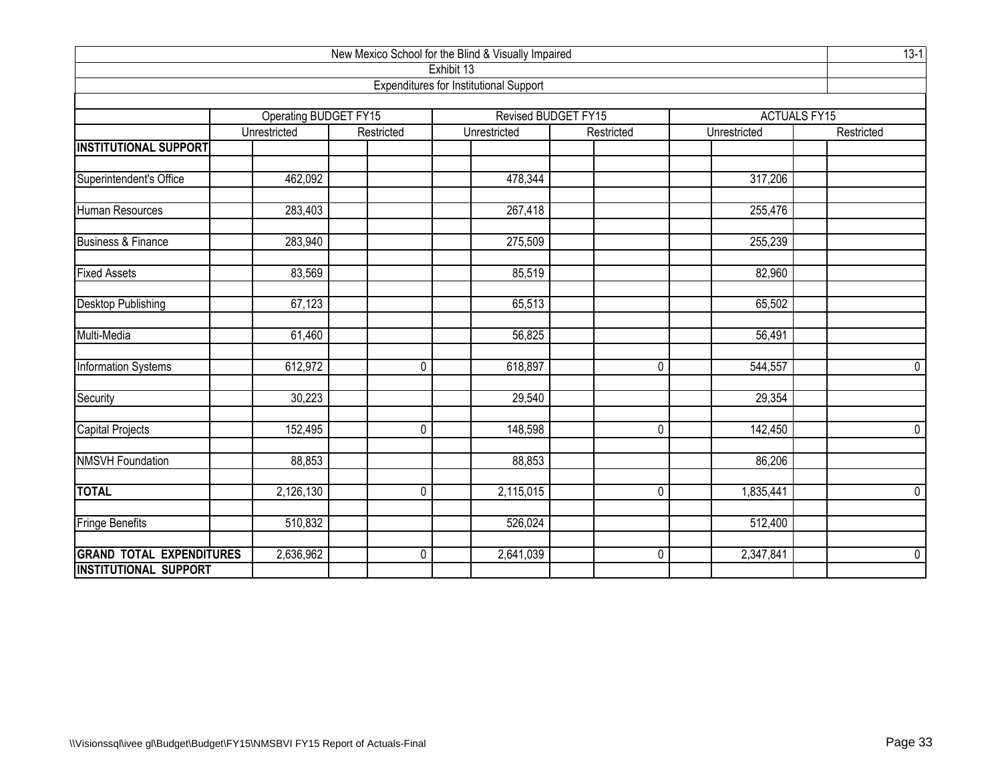| New Mexico School for the Blind & Visually Impaired |                                              |              |                                               |                                   |              |                                   |  |  |  |  |  |  |
|-----------------------------------------------------|----------------------------------------------|--------------|-----------------------------------------------|-----------------------------------|--------------|-----------------------------------|--|--|--|--|--|--|
|                                                     |                                              |              | Exhibit 13                                    |                                   |              |                                   |  |  |  |  |  |  |
|                                                     |                                              |              | <b>Expenditures for Institutional Support</b> |                                   |              |                                   |  |  |  |  |  |  |
|                                                     |                                              |              |                                               |                                   |              |                                   |  |  |  |  |  |  |
|                                                     | <b>Operating BUDGET FY15</b><br>Unrestricted | Restricted   | Unrestricted                                  | Revised BUDGET FY15<br>Restricted | Unrestricted | <b>ACTUALS FY15</b><br>Restricted |  |  |  |  |  |  |
| <b>INSTITUTIONAL SUPPORT</b>                        |                                              |              |                                               |                                   |              |                                   |  |  |  |  |  |  |
|                                                     |                                              |              |                                               |                                   |              |                                   |  |  |  |  |  |  |
| Superintendent's Office                             | 462,092                                      |              | 478,344                                       |                                   | 317,206      |                                   |  |  |  |  |  |  |
|                                                     |                                              |              |                                               |                                   |              |                                   |  |  |  |  |  |  |
| Human Resources                                     | $\overline{283,}403$                         |              | 267,418                                       |                                   | 255,476      |                                   |  |  |  |  |  |  |
| <b>Business &amp; Finance</b>                       | 283,940                                      |              | 275,509                                       |                                   | 255,239      |                                   |  |  |  |  |  |  |
|                                                     |                                              |              |                                               |                                   |              |                                   |  |  |  |  |  |  |
| <b>Fixed Assets</b>                                 | 83,569                                       |              | 85,519                                        |                                   | 82,960       |                                   |  |  |  |  |  |  |
|                                                     |                                              |              |                                               |                                   |              |                                   |  |  |  |  |  |  |
| <b>Desktop Publishing</b>                           | 67,123                                       |              | 65,513                                        |                                   | 65,502       |                                   |  |  |  |  |  |  |
|                                                     |                                              |              |                                               |                                   |              |                                   |  |  |  |  |  |  |
| Multi-Media                                         | 61,460                                       |              | 56,825                                        |                                   | 56,491       |                                   |  |  |  |  |  |  |
| Information Systems                                 | 612,972                                      | $\mathbf 0$  | 618,897                                       | 0                                 | 544,557      | $\mathbf 0$                       |  |  |  |  |  |  |
|                                                     |                                              |              |                                               |                                   |              |                                   |  |  |  |  |  |  |
| Security                                            | 30,223                                       |              | 29,540                                        |                                   | 29,354       |                                   |  |  |  |  |  |  |
| Capital Projects                                    | 152,495                                      | $\mathbf 0$  | 148,598                                       | $\pmb{0}$                         | 142,450      | $\mathbf 0$                       |  |  |  |  |  |  |
|                                                     |                                              |              |                                               |                                   |              |                                   |  |  |  |  |  |  |
| <b>NMSVH Foundation</b>                             | 88,853                                       |              | 88,853                                        |                                   | 86,206       |                                   |  |  |  |  |  |  |
|                                                     |                                              |              |                                               |                                   |              |                                   |  |  |  |  |  |  |
| <b>TOTAL</b>                                        | 2,126,130                                    | $\mathbf{0}$ | 2,115,015                                     | $\mathbf 0$                       | 1,835,441    | $\overline{0}$                    |  |  |  |  |  |  |
| <b>Fringe Benefits</b>                              | 510,832                                      |              | 526,024                                       |                                   | 512,400      |                                   |  |  |  |  |  |  |
|                                                     |                                              |              |                                               |                                   |              |                                   |  |  |  |  |  |  |
| <b>GRAND TOTAL EXPENDITURES</b>                     | 2,636,962                                    | $\mathbf 0$  | 2,641,039                                     | $\mathbf 0$                       | 2,347,841    | $\overline{0}$                    |  |  |  |  |  |  |
| <b>INSTITUTIONAL SUPPORT</b>                        |                                              |              |                                               |                                   |              |                                   |  |  |  |  |  |  |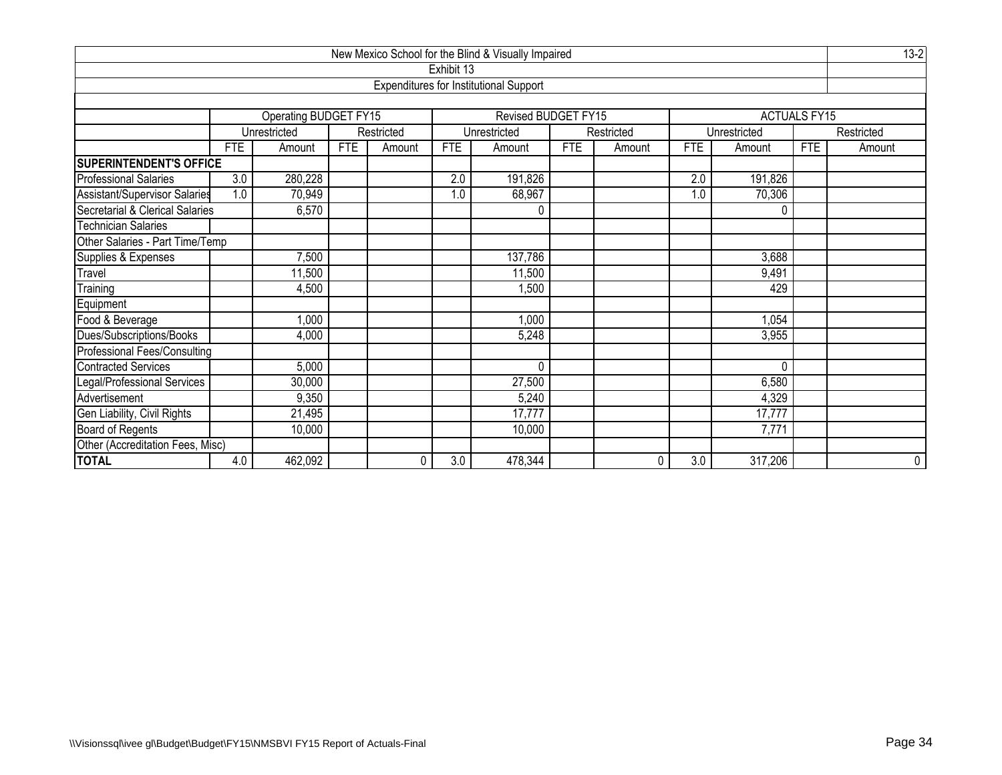| New Mexico School for the Blind & Visually Impaired |                           |                       |            |            |            |                                               |            |            |                  |              |                     |            |
|-----------------------------------------------------|---------------------------|-----------------------|------------|------------|------------|-----------------------------------------------|------------|------------|------------------|--------------|---------------------|------------|
|                                                     |                           |                       |            |            | Exhibit 13 |                                               |            |            |                  |              |                     |            |
|                                                     |                           |                       |            |            |            | <b>Expenditures for Institutional Support</b> |            |            |                  |              |                     |            |
|                                                     |                           |                       |            |            |            |                                               |            |            |                  |              |                     |            |
|                                                     |                           | Operating BUDGET FY15 |            |            |            | Revised BUDGET FY15                           |            |            |                  |              | <b>ACTUALS FY15</b> |            |
|                                                     |                           | Unrestricted          |            | Restricted |            | Unrestricted                                  |            | Restricted |                  | Unrestricted |                     | Restricted |
|                                                     | <b>FTE</b>                | Amount                | <b>FTE</b> | Amount     | <b>FTE</b> | Amount                                        | <b>FTE</b> | Amount     | <b>FTE</b>       | Amount       | <b>FTE</b>          | Amount     |
| <b>SUPERINTENDENT'S OFFICE</b>                      |                           |                       |            |            |            |                                               |            |            |                  |              |                     |            |
| <b>Professional Salaries</b>                        | 3.0                       | 280,228               |            |            | 2.0        | 191,826                                       |            |            | 2.0              | 191,826      |                     |            |
| Assistant/Supervisor Salaries                       | 1.0                       | 70,949                |            |            | 1.0        | 68,967                                        |            |            | 1.0              | 70,306       |                     |            |
| Secretarial & Clerical Salaries                     |                           | 6,570<br>$\Omega$     |            |            |            |                                               |            |            |                  |              |                     |            |
| <b>Technician Salaries</b>                          |                           |                       |            |            |            |                                               |            |            |                  |              |                     |            |
| Other Salaries - Part Time/Temp                     |                           |                       |            |            |            |                                               |            |            |                  |              |                     |            |
| Supplies & Expenses                                 |                           | 137,786<br>7,500      |            |            |            |                                               |            |            |                  | 3,688        |                     |            |
| Travel                                              |                           | 11,500                |            |            |            | 11,500                                        |            |            |                  | 9,491        |                     |            |
| Training                                            |                           | 4,500                 |            |            |            | 1,500                                         |            |            |                  | 429          |                     |            |
| Equipment                                           |                           |                       |            |            |            |                                               |            |            |                  |              |                     |            |
| Food & Beverage                                     |                           | 1,000                 |            |            |            | 1,000                                         |            |            |                  | 1,054        |                     |            |
| Dues/Subscriptions/Books                            |                           | 4,000                 |            |            |            | 5,248                                         |            |            |                  | 3,955        |                     |            |
| Professional Fees/Consulting                        |                           |                       |            |            |            |                                               |            |            |                  |              |                     |            |
| <b>Contracted Services</b>                          |                           | 5,000                 |            |            |            | $\Omega$                                      |            |            |                  | 0            |                     |            |
| Legal/Professional Services                         | 6,580<br>30,000<br>27,500 |                       |            |            |            |                                               |            |            |                  |              |                     |            |
| Advertisement                                       |                           | 9,350                 |            |            |            | 5,240                                         |            |            |                  | 4,329        |                     |            |
| Gen Liability, Civil Rights                         |                           | 21,495                |            |            |            | 17,777                                        |            |            |                  | 17,777       |                     |            |
| <b>Board of Regents</b>                             |                           | 10,000                |            |            |            | 10,000                                        |            |            |                  | 7,771        |                     |            |
| Other (Accreditation Fees, Misc)                    |                           |                       |            |            |            |                                               |            |            |                  |              |                     |            |
| <b>TOTAL</b>                                        | 4.0                       | 462,092               |            | 0          | 3.0        | 478,344                                       |            | 0          | $\overline{3.0}$ | 317,206      |                     | 0          |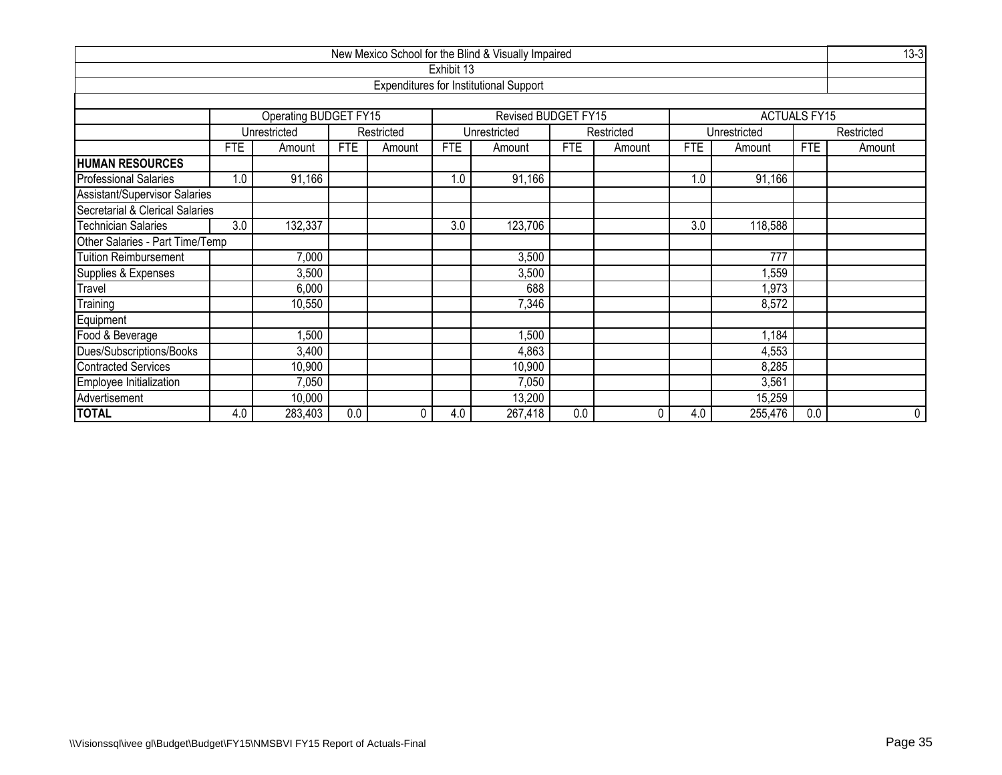| New Mexico School for the Blind & Visually Impaired                              |                         |                       |            |            |            |                                               |            |            |            |              |                     |            |  |
|----------------------------------------------------------------------------------|-------------------------|-----------------------|------------|------------|------------|-----------------------------------------------|------------|------------|------------|--------------|---------------------|------------|--|
|                                                                                  |                         |                       |            |            | Exhibit 13 |                                               |            |            |            |              |                     |            |  |
|                                                                                  |                         |                       |            |            |            | <b>Expenditures for Institutional Support</b> |            |            |            |              |                     |            |  |
|                                                                                  |                         |                       |            |            |            |                                               |            |            |            |              |                     |            |  |
|                                                                                  |                         | Operating BUDGET FY15 |            |            |            | Revised BUDGET FY15                           |            |            |            |              | <b>ACTUALS FY15</b> |            |  |
|                                                                                  |                         | Unrestricted          |            | Restricted |            | Unrestricted                                  |            | Restricted |            | Unrestricted |                     | Restricted |  |
|                                                                                  | <b>FTE</b>              | Amount                | <b>FTE</b> | Amount     | <b>FTE</b> | Amount                                        | <b>FTE</b> | Amount     | <b>FTE</b> | Amount       | <b>FTE</b>          | Amount     |  |
| <b>HUMAN RESOURCES</b>                                                           |                         |                       |            |            |            |                                               |            |            |            |              |                     |            |  |
| <b>Professional Salaries</b>                                                     | 1.0                     | 91,166                |            |            | 1.0        | 91,166                                        |            |            | 1.0        | 91,166       |                     |            |  |
| Assistant/Supervisor Salaries                                                    |                         |                       |            |            |            |                                               |            |            |            |              |                     |            |  |
| Secretarial & Clerical Salaries                                                  |                         |                       |            |            |            |                                               |            |            |            |              |                     |            |  |
| 3.0<br><b>Technician Salaries</b><br>3.0<br>132,337<br>3.0<br>123,706<br>118,588 |                         |                       |            |            |            |                                               |            |            |            |              |                     |            |  |
| Other Salaries - Part Time/Temp                                                  |                         |                       |            |            |            |                                               |            |            |            |              |                     |            |  |
| Tuition Reimbursement                                                            |                         | 7,000                 |            |            |            | 3,500                                         |            |            |            | 777          |                     |            |  |
| Supplies & Expenses                                                              |                         | 3,500                 |            |            |            | 3,500                                         |            |            |            | ,559         |                     |            |  |
| Travel                                                                           |                         | 6,000                 |            |            |            | 688                                           |            |            |            | 1,973        |                     |            |  |
| Training                                                                         |                         | 10,550                |            |            |            | 7,346                                         |            |            |            | 8,572        |                     |            |  |
| Equipment                                                                        |                         |                       |            |            |            |                                               |            |            |            |              |                     |            |  |
| Food & Beverage                                                                  |                         | 1,500                 |            |            |            | ,500                                          |            |            |            | 1,184        |                     |            |  |
| Dues/Subscriptions/Books                                                         | 3,400<br>4,863<br>4,553 |                       |            |            |            |                                               |            |            |            |              |                     |            |  |
| <b>Contracted Services</b>                                                       |                         | 10,900                |            |            |            | 10,900                                        |            |            |            | 8,285        |                     |            |  |
| Employee Initialization                                                          |                         | 7,050                 |            |            |            | 7,050                                         |            |            |            | 3,561        |                     |            |  |
| Advertisement                                                                    |                         | 10,000                |            |            |            | 13,200                                        |            |            |            | 15,259       |                     |            |  |
| <b>TOTAL</b>                                                                     | 4.0                     | 283,403               | 0.0        | 0          | 4.0        | 267,418                                       | 0.0        | 0          | 4.0        | 255,476      | 0.0                 | 0          |  |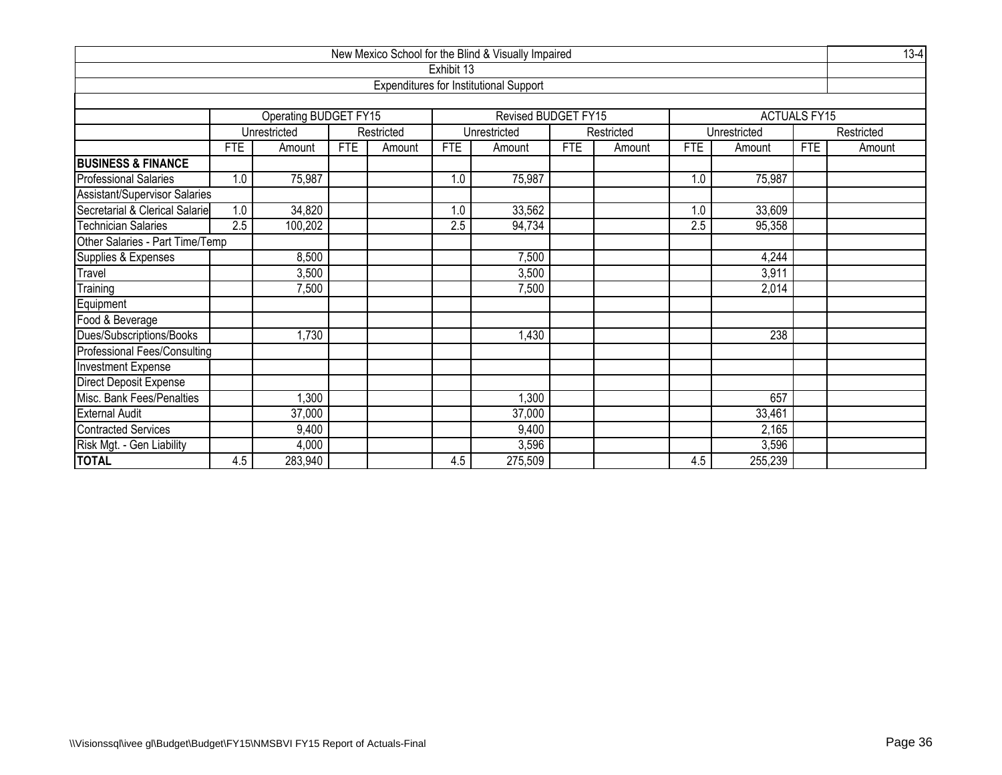| New Mexico School for the Blind & Visually Impaired |                                                                                         |                       |            |            |            |                                               |     |            |            |              |                     |            |  |
|-----------------------------------------------------|-----------------------------------------------------------------------------------------|-----------------------|------------|------------|------------|-----------------------------------------------|-----|------------|------------|--------------|---------------------|------------|--|
|                                                     |                                                                                         |                       |            |            | Exhibit 13 |                                               |     |            |            |              |                     |            |  |
|                                                     |                                                                                         |                       |            |            |            | <b>Expenditures for Institutional Support</b> |     |            |            |              |                     |            |  |
|                                                     |                                                                                         |                       |            |            |            |                                               |     |            |            |              |                     |            |  |
|                                                     |                                                                                         | Operating BUDGET FY15 |            |            |            | Revised BUDGET FY15                           |     |            |            |              | <b>ACTUALS FY15</b> |            |  |
|                                                     |                                                                                         | Unrestricted          |            | Restricted |            | Unrestricted                                  |     | Restricted |            | Unrestricted |                     | Restricted |  |
|                                                     | <b>FTE</b>                                                                              | Amount                | <b>FTE</b> | Amount     | <b>FTE</b> | Amount                                        | FTE | Amount     | <b>FTE</b> | Amount       | <b>FTE</b>          | Amount     |  |
| <b>BUSINESS &amp; FINANCE</b>                       |                                                                                         |                       |            |            |            |                                               |     |            |            |              |                     |            |  |
| <b>Professional Salaries</b>                        | 1.0                                                                                     | 75,987                |            |            | 1.0        | 75,987                                        |     |            | 1.0        | 75,987       |                     |            |  |
| <b>Assistant/Supervisor Salaries</b>                |                                                                                         |                       |            |            |            |                                               |     |            |            |              |                     |            |  |
| Secretarial & Clerical Salarie                      | 1.0<br>34,820<br>1.0<br>33,562<br>1.0<br>33,609                                         |                       |            |            |            |                                               |     |            |            |              |                     |            |  |
| <b>Technician Salaries</b>                          | $\overline{2.5}$<br>$\overline{2.5}$<br>100,202<br>$\overline{2.5}$<br>94,734<br>95,358 |                       |            |            |            |                                               |     |            |            |              |                     |            |  |
| Other Salaries - Part Time/Temp                     |                                                                                         |                       |            |            |            |                                               |     |            |            |              |                     |            |  |
| Supplies & Expenses                                 |                                                                                         | 8,500                 |            |            |            | 7,500                                         |     |            |            | 4,244        |                     |            |  |
| Travel                                              |                                                                                         | 3,500                 |            |            |            | 3,500                                         |     |            |            | 3,911        |                     |            |  |
| Training                                            |                                                                                         | 7,500                 |            |            |            | 7,500                                         |     |            |            | 2,014        |                     |            |  |
| Equipment                                           |                                                                                         |                       |            |            |            |                                               |     |            |            |              |                     |            |  |
| Food & Beverage                                     |                                                                                         |                       |            |            |            |                                               |     |            |            |              |                     |            |  |
| Dues/Subscriptions/Books                            |                                                                                         | ,730                  |            |            |            | 1,430                                         |     |            |            | 238          |                     |            |  |
| Professional Fees/Consulting                        |                                                                                         |                       |            |            |            |                                               |     |            |            |              |                     |            |  |
| <b>Investment Expense</b>                           |                                                                                         |                       |            |            |            |                                               |     |            |            |              |                     |            |  |
| Direct Deposit Expense                              |                                                                                         |                       |            |            |            |                                               |     |            |            |              |                     |            |  |
| Misc. Bank Fees/Penalties                           | ,300<br>,300<br>657                                                                     |                       |            |            |            |                                               |     |            |            |              |                     |            |  |
| <b>External Audit</b>                               |                                                                                         | 37,000                |            |            |            | 37,000                                        |     |            |            | 33,461       |                     |            |  |
| <b>Contracted Services</b>                          |                                                                                         | 9,400                 |            |            |            | 9,400                                         |     |            |            | 2,165        |                     |            |  |
| Risk Mgt. - Gen Liability                           |                                                                                         | 4,000                 |            |            |            | 3,596                                         |     |            |            | 3,596        |                     |            |  |
| <b>TOTAL</b>                                        | 4.5                                                                                     | 283,940               |            |            | 4.5        | 275,509                                       |     |            | 4.5        | 255,239      |                     |            |  |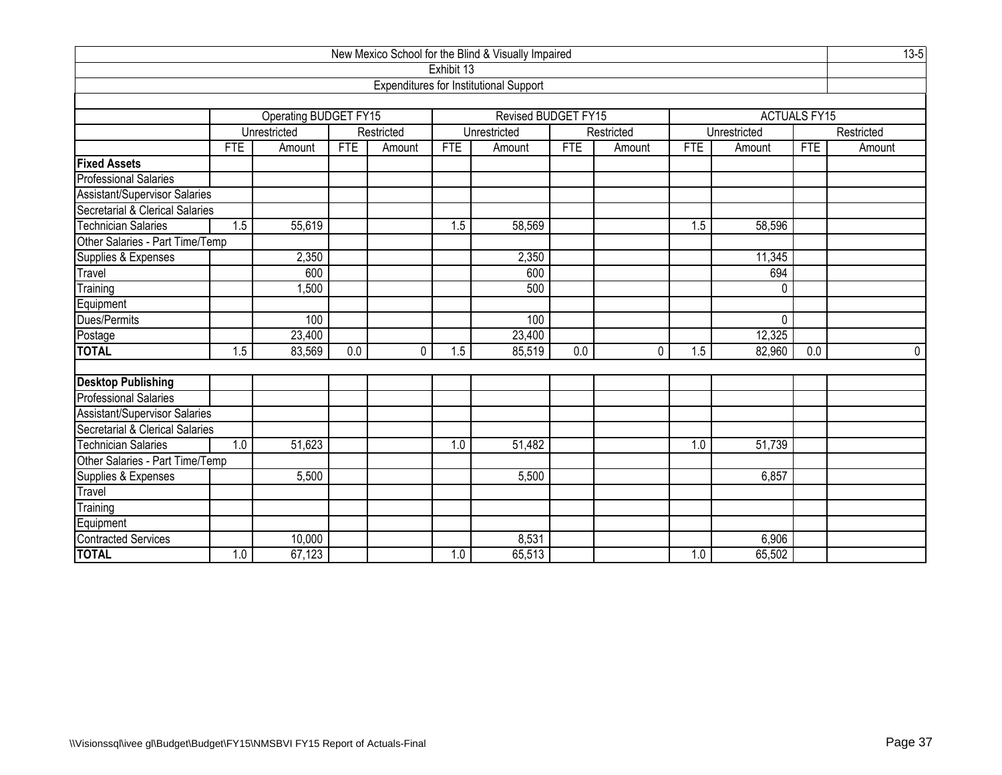| New Mexico School for the Blind & Visually Impaired       |                   |                              |            |            |            |                                               |            |            |     |                     |            |             |  |
|-----------------------------------------------------------|-------------------|------------------------------|------------|------------|------------|-----------------------------------------------|------------|------------|-----|---------------------|------------|-------------|--|
|                                                           |                   |                              |            |            | Exhibit 13 |                                               |            |            |     |                     |            |             |  |
|                                                           |                   |                              |            |            |            | <b>Expenditures for Institutional Support</b> |            |            |     |                     |            |             |  |
|                                                           |                   |                              |            |            |            |                                               |            |            |     |                     |            |             |  |
|                                                           |                   | <b>Operating BUDGET FY15</b> |            |            |            | Revised BUDGET FY15                           |            |            |     | <b>ACTUALS FY15</b> |            |             |  |
|                                                           |                   | Unrestricted                 |            | Restricted |            | Unrestricted                                  |            | Restricted |     | Unrestricted        |            | Restricted  |  |
|                                                           | <b>FTE</b>        | Amount                       | <b>FTE</b> | Amount     | <b>FTE</b> | Amount                                        | <b>FTE</b> | Amount     | FTE | Amount              | <b>FTE</b> | Amount      |  |
| <b>Fixed Assets</b>                                       |                   |                              |            |            |            |                                               |            |            |     |                     |            |             |  |
| <b>Professional Salaries</b>                              |                   |                              |            |            |            |                                               |            |            |     |                     |            |             |  |
| Assistant/Supervisor Salaries                             |                   |                              |            |            |            |                                               |            |            |     |                     |            |             |  |
| Secretarial & Clerical Salaries<br>Technician Salaries    |                   |                              |            |            |            |                                               |            |            |     |                     |            |             |  |
| 55,619<br>1.5<br>1.5<br>58,569<br>58,596<br>1.5           |                   |                              |            |            |            |                                               |            |            |     |                     |            |             |  |
| Other Salaries - Part Time/Temp                           |                   |                              |            |            |            |                                               |            |            |     |                     |            |             |  |
| Supplies & Expenses<br>Travel<br>2,350<br>2,350<br>11,345 |                   |                              |            |            |            |                                               |            |            |     |                     |            |             |  |
|                                                           | 600<br>600<br>694 |                              |            |            |            |                                               |            |            |     |                     |            |             |  |
| Training                                                  |                   | 1,500                        |            |            |            | 500                                           |            |            |     | 0                   |            |             |  |
| Equipment                                                 |                   |                              |            |            |            |                                               |            |            |     |                     |            |             |  |
| Dues/Permits                                              |                   | 100                          |            |            |            | 100                                           |            |            |     | $\mathbf 0$         |            |             |  |
| Postage<br>TOTAL                                          |                   | 23,400                       |            |            |            | 23,400                                        |            |            |     | 12,325              |            |             |  |
|                                                           | 1.5               | 83,569                       | 0.0        | 0          | 1.5        | 85,519                                        | 0.0        | 0          | 1.5 | 82,960              | 0.0        | $\mathbf 0$ |  |
|                                                           |                   |                              |            |            |            |                                               |            |            |     |                     |            |             |  |
| <b>Desktop Publishing</b>                                 |                   |                              |            |            |            |                                               |            |            |     |                     |            |             |  |
| Professional Salaries                                     |                   |                              |            |            |            |                                               |            |            |     |                     |            |             |  |
| Assistant/Supervisor Salaries                             |                   |                              |            |            |            |                                               |            |            |     |                     |            |             |  |
| Secretarial & Clerical Salaries                           |                   |                              |            |            |            |                                               |            |            |     |                     |            |             |  |
| <b>Technician Salaries</b>                                | 1.0               | 51,623                       |            |            | 1.0        | 51,482                                        |            |            | 1.0 | 51,739              |            |             |  |
| Other Salaries - Part Time/Temp<br>Supplies & Expenses    |                   |                              |            |            |            |                                               |            |            |     |                     |            |             |  |
|                                                           |                   | 5,500                        |            |            |            | 5,500                                         |            |            |     | 6,857               |            |             |  |
| Travel                                                    |                   |                              |            |            |            |                                               |            |            |     |                     |            |             |  |
| Training                                                  |                   |                              |            |            |            |                                               |            |            |     |                     |            |             |  |
| Equipment<br>Contracted Services                          |                   |                              |            |            |            |                                               |            |            |     |                     |            |             |  |
|                                                           |                   | 10,000                       |            |            |            | 8,531                                         |            |            |     | 6,906               |            |             |  |
| <b>TOTAL</b>                                              | 1.0               | 67,123                       |            |            | 1.0        | 65,513                                        |            |            | 1.0 | 65,502              |            |             |  |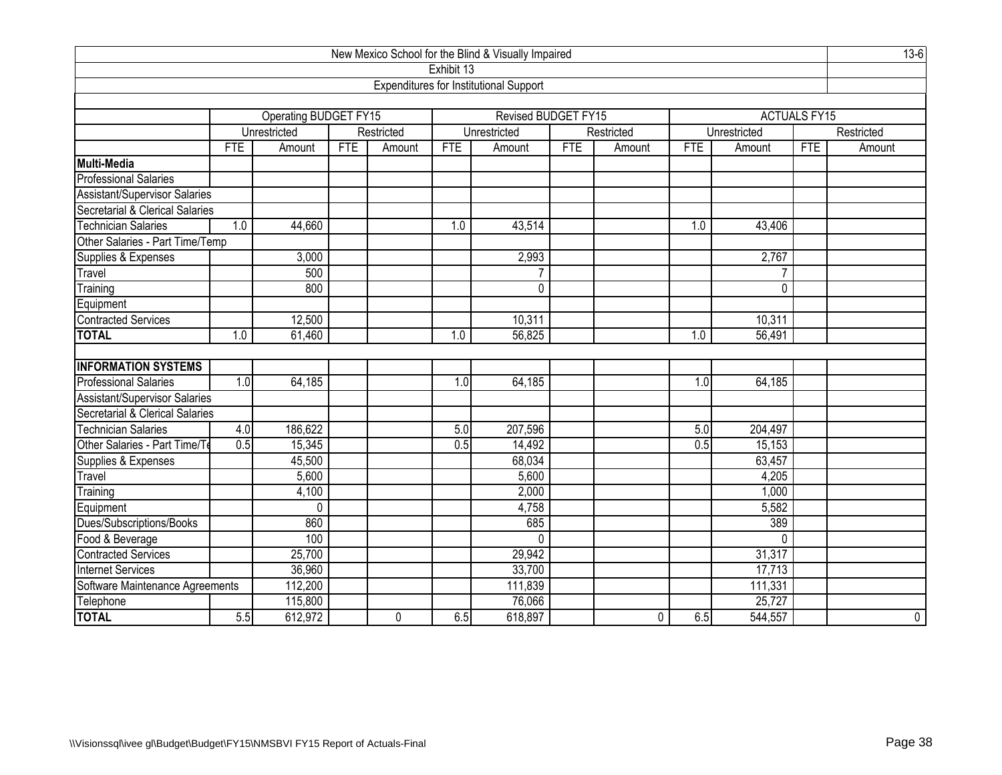| New Mexico School for the Blind & Visually Impaired                           |            |                              |            |            |            |                                               |            |              |                  |              |                     |             |
|-------------------------------------------------------------------------------|------------|------------------------------|------------|------------|------------|-----------------------------------------------|------------|--------------|------------------|--------------|---------------------|-------------|
|                                                                               |            |                              |            |            | Exhibit 13 |                                               |            |              |                  |              |                     |             |
|                                                                               |            |                              |            |            |            | <b>Expenditures for Institutional Support</b> |            |              |                  |              |                     |             |
|                                                                               |            |                              |            |            |            |                                               |            |              |                  |              |                     |             |
|                                                                               |            | <b>Operating BUDGET FY15</b> |            |            |            | Revised BUDGET FY15                           |            |              |                  |              | <b>ACTUALS FY15</b> |             |
|                                                                               |            | Unrestricted                 |            | Restricted |            | Unrestricted                                  |            | Restricted   |                  | Unrestricted |                     | Restricted  |
|                                                                               | <b>FTE</b> | Amount                       | <b>FTE</b> | Amount     | <b>FTE</b> | Amount                                        | <b>FTE</b> | Amount       | <b>FTE</b>       | Amount       | <b>FTE</b>          | Amount      |
| Multi-Media                                                                   |            |                              |            |            |            |                                               |            |              |                  |              |                     |             |
| <b>Professional Salaries</b>                                                  |            |                              |            |            |            |                                               |            |              |                  |              |                     |             |
| Assistant/Supervisor Salaries                                                 |            |                              |            |            |            |                                               |            |              |                  |              |                     |             |
| Secretarial & Clerical Salaries                                               |            |                              |            |            |            |                                               |            |              |                  |              |                     |             |
| <b>Technician Salaries</b><br>44,660<br>1.0<br>1.0<br>1.0<br>43,514<br>43,406 |            |                              |            |            |            |                                               |            |              |                  |              |                     |             |
| Other Salaries - Part Time/Temp                                               |            |                              |            |            |            |                                               |            |              |                  |              |                     |             |
| Supplies & Expenses<br>3,000<br>2,993<br>2,767                                |            |                              |            |            |            |                                               |            |              |                  |              |                     |             |
| Travel                                                                        |            | 500                          |            |            |            | 7                                             |            |              |                  | 7            |                     |             |
| Training                                                                      |            | 800                          |            |            |            | $\overline{0}$                                |            |              |                  | 0            |                     |             |
| Equipment                                                                     |            |                              |            |            |            |                                               |            |              |                  |              |                     |             |
| <b>Contracted Services</b>                                                    |            | 12,500                       |            |            |            | 10,311                                        |            |              |                  | 10,311       |                     |             |
| <b>TOTAL</b>                                                                  | 1.0        | 61,460                       |            |            | 1.0        | 56,825                                        |            |              | 1.0              | 56,491       |                     |             |
|                                                                               |            |                              |            |            |            |                                               |            |              |                  |              |                     |             |
| <b>INFORMATION SYSTEMS</b>                                                    |            |                              |            |            |            |                                               |            |              |                  |              |                     |             |
| <b>Professional Salaries</b>                                                  | 1.0        | 64,185                       |            |            | 1.0        | 64,185                                        |            |              | 1.0              | 64,185       |                     |             |
| Assistant/Supervisor Salaries                                                 |            |                              |            |            |            |                                               |            |              |                  |              |                     |             |
| Secretarial & Clerical Salaries                                               |            |                              |            |            |            |                                               |            |              |                  |              |                     |             |
| <b>Technician Salaries</b>                                                    | 4.0        | 186,622                      |            |            | 5.0        | 207,596                                       |            |              | 5.0              | 204,497      |                     |             |
| Other Salaries - Part Time/Te                                                 | 0.5        | 15,345                       |            |            | 0.5        | 14,492                                        |            |              | $\overline{0.5}$ | 15,153       |                     |             |
| Supplies & Expenses                                                           |            | 45,500                       |            |            |            | 68,034                                        |            |              |                  | 63,457       |                     |             |
| Travel                                                                        |            | 5,600                        |            |            |            | 5,600                                         |            |              |                  | 4,205        |                     |             |
| Training                                                                      |            | 4,100                        |            |            |            | 2,000                                         |            |              |                  | 1,000        |                     |             |
| Equipment                                                                     |            | 0                            |            |            |            | 4,758                                         |            |              |                  | 5,582        |                     |             |
| Dues/Subscriptions/Books                                                      |            | 860                          |            |            |            | 685                                           |            |              |                  | 389          |                     |             |
| Food & Beverage                                                               |            | 100                          |            |            |            | 0                                             |            |              |                  | $\Omega$     |                     |             |
| <b>Contracted Services</b>                                                    |            | 25,700                       |            |            |            | 29,942                                        |            |              |                  | 31,317       |                     |             |
| <b>Internet Services</b>                                                      |            | 36,960                       |            |            |            | 33,700                                        |            |              |                  | 17,713       |                     |             |
| Software Maintenance Agreements                                               |            | 112,200                      |            |            |            | 111,839                                       |            |              |                  | 111,331      |                     |             |
| Telephone                                                                     |            | 115,800                      |            |            |            | 76,066                                        |            |              |                  | 25,727       |                     |             |
| <b>TOTAL</b>                                                                  | 5.5        | 612,972                      |            | 0          | 6.5        | 618,897                                       |            | $\mathbf{0}$ | 6.5              | 544,557      |                     | $\mathbf 0$ |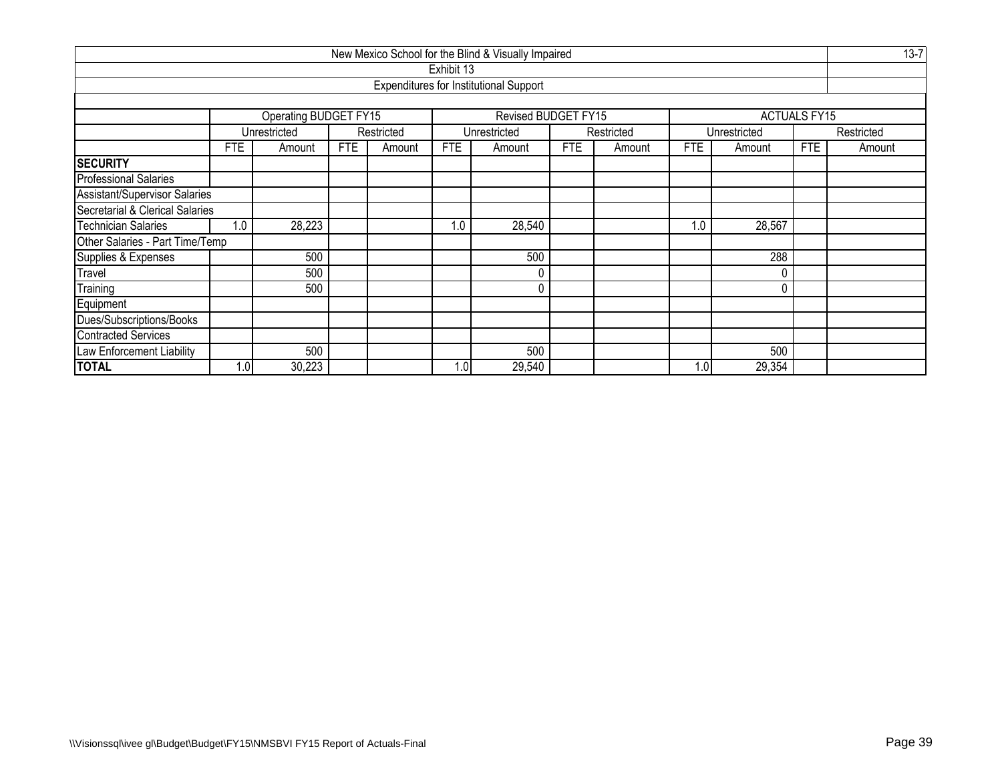| New Mexico School for the Blind & Visually Impaired |            |                       |            |            |                  |                                               |            |            |     |              |                     |            |  |  |  |
|-----------------------------------------------------|------------|-----------------------|------------|------------|------------------|-----------------------------------------------|------------|------------|-----|--------------|---------------------|------------|--|--|--|
|                                                     |            |                       |            |            | Exhibit 13       |                                               |            |            |     |              |                     |            |  |  |  |
|                                                     |            |                       |            |            |                  | <b>Expenditures for Institutional Support</b> |            |            |     |              |                     |            |  |  |  |
|                                                     |            |                       |            |            |                  |                                               |            |            |     |              |                     |            |  |  |  |
|                                                     |            | Operating BUDGET FY15 |            |            |                  | Revised BUDGET FY15                           |            |            |     |              | <b>ACTUALS FY15</b> |            |  |  |  |
|                                                     |            | Unrestricted          |            | Restricted |                  | Unrestricted                                  |            | Restricted |     | Unrestricted |                     | Restricted |  |  |  |
|                                                     | <b>FTE</b> | Amount                | <b>FTE</b> | Amount     | FTE              | Amount                                        | <b>FTE</b> | Amount     | FTE | Amount       | <b>FTE</b>          | Amount     |  |  |  |
| <b>SECURITY</b>                                     |            |                       |            |            |                  |                                               |            |            |     |              |                     |            |  |  |  |
| <b>Professional Salaries</b>                        |            |                       |            |            |                  |                                               |            |            |     |              |                     |            |  |  |  |
| Assistant/Supervisor Salaries                       |            |                       |            |            |                  |                                               |            |            |     |              |                     |            |  |  |  |
| Secretarial & Clerical Salaries                     |            |                       |            |            |                  |                                               |            |            |     |              |                     |            |  |  |  |
| Technician Salaries                                 | 1.0        | 28,223                |            |            | 1.0              | 28,540                                        |            |            | 1.0 | 28,567       |                     |            |  |  |  |
| Other Salaries - Part Time/Temp                     |            |                       |            |            |                  |                                               |            |            |     |              |                     |            |  |  |  |
| Supplies & Expenses                                 |            | 500                   |            |            |                  | 500                                           |            |            |     | 288          |                     |            |  |  |  |
| Travel                                              |            | 500                   |            |            |                  |                                               |            |            |     | 0            |                     |            |  |  |  |
| Training                                            |            | 500                   |            |            |                  |                                               |            |            |     | 0            |                     |            |  |  |  |
| Equipment                                           |            |                       |            |            |                  |                                               |            |            |     |              |                     |            |  |  |  |
| Dues/Subscriptions/Books                            |            |                       |            |            |                  |                                               |            |            |     |              |                     |            |  |  |  |
| <b>Contracted Services</b>                          |            |                       |            |            |                  |                                               |            |            |     |              |                     |            |  |  |  |
| Law Enforcement Liability                           |            | 500                   |            |            |                  | 500                                           |            |            |     | 500          |                     |            |  |  |  |
| <b>TOTAL</b>                                        | 1.0        | 30,223                |            |            | 1.0 <sub>1</sub> | 29,540                                        |            |            | 1.0 | 29,354       |                     |            |  |  |  |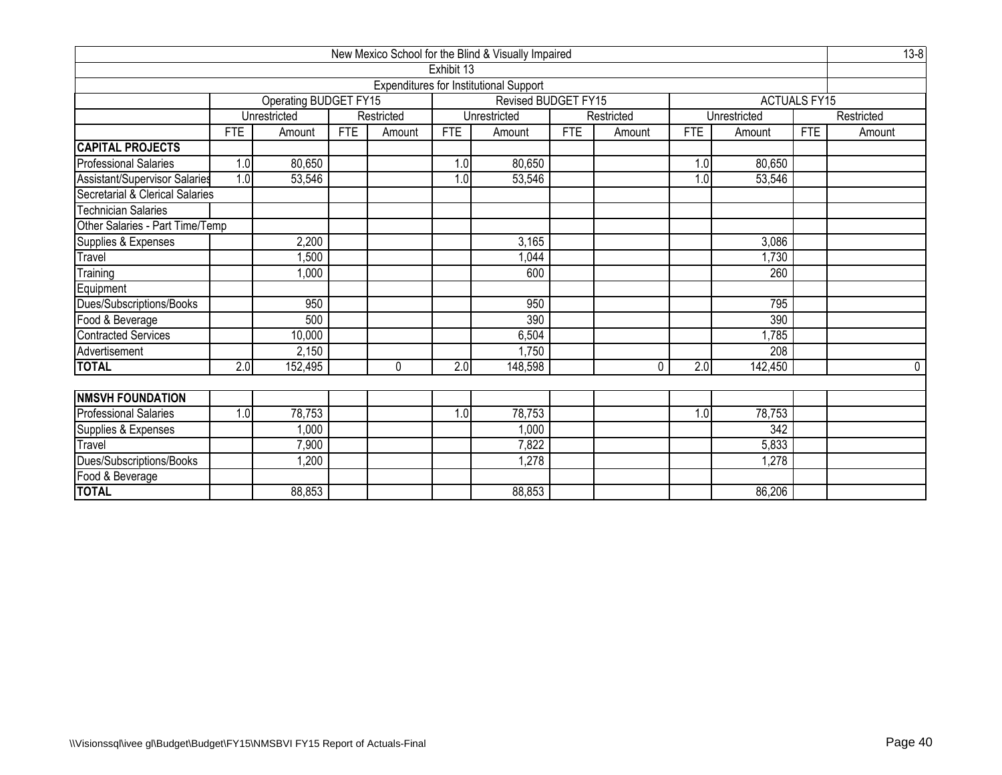|                                                |                         |                       |            |              |                  | New Mexico School for the Blind & Visually Impaired |            |            |                  |                  |                     | $13 - 8$   |  |  |
|------------------------------------------------|-------------------------|-----------------------|------------|--------------|------------------|-----------------------------------------------------|------------|------------|------------------|------------------|---------------------|------------|--|--|
|                                                |                         |                       |            |              | Exhibit 13       |                                                     |            |            |                  |                  |                     |            |  |  |
|                                                |                         |                       |            |              |                  | <b>Expenditures for Institutional Support</b>       |            |            |                  |                  |                     |            |  |  |
|                                                |                         | Operating BUDGET FY15 |            |              |                  | Revised BUDGET FY15                                 |            |            |                  |                  | <b>ACTUALS FY15</b> |            |  |  |
|                                                |                         | Unrestricted          |            | Restricted   |                  | Unrestricted                                        |            | Restricted |                  | Unrestricted     |                     | Restricted |  |  |
|                                                | <b>FTE</b>              | Amount                | <b>FTE</b> | Amount       | <b>FTE</b>       | Amount                                              | <b>FTE</b> | Amount     | <b>FTE</b>       | Amount           | <b>FTE</b>          | Amount     |  |  |
| CAPITAL PROJECTS                               |                         |                       |            |              |                  |                                                     |            |            |                  |                  |                     |            |  |  |
| <b>Professional Salaries</b>                   | 1.0                     | 80,650                |            |              | 1.0              | 80,650                                              |            |            | 1.0              | 80,650           |                     |            |  |  |
| Assistant/Supervisor Salaries                  | 1.0                     | 53,546                |            |              | 1.0              | 53,546                                              |            |            | 1.0              | 53,546           |                     |            |  |  |
| Secretarial & Clerical Salaries                |                         |                       |            |              |                  |                                                     |            |            |                  |                  |                     |            |  |  |
| <b>Technician Salaries</b>                     |                         |                       |            |              |                  |                                                     |            |            |                  |                  |                     |            |  |  |
| Other Salaries - Part Time/Temp                |                         |                       |            |              |                  |                                                     |            |            |                  |                  |                     |            |  |  |
| Supplies & Expenses<br>2,200<br>3,165<br>3,086 |                         |                       |            |              |                  |                                                     |            |            |                  |                  |                     |            |  |  |
| Travel                                         | 1,044<br>1,500<br>1,730 |                       |            |              |                  |                                                     |            |            |                  |                  |                     |            |  |  |
| Training                                       |                         | 1,000                 |            |              |                  | 600                                                 |            |            |                  | 260              |                     |            |  |  |
| Equipment                                      |                         |                       |            |              |                  |                                                     |            |            |                  |                  |                     |            |  |  |
| Dues/Subscriptions/Books                       |                         | 950                   |            |              |                  | 950                                                 |            |            |                  | 795              |                     |            |  |  |
| Food & Beverage                                |                         | 500                   |            |              |                  | 390                                                 |            |            |                  | 390              |                     |            |  |  |
| <b>Contracted Services</b>                     |                         | 10,000                |            |              |                  | 6,504                                               |            |            |                  | 1,785            |                     |            |  |  |
| Advertisement                                  |                         | 2,150                 |            |              |                  | 1,750                                               |            |            |                  | 208              |                     |            |  |  |
| <b>TOTAL</b>                                   | $\overline{2.0}$        | 152,495               |            | $\mathbf{0}$ | $\overline{2.0}$ | 148,598                                             |            | $\Omega$   | $\overline{2.0}$ | 142,450          |                     | $\Omega$   |  |  |
|                                                |                         |                       |            |              |                  |                                                     |            |            |                  |                  |                     |            |  |  |
| <b>NMSVH FOUNDATION</b>                        |                         |                       |            |              |                  |                                                     |            |            |                  |                  |                     |            |  |  |
| <b>Professional Salaries</b>                   | 1.0                     | 78,753                |            |              | 1.0              | 78,753                                              |            |            | 1.0              | 78,753           |                     |            |  |  |
| Supplies & Expenses                            |                         | 1,000                 |            |              |                  | 1,000                                               |            |            |                  | $\overline{342}$ |                     |            |  |  |
| Travel                                         |                         | 7,900                 |            |              |                  | 7,822                                               |            |            |                  | 5,833            |                     |            |  |  |
| Dues/Subscriptions/Books                       |                         | 1,200                 |            |              |                  | 1,278                                               |            |            |                  | 1,278            |                     |            |  |  |
| Food & Beverage                                |                         |                       |            |              |                  |                                                     |            |            |                  |                  |                     |            |  |  |
| <b>TOTAL</b>                                   |                         | 88,853                |            |              |                  | 88,853                                              |            |            |                  | 86,206           |                     |            |  |  |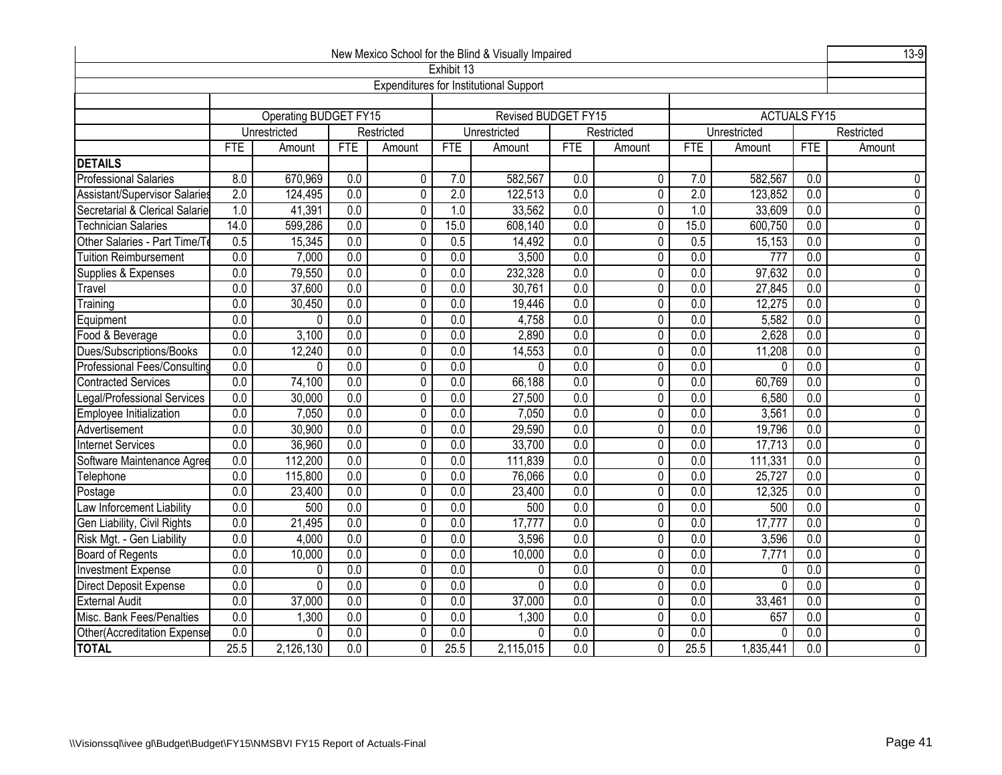| New Mexico School for the Blind & Visually Impaired |                                                                                                                                                         |                                                                                                          |                  |                |                  |                                               |                  |                |                  |              |                     |                             |  |  |
|-----------------------------------------------------|---------------------------------------------------------------------------------------------------------------------------------------------------------|----------------------------------------------------------------------------------------------------------|------------------|----------------|------------------|-----------------------------------------------|------------------|----------------|------------------|--------------|---------------------|-----------------------------|--|--|
|                                                     |                                                                                                                                                         |                                                                                                          |                  |                | Exhibit 13       |                                               |                  |                |                  |              |                     |                             |  |  |
|                                                     |                                                                                                                                                         |                                                                                                          |                  |                |                  | <b>Expenditures for Institutional Support</b> |                  |                |                  |              |                     |                             |  |  |
|                                                     |                                                                                                                                                         |                                                                                                          |                  |                |                  |                                               |                  |                |                  |              |                     |                             |  |  |
|                                                     |                                                                                                                                                         | Operating BUDGET FY15                                                                                    |                  |                |                  | <b>Revised BUDGET FY15</b>                    |                  |                |                  |              | <b>ACTUALS FY15</b> |                             |  |  |
|                                                     |                                                                                                                                                         | Unrestricted                                                                                             |                  | Restricted     |                  | Unrestricted                                  |                  | Restricted     |                  | Unrestricted |                     | Restricted                  |  |  |
|                                                     | <b>FTE</b>                                                                                                                                              | Amount                                                                                                   | FTE              | Amount         | <b>FTE</b>       | Amount                                        | <b>FTE</b>       | Amount         | <b>FTE</b>       | Amount       | <b>FTE</b>          | Amount                      |  |  |
| <b>DETAILS</b>                                      |                                                                                                                                                         |                                                                                                          |                  |                |                  |                                               |                  |                |                  |              |                     |                             |  |  |
| <b>Professional Salaries</b>                        | 8.0                                                                                                                                                     | 670,969                                                                                                  | 0.0              | 0              | 7.0              | 582,567                                       | 0.0              | 0              | 7.0              | 582,567      | 0.0                 | 0                           |  |  |
| Assistant/Supervisor Salaries                       | $\overline{2.0}$                                                                                                                                        | 124,495                                                                                                  | $\overline{0.0}$ | $\mathbf 0$    | $\overline{2.0}$ | 122,513                                       | 0.0              | 0              | $\overline{2.0}$ | 123,852      | 0.0                 | 0                           |  |  |
| Secretarial & Clerical Salarie                      | 1.0                                                                                                                                                     | 41,391                                                                                                   | $\overline{0.0}$ | $\mathbf 0$    | 1.0              | 33,562                                        | $\overline{0.0}$ | 0              | 1.0              | 33,609       | $\overline{0.0}$    | $\pmb{0}$                   |  |  |
| <b>Technician Salaries</b>                          | 14.0                                                                                                                                                    | 599,286                                                                                                  | $\overline{0.0}$ | 0              | 15.0             | 608,140                                       | 0.0              | 0              | 15.0             | 600,750      | 0.0                 | $\pmb{0}$                   |  |  |
| Other Salaries - Part Time/T                        | 0.5                                                                                                                                                     | 15,345                                                                                                   | $\overline{0.0}$ | 0              | 0.5              | 14,492                                        | $\overline{0.0}$ | $\pmb{0}$      | 0.5              | 15,153       | $\overline{0.0}$    | $\pmb{0}$<br>$\overline{0}$ |  |  |
| <b>Tuition Reimbursement</b>                        | 0.0                                                                                                                                                     | 7,000<br>0.0<br>$\overline{0}$<br>0.0<br>3,500<br>0.0<br>$\overline{0}$<br>0.0<br>0.0<br>777             |                  |                |                  |                                               |                  |                |                  |              |                     |                             |  |  |
| Supplies & Expenses                                 | 0.0                                                                                                                                                     | 79,550<br>0.0<br>$\overline{0}$<br>0.0<br>232,328<br>0.0<br>$\overline{0}$<br>0.0<br>97,632<br>0.0       |                  |                |                  |                                               |                  |                |                  |              |                     |                             |  |  |
| Travel                                              |                                                                                                                                                         | 0.0<br>0.0<br>27,845<br>0.0<br>37,600<br>$\mathbf 0$<br>30,761<br>0.0<br>0<br>0.0<br>0.0                 |                  |                |                  |                                               |                  |                |                  |              |                     |                             |  |  |
| Training                                            |                                                                                                                                                         | 0.0<br>30,450<br>0.0<br>$\overline{0}$<br>0.0<br>19,446<br>0.0<br>$\overline{0}$<br>0.0<br>12,275<br>0.0 |                  |                |                  |                                               |                  |                |                  |              |                     |                             |  |  |
| Equipment                                           | 0.0                                                                                                                                                     | 0.0<br>0<br>0.0<br>4,758<br>0.0<br>0<br>0.0<br>5,582<br>0.0<br>0                                         |                  |                |                  |                                               |                  |                |                  |              |                     |                             |  |  |
| Food & Beverage                                     | 0.0<br>3,100<br>$\overline{0.0}$<br>0<br>0.0<br>2,890<br>$\overline{0.0}$<br>0<br>$\overline{0.0}$<br>2,628<br>$\overline{0.0}$                         |                                                                                                          |                  |                |                  |                                               |                  |                | $\pmb{0}$        |              |                     |                             |  |  |
| Dues/Subscriptions/Books                            | 0.0                                                                                                                                                     | 12,240                                                                                                   | 0.0              | 0              | $\overline{0.0}$ | 14,553                                        | $\overline{0.0}$ | 0              | 0.0              | 11,208       | 0.0                 | 0                           |  |  |
| Professional Fees/Consulting                        | $\overline{0.0}$                                                                                                                                        | 0                                                                                                        | $\overline{0.0}$ | $\pmb{0}$      | $\overline{0.0}$ | 0                                             | $\overline{0.0}$ | 0              | $\overline{0.0}$ | $\Omega$     | $\overline{0.0}$    | $\pmb{0}$                   |  |  |
| <b>Contracted Services</b>                          | 0.0                                                                                                                                                     | 74,100                                                                                                   | 0.0              | $\overline{0}$ | 0.0              | 66,188                                        | 0.0              | $\overline{0}$ | 0.0              | 60,769       | 0.0                 | $\overline{0}$              |  |  |
| Legal/Professional Services                         | $\overline{0.0}$                                                                                                                                        | 30,000                                                                                                   | 0.0              | $\overline{0}$ | $\overline{0.0}$ | 27,500                                        | $\overline{0.0}$ | 0              | $\overline{0.0}$ | 6,580        | $\overline{0.0}$    | $\overline{0}$              |  |  |
| Employee Initialization                             | $\overline{0.0}$                                                                                                                                        | 7,050                                                                                                    | 0.0              | $\overline{0}$ | 0.0              | 7,050                                         | 0.0              | $\pmb{0}$      | 0.0              | 3,561        | 0.0                 | $\overline{0}$              |  |  |
| Advertisement                                       | $\overline{0.0}$                                                                                                                                        | 30,900                                                                                                   | $\overline{0.0}$ | $\pmb{0}$      | $\overline{0.0}$ | 29,590                                        | 0.0              | 0              | $\overline{0.0}$ | 19,796       | $\overline{0.0}$    | $\pmb{0}$                   |  |  |
| Internet Services                                   | 0.0                                                                                                                                                     | 36,960                                                                                                   | 0.0              | $\overline{0}$ | 0.0              | 33,700                                        | $\overline{0.0}$ | $\mathbf 0$    | 0.0              | 17,713       | 0.0                 | $\overline{0}$              |  |  |
| Software Maintenance Agree                          | $\overline{0.0}$                                                                                                                                        | 112,200                                                                                                  | 0.0              | $\overline{0}$ | 0.0              | 111,839                                       | $\overline{0.0}$ | $\pmb{0}$      | 0.0              | 111,331      | 0.0                 | $\overline{0}$              |  |  |
| Telephone                                           | $\overline{0.0}$                                                                                                                                        | 115,800                                                                                                  | 0.0              | $\overline{0}$ | $\overline{0.0}$ | 76,066                                        | $\overline{0.0}$ | $\overline{0}$ | $\overline{0.0}$ | 25,727       | $\overline{0.0}$    | $\overline{0}$              |  |  |
| Postage                                             | $\overline{0.0}$                                                                                                                                        | 23,400                                                                                                   | 0.0              | 0              | 0.0              | 23,400                                        | 0.0              | 0              | 0.0              | 12,325       | 0.0                 | $\pmb{0}$                   |  |  |
| Law Inforcement Liability                           | 0.0                                                                                                                                                     | 500                                                                                                      | $\overline{0.0}$ | $\pmb{0}$      | $\overline{0.0}$ | 500                                           | $\overline{0.0}$ | $\pmb{0}$      | $\overline{0.0}$ | 500          | 0.0                 | $\overline{0}$              |  |  |
| Gen Liability, Civil Rights                         | $\overline{0.0}$                                                                                                                                        | 21,495                                                                                                   | $\overline{0.0}$ | $\pmb{0}$      | $\overline{0.0}$ | 17,777                                        | $\overline{0.0}$ | $\pmb{0}$      | 0.0              | 17,777       | $\overline{0.0}$    | $\pmb{0}$                   |  |  |
| Risk Mgt. - Gen Liability                           | $\overline{0.0}$                                                                                                                                        | 4,000                                                                                                    | 0.0              | $\overline{0}$ | 0.0              | 3,596                                         | $\overline{0.0}$ | $\overline{0}$ | 0.0              | 3,596        | 0.0                 | $\overline{0}$              |  |  |
| Board of Regents                                    | $\overline{0.0}$                                                                                                                                        | 10,000                                                                                                   | $\overline{0.0}$ | $\overline{0}$ | $\overline{0.0}$ | 10,000                                        | $\overline{0.0}$ | $\mathbf 0$    | $\overline{0.0}$ | 7,771        | $\overline{0.0}$    | $\mathbf 0$                 |  |  |
| <b>Investment Expense</b>                           | 0.0                                                                                                                                                     | 0                                                                                                        | 0.0              | $\overline{0}$ | $\overline{0.0}$ | 0                                             | $\overline{0.0}$ | $\mathbf 0$    | $\overline{0.0}$ | 0            | $\overline{0.0}$    | $\overline{0}$              |  |  |
| Direct Deposit Expense                              | $\overline{0.0}$                                                                                                                                        | 0                                                                                                        | 0.0              | 0              | $\overline{0.0}$ | 0                                             | $\overline{0.0}$ | $\mathbf 0$    | $\overline{0.0}$ | $\mathbf{0}$ | $\overline{0.0}$    | $\overline{0}$              |  |  |
| <b>External Audit</b>                               | $\overline{0.0}$                                                                                                                                        | 37,000                                                                                                   | $\overline{0.0}$ | $\mathbf 0$    | $\overline{0.0}$ | 37,000                                        | $\overline{0.0}$ | $\mathbf 0$    | $\overline{0.0}$ | 33,461       | $\overline{0.0}$    | $\mathbf 0$                 |  |  |
| Misc. Bank Fees/Penalties                           | $\overline{0.0}$                                                                                                                                        | 1,300                                                                                                    | $\overline{0.0}$ | $\mathbf 0$    | $\overline{0.0}$ | 1,300                                         | 0.0              | $\mathbf{0}$   | $\overline{0.0}$ | 657          | 0.0                 | $\pmb{0}$                   |  |  |
| Other(Accreditation Expense                         | 0.0<br>$\overline{0}$<br>$\overline{0.0}$<br>$\overline{0.0}$<br>$\overline{0.0}$<br>$\mathbf 0$<br>$\overline{0.0}$<br>$\overline{0.0}$<br>0<br>0<br>0 |                                                                                                          |                  |                |                  |                                               |                  |                |                  |              | $\overline{0}$      |                             |  |  |
| <b>TOTAL</b>                                        | 25.5                                                                                                                                                    | 2,126,130                                                                                                | 0.0              | 0              | 25.5             | 2,115,015                                     | $\overline{0.0}$ | $\mathbf{0}$   | 25.5             | 1,835,441    | 0.0                 | 0                           |  |  |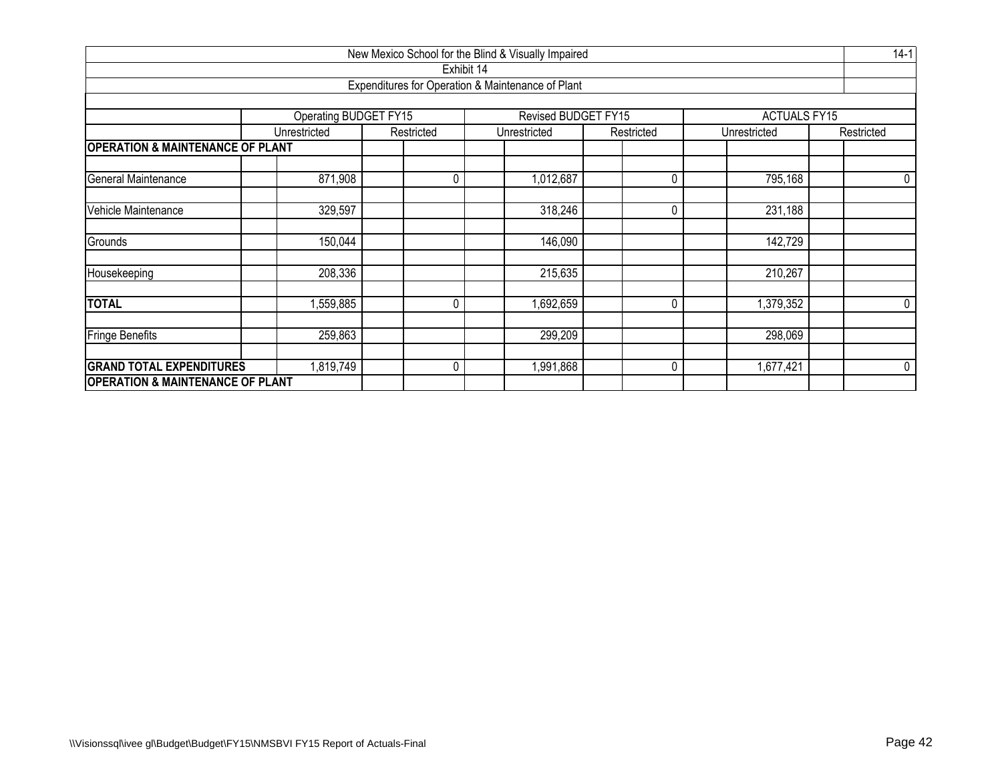| New Mexico School for the Blind & Visually Impaired |                       |            |                                                   |            |                     |            |  |  |  |  |  |  |  |
|-----------------------------------------------------|-----------------------|------------|---------------------------------------------------|------------|---------------------|------------|--|--|--|--|--|--|--|
|                                                     |                       | Exhibit 14 |                                                   |            |                     |            |  |  |  |  |  |  |  |
|                                                     |                       |            | Expenditures for Operation & Maintenance of Plant |            |                     |            |  |  |  |  |  |  |  |
|                                                     |                       |            |                                                   |            |                     |            |  |  |  |  |  |  |  |
|                                                     | Operating BUDGET FY15 |            | Revised BUDGET FY15                               |            | <b>ACTUALS FY15</b> |            |  |  |  |  |  |  |  |
|                                                     | Unrestricted          | Restricted | Unrestricted                                      | Restricted | Unrestricted        | Restricted |  |  |  |  |  |  |  |
| <b>OPERATION &amp; MAINTENANCE OF PLANT</b>         |                       |            |                                                   |            |                     |            |  |  |  |  |  |  |  |
| General Maintenance                                 | 871,908               | 0          | 1,012,687                                         | 0          | 795,168             | 0          |  |  |  |  |  |  |  |
| Vehicle Maintenance                                 | 329,597               |            | 318,246                                           | 0          | 231,188             |            |  |  |  |  |  |  |  |
| Grounds                                             | 150,044               |            | 146,090                                           |            | 142,729             |            |  |  |  |  |  |  |  |
| Housekeeping                                        | 208,336               |            | 215,635                                           |            | 210,267             |            |  |  |  |  |  |  |  |
| <b>TOTAL</b>                                        | 559,885               | 0          | ,692,659                                          | 0          | 1,379,352           | 0          |  |  |  |  |  |  |  |
| <b>Fringe Benefits</b>                              | 259,863               |            | 299,209                                           |            | 298,069             |            |  |  |  |  |  |  |  |
| <b>GRAND TOTAL EXPENDITURES</b>                     | ,819,749              | 0          | 991,868                                           | 0          | 1,677,421           | 0          |  |  |  |  |  |  |  |
| <b>OPERATION &amp; MAINTENANCE OF PLANT</b>         |                       |            |                                                   |            |                     |            |  |  |  |  |  |  |  |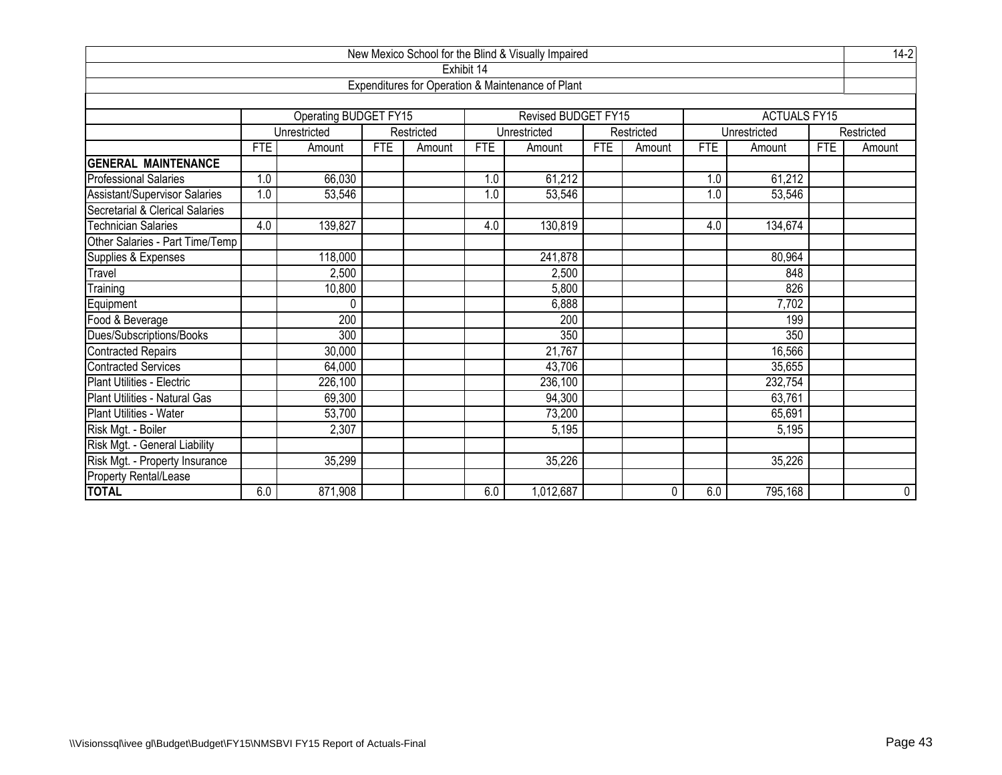| New Mexico School for the Blind & Visually Impaired<br>Exhibit 14 |            |                       |            |            |            |                                                   |            |            |            |                     |            |                |  |
|-------------------------------------------------------------------|------------|-----------------------|------------|------------|------------|---------------------------------------------------|------------|------------|------------|---------------------|------------|----------------|--|
|                                                                   |            |                       |            |            |            |                                                   |            |            |            |                     |            |                |  |
|                                                                   |            |                       |            |            |            | Expenditures for Operation & Maintenance of Plant |            |            |            |                     |            |                |  |
|                                                                   |            |                       |            |            |            |                                                   |            |            |            |                     |            |                |  |
|                                                                   |            | Operating BUDGET FY15 |            |            |            | <b>Revised BUDGET FY15</b>                        |            |            |            | <b>ACTUALS FY15</b> |            |                |  |
|                                                                   |            | Unrestricted          |            | Restricted |            | Unrestricted                                      |            | Restricted |            | Unrestricted        |            | Restricted     |  |
|                                                                   | <b>FTE</b> | Amount                | <b>FTE</b> | Amount     | <b>FTE</b> | Amount                                            | <b>FTE</b> | Amount     | <b>FTE</b> | Amount              | <b>FTE</b> | Amount         |  |
| <b>GENERAL MAINTENANCE</b>                                        |            |                       |            |            |            |                                                   |            |            |            |                     |            |                |  |
| <b>Professional Salaries</b>                                      | 1.0        | 66,030                |            |            | 1.0        | 61,212                                            |            |            | 1.0        | 61,212              |            |                |  |
| Assistant/Supervisor Salaries                                     | 1.0        | 53,546                |            |            | 1.0        | 53,546                                            |            |            | 1.0        | 53,546              |            |                |  |
| Secretarial & Clerical Salaries                                   |            |                       |            |            |            |                                                   |            |            |            |                     |            |                |  |
| <b>Technician Salaries</b>                                        | 4.0        | 139,827               |            |            | 4.0        | 130,819                                           |            |            | 4.0        | 134,674             |            |                |  |
| Other Salaries - Part Time/Temp                                   |            |                       |            |            |            |                                                   |            |            |            |                     |            |                |  |
| Supplies & Expenses                                               |            | 118,000               |            |            |            | 241,878                                           |            |            |            | 80,964              |            |                |  |
| Travel                                                            |            | 2,500                 |            |            |            | 2,500                                             |            |            |            | 848                 |            |                |  |
| Training                                                          |            | 10,800                |            |            |            | 5,800                                             |            |            |            | 826                 |            |                |  |
| Equipment                                                         |            | 0                     |            |            |            | 6,888                                             |            |            |            | 7,702               |            |                |  |
| Food & Beverage                                                   |            | 200                   |            |            |            | 200                                               |            |            |            | 199                 |            |                |  |
| Dues/Subscriptions/Books                                          |            | 300                   |            |            |            | 350                                               |            |            |            | 350                 |            |                |  |
| <b>Contracted Repairs</b>                                         |            | 30,000                |            |            |            | 21,767                                            |            |            |            | 16,566              |            |                |  |
| <b>Contracted Services</b>                                        |            | 64,000                |            |            |            | 43,706                                            |            |            |            | 35,655              |            |                |  |
| Plant Utilities - Electric                                        |            | 226,100               |            |            |            | 236,100                                           |            |            |            | 232,754             |            |                |  |
| Plant Utilities - Natural Gas                                     |            | 69,300                |            |            |            | 94,300                                            |            |            |            | 63,761              |            |                |  |
| Plant Utilities - Water                                           |            | 53,700                |            |            |            | 73,200                                            |            |            |            | 65,691              |            |                |  |
| Risk Mgt. - Boiler                                                |            | 2,307                 |            |            |            | 5,195                                             |            |            |            | 5,195               |            |                |  |
| Risk Mgt. - General Liability                                     |            |                       |            |            |            |                                                   |            |            |            |                     |            |                |  |
| Risk Mgt. - Property Insurance                                    |            | 35,299                |            |            |            | 35,226                                            |            |            |            | 35,226              |            |                |  |
| Property Rental/Lease                                             |            |                       |            |            |            |                                                   |            |            |            |                     |            |                |  |
| <b>TOTAL</b>                                                      | 6.0        | 871,908               |            |            | 6.0        | 1,012,687                                         |            | 0          | 6.0        | 795,168             |            | $\overline{0}$ |  |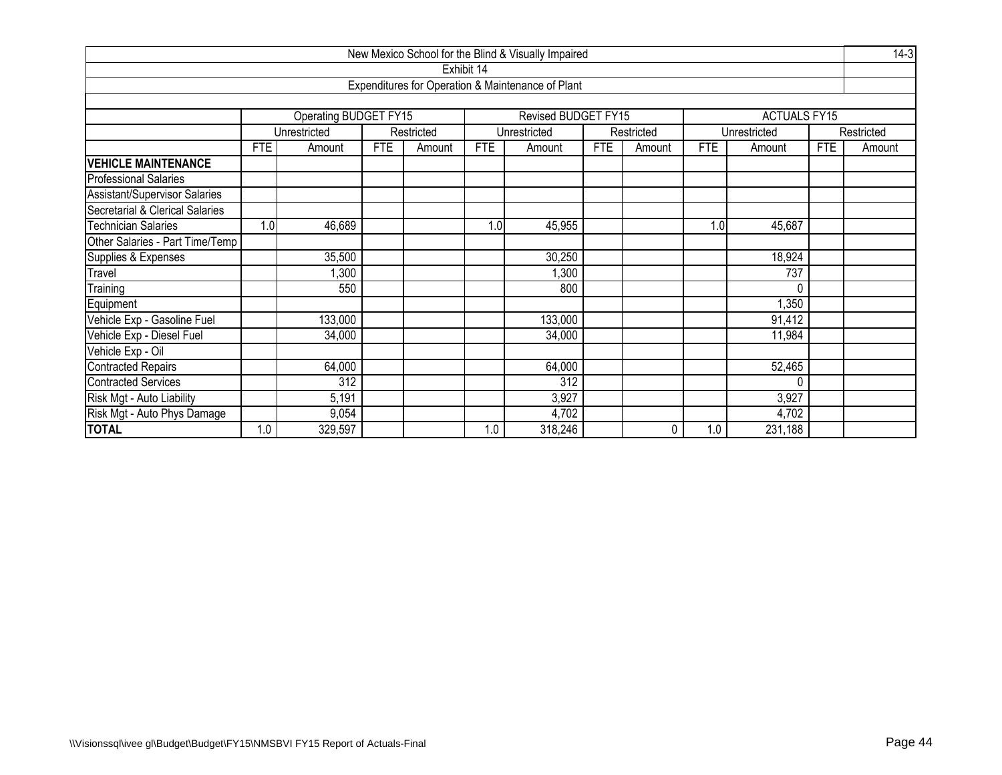|                                                         |            |                       |            |            |            | New Mexico School for the Blind & Visually Impaired |            |            |            |                     |            | $14-3$     |
|---------------------------------------------------------|------------|-----------------------|------------|------------|------------|-----------------------------------------------------|------------|------------|------------|---------------------|------------|------------|
|                                                         |            |                       |            |            | Exhibit 14 |                                                     |            |            |            |                     |            |            |
|                                                         |            |                       |            |            |            | Expenditures for Operation & Maintenance of Plant   |            |            |            |                     |            |            |
|                                                         |            |                       |            |            |            |                                                     |            |            |            |                     |            |            |
|                                                         |            | Operating BUDGET FY15 |            |            |            | Revised BUDGET FY15                                 |            |            |            | <b>ACTUALS FY15</b> |            |            |
|                                                         |            | Unrestricted          |            | Restricted |            | Unrestricted                                        |            | Restricted |            | Unrestricted        |            | Restricted |
|                                                         | <b>FTE</b> | Amount                | <b>FTE</b> | Amount     | <b>FTE</b> | Amount                                              | <b>FTE</b> | Amount     | <b>FTE</b> | Amount              | <b>FTE</b> | Amount     |
| <b>VEHICLE MAINTENANCE</b>                              |            |                       |            |            |            |                                                     |            |            |            |                     |            |            |
| <b>Professional Salaries</b>                            |            |                       |            |            |            |                                                     |            |            |            |                     |            |            |
| <b>Assistant/Supervisor Salaries</b>                    |            |                       |            |            |            |                                                     |            |            |            |                     |            |            |
| Secretarial & Clerical Salaries                         |            |                       |            |            |            |                                                     |            |            |            |                     |            |            |
| <b>Technician Salaries</b>                              | 1.0        | 46,689                |            |            | 1.0        | 45,955                                              |            |            | 1.0        | 45,687              |            |            |
| Other Salaries - Part Time/Temp                         |            |                       |            |            |            |                                                     |            |            |            |                     |            |            |
| Supplies & Expenses                                     |            | 35,500                |            |            |            | 30,250                                              |            |            |            | 18,924              |            |            |
| Travel                                                  |            | 1,300                 |            |            |            | 1,300                                               |            |            |            | 737                 |            |            |
| Training                                                |            | 550                   |            |            |            | 800                                                 |            |            |            | 0                   |            |            |
| Equipment                                               |            |                       |            |            |            |                                                     |            |            |            | 1,350               |            |            |
| Vehicle Exp - Gasoline Fuel                             |            | 133,000               |            |            |            | 133,000                                             |            |            |            | 91,412              |            |            |
| Vehicle Exp - Diesel Fuel                               |            | 34,000                |            |            |            | 34,000                                              |            |            |            | 11,984              |            |            |
| Vehicle Exp - Oil                                       |            |                       |            |            |            |                                                     |            |            |            |                     |            |            |
| <b>Contracted Repairs</b><br>64,000<br>64,000<br>52,465 |            |                       |            |            |            |                                                     |            |            |            |                     |            |            |
| <b>Contracted Services</b>                              |            | $\overline{312}$      |            |            |            | $\overline{312}$                                    |            |            |            | 0                   |            |            |
| Risk Mgt - Auto Liability                               |            | 5,191                 |            |            |            | 3,927                                               |            |            |            | 3,927               |            |            |
| Risk Mgt - Auto Phys Damage                             |            | 9,054                 |            |            |            | 4,702                                               |            |            |            | 4,702               |            |            |
| <b>TOTAL</b>                                            | 1.0        | 329,597               |            |            | 1.0        | 318,246                                             |            | $\Omega$   | 1.0        | 231,188             |            |            |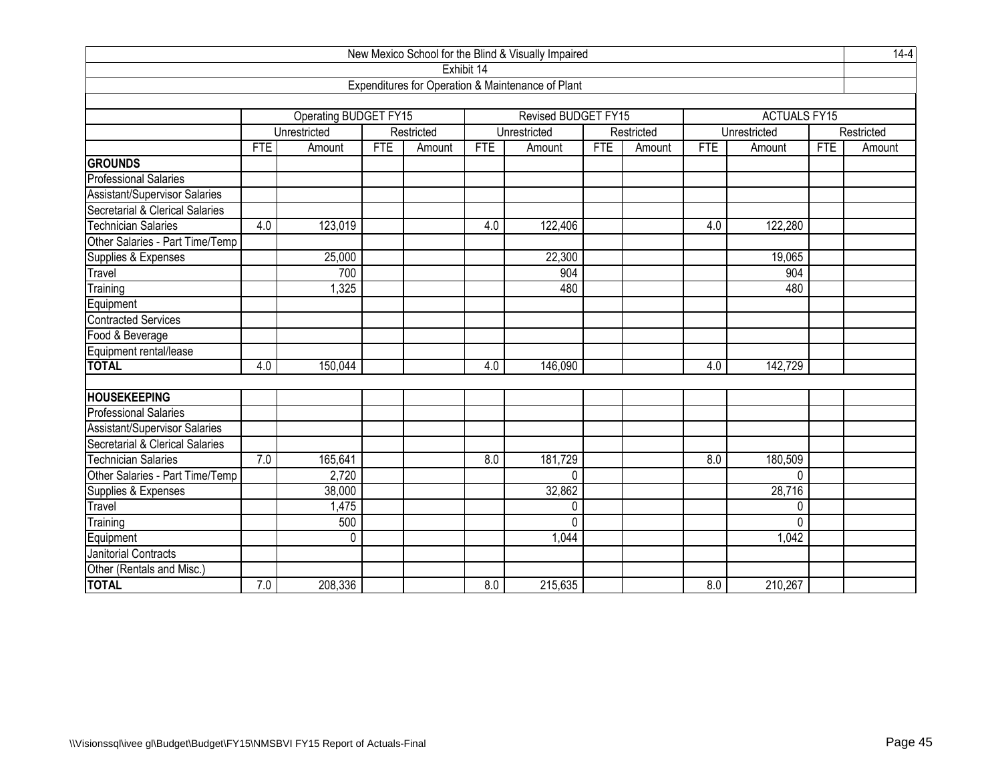|                                      |            |                       |            |            |            | New Mexico School for the Blind & Visually Impaired |            |            |            |                     |            | $14-4$     |
|--------------------------------------|------------|-----------------------|------------|------------|------------|-----------------------------------------------------|------------|------------|------------|---------------------|------------|------------|
|                                      |            |                       |            |            | Exhibit 14 |                                                     |            |            |            |                     |            |            |
|                                      |            |                       |            |            |            | Expenditures for Operation & Maintenance of Plant   |            |            |            |                     |            |            |
|                                      |            |                       |            |            |            |                                                     |            |            |            |                     |            |            |
|                                      |            | Operating BUDGET FY15 |            |            |            | Revised BUDGET FY15                                 |            |            |            | <b>ACTUALS FY15</b> |            |            |
|                                      |            | Unrestricted          |            | Restricted |            | Unrestricted                                        |            | Restricted |            | Unrestricted        |            | Restricted |
|                                      | <b>FTE</b> | Amount                | <b>FTE</b> | Amount     | <b>FTE</b> | Amount                                              | <b>FTE</b> | Amount     | <b>FTE</b> | Amount              | <b>FTE</b> | Amount     |
| <b>GROUNDS</b>                       |            |                       |            |            |            |                                                     |            |            |            |                     |            |            |
| <b>Professional Salaries</b>         |            |                       |            |            |            |                                                     |            |            |            |                     |            |            |
| <b>Assistant/Supervisor Salaries</b> |            |                       |            |            |            |                                                     |            |            |            |                     |            |            |
| Secretarial & Clerical Salaries      |            |                       |            |            |            |                                                     |            |            |            |                     |            |            |
| <b>Technician Salaries</b>           | 4.0        | 123,019               |            |            | 4.0        | 122,406                                             |            |            | 4.0        | 122,280             |            |            |
| Other Salaries - Part Time/Temp      |            |                       |            |            |            |                                                     |            |            |            |                     |            |            |
| Supplies & Expenses                  |            | 25,000                |            |            |            | 22,300                                              |            |            |            | 19,065              |            |            |
| Travel                               |            | 700                   |            |            |            | 904                                                 |            |            |            | 904                 |            |            |
| Training                             |            | 1,325                 |            |            |            | 480                                                 |            |            |            | 480                 |            |            |
| Equipment                            |            |                       |            |            |            |                                                     |            |            |            |                     |            |            |
| <b>Contracted Services</b>           |            |                       |            |            |            |                                                     |            |            |            |                     |            |            |
| Food & Beverage                      |            |                       |            |            |            |                                                     |            |            |            |                     |            |            |
| Equipment rental/lease               |            |                       |            |            |            |                                                     |            |            |            |                     |            |            |
| <b>TOTAL</b>                         | 4.0        | 150,044               |            |            | 4.0        | 146,090                                             |            |            | 4.0        | 142,729             |            |            |
|                                      |            |                       |            |            |            |                                                     |            |            |            |                     |            |            |
| <b>HOUSEKEEPING</b>                  |            |                       |            |            |            |                                                     |            |            |            |                     |            |            |
| <b>Professional Salaries</b>         |            |                       |            |            |            |                                                     |            |            |            |                     |            |            |
| Assistant/Supervisor Salaries        |            |                       |            |            |            |                                                     |            |            |            |                     |            |            |
| Secretarial & Clerical Salaries      |            |                       |            |            |            |                                                     |            |            |            |                     |            |            |
| <b>Technician Salaries</b>           | 7.0        | 165,641               |            |            | 8.0        | 181,729                                             |            |            | 8.0        | 180,509             |            |            |
| Other Salaries - Part Time/Temp      |            | 2,720                 |            |            |            | 0                                                   |            |            |            | U                   |            |            |
| Supplies & Expenses                  |            | 38,000                |            |            |            | 32,862                                              |            |            |            | 28,716              |            |            |
| Travel                               |            | 1,475                 |            |            |            | 0                                                   |            |            |            | 0                   |            |            |
| Training                             |            | 500                   |            |            |            | $\Omega$                                            |            |            |            | $\Omega$            |            |            |
| Equipment                            |            | 0                     |            |            |            | 1,044                                               |            |            |            | 1,042               |            |            |
| Janitorial Contracts                 |            |                       |            |            |            |                                                     |            |            |            |                     |            |            |
| Other (Rentals and Misc.)            |            |                       |            |            |            |                                                     |            |            |            |                     |            |            |
| <b>TOTAL</b>                         | 7.0        | 208,336               |            |            | 8.0        | 215,635                                             |            |            | 8.0        | 210,267             |            |            |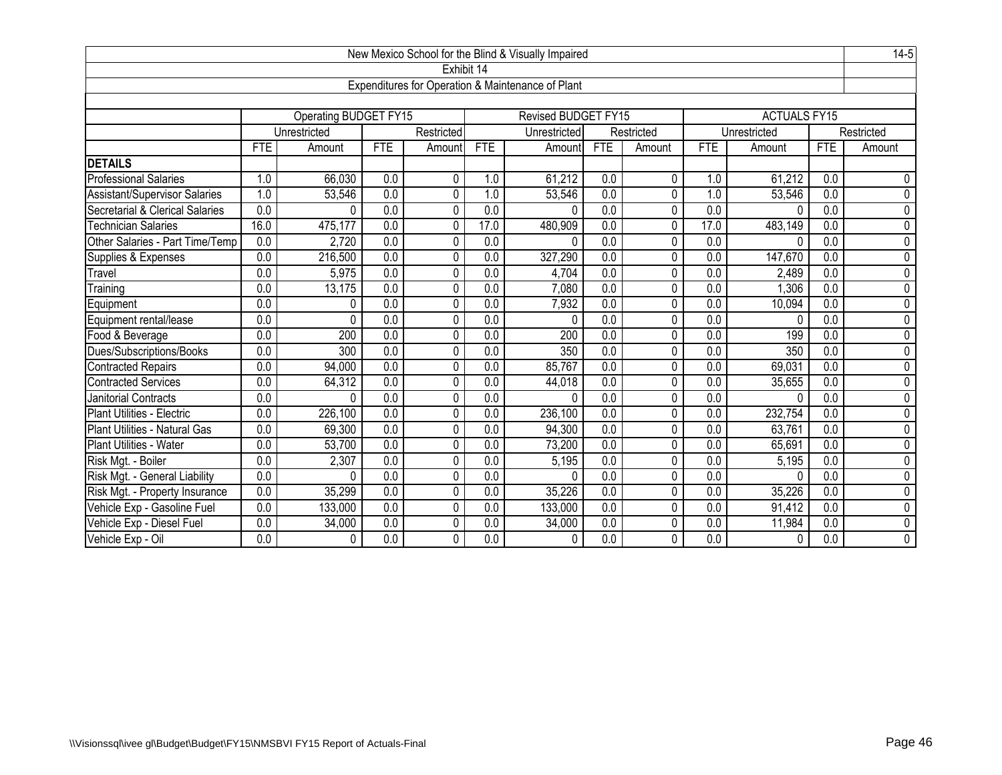| New Mexico School for the Blind & Visually Impaired |                  |                              |                  |                |                  |                                                   |                  |                |                  |                     |                  |                |
|-----------------------------------------------------|------------------|------------------------------|------------------|----------------|------------------|---------------------------------------------------|------------------|----------------|------------------|---------------------|------------------|----------------|
|                                                     |                  |                              |                  |                | Exhibit 14       |                                                   |                  |                |                  |                     |                  |                |
|                                                     |                  |                              |                  |                |                  | Expenditures for Operation & Maintenance of Plant |                  |                |                  |                     |                  |                |
|                                                     |                  |                              |                  |                |                  |                                                   |                  |                |                  |                     |                  |                |
|                                                     |                  | <b>Operating BUDGET FY15</b> |                  |                |                  | <b>Revised BUDGET FY15</b>                        |                  |                |                  | <b>ACTUALS FY15</b> |                  |                |
|                                                     |                  | Unrestricted                 |                  | Restricted     |                  | Unrestricted                                      |                  | Restricted     |                  | Unrestricted        |                  | Restricted     |
|                                                     | <b>FTE</b>       | Amount                       | <b>FTE</b>       | Amount         | <b>FTE</b>       | Amount                                            | <b>FTE</b>       | Amount         | <b>FTE</b>       | Amount              | <b>FTE</b>       | Amount         |
| <b>DETAILS</b>                                      |                  |                              |                  |                |                  |                                                   |                  |                |                  |                     |                  |                |
| <b>Professional Salaries</b>                        | 1.0              | 66,030                       | 0.0              | 0              | 1.0              | 61,212                                            | 0.0              | 0              | 1.0              | 61,212              | 0.0              | $\mathbf 0$    |
| Assistant/Supervisor Salaries                       | 1.0              | 53,546                       | 0.0              | $\Omega$       | 1.0              | 53,546                                            | 0.0              | 0              | 1.0              | 53,546              | 0.0              | 0              |
| Secretarial & Clerical Salaries                     | 0.0              | 0                            | 0.0              | $\mathbf{0}$   | 0.0              | $\Omega$                                          | 0.0              | 0              | 0.0              | $\Omega$            | 0.0              | $\overline{0}$ |
| <b>Technician Salaries</b>                          | 16.0             | 475, 177                     | 0.0              | $\mathbf 0$    | 17.0             | 480,909                                           | $\overline{0.0}$ | 0              | 17.0             | 483,149             | $\overline{0.0}$ | $\overline{0}$ |
| Other Salaries - Part Time/Temp                     | 0.0              | 2,720                        | 0.0              | 0              | 0.0              | 0                                                 | 0.0              | $\mathbf{0}$   | 0.0              | 0                   | 0.0              | 0              |
| Supplies & Expenses                                 | 0.0              | 216,500                      | 0.0              | $\Omega$       | 0.0              | 327,290                                           | 0.0              | $\mathbf{0}$   | 0.0              | 147,670             | 0.0              | $\overline{0}$ |
| Travel                                              | 0.0              | 5,975                        | $\overline{0.0}$ | 0              | $\overline{0.0}$ | 4,704                                             | $\overline{0.0}$ | $\overline{0}$ | $\overline{0.0}$ | 2,489               | 0.0              | $\overline{0}$ |
| Training                                            | 0.0              | 13,175                       | $\overline{0.0}$ | 0              | 0.0              | 7,080                                             | $\overline{0.0}$ | 0              | 0.0              | 1,306               | 0.0              | $\overline{0}$ |
| Equipment                                           | $\overline{0.0}$ | 0                            | 0.0              | 0              | $\overline{0.0}$ | 7,932                                             | $\overline{0.0}$ | $\overline{0}$ | 0.0              | 10,094              | 0.0              | $\overline{0}$ |
| Equipment rental/lease                              | 0.0              | 0                            | 0.0              | $\overline{0}$ | 0.0              | $\Omega$                                          | 0.0              | $\overline{0}$ | 0.0              | $\Omega$            | 0.0              | $\overline{0}$ |
| Food & Beverage                                     | 0.0              | 200                          | $\overline{0.0}$ | 0              | $\overline{0.0}$ | 200                                               | $\overline{0.0}$ | 0              | $\overline{0.0}$ | 199                 | $\overline{0.0}$ | $\overline{0}$ |
| Dues/Subscriptions/Books                            | 0.0              | 300                          | 0.0              | 0              | $\overline{0.0}$ | 350                                               | $\overline{0.0}$ | $\Omega$       | $\overline{0.0}$ | 350                 | 0.0              | $\overline{0}$ |
| <b>Contracted Repairs</b>                           | 0.0              | 94,000                       | 0.0              | 0              | 0.0              | 85,767                                            | $\overline{0.0}$ | 0              | 0.0              | 69,031              | $\overline{0.0}$ | 0              |
| <b>Contracted Services</b>                          | 0.0              | 64,312                       | 0.0              | 0              | 0.0              | 44,018                                            | 0.0              | 0              | 0.0              | 35,655              | 0.0              | $\overline{0}$ |
| Janitorial Contracts                                | 0.0              | $\Omega$                     | 0.0              | 0              | $\overline{0.0}$ | $\Omega$                                          | $\overline{0.0}$ | 0              | $\overline{0.0}$ | $\Omega$            | $\overline{0.0}$ | $\overline{0}$ |
| Plant Utilities - Electric                          | 0.0              | 226,100                      | 0.0              | 0              | 0.0              | 236,100                                           | $\overline{0.0}$ | 0              | 0.0              | 232,754             | $\overline{0.0}$ | $\overline{0}$ |
| Plant Utilities - Natural Gas                       | 0.0              | 69,300                       | $\overline{0.0}$ | 0              | $\overline{0.0}$ | 94,300                                            | $\overline{0.0}$ | 0              | $\overline{0.0}$ | 63,761              | $\overline{0.0}$ | $\overline{0}$ |
| <b>Plant Utilities - Water</b>                      | 0.0              | 53,700                       | 0.0              | 0              | 0.0              | 73,200                                            | 0.0              | 0              | 0.0              | 65,691              | 0.0              | $\overline{0}$ |
| Risk Mgt. - Boiler                                  | 0.0              | 2,307                        | 0.0              | 0              | 0.0              | 5,195                                             | $\overline{0.0}$ | 0              | 0.0              | 5,195               | $\overline{0.0}$ | $\overline{0}$ |
| Risk Mgt. - General Liability                       | 0.0              | 0                            | 0.0              | 0              | 0.0              | 0                                                 | $\overline{0.0}$ | 0              | 0.0              | $\Omega$            | 0.0              | $\overline{0}$ |
| Risk Mgt. - Property Insurance                      | 0.0              | 35,299                       | 0.0              | 0              | 0.0              | 35,226                                            | $\overline{0.0}$ | 0              | 0.0              | 35,226              | 0.0              | $\overline{0}$ |
| Vehicle Exp - Gasoline Fuel                         | $\overline{0.0}$ | 133,000                      | 0.0              | 0              | $\overline{0.0}$ | 133,000                                           | $\overline{0.0}$ | $\mathbf 0$    | $\overline{0.0}$ | 91,412              | $\overline{0.0}$ | $\overline{0}$ |
| Vehicle Exp - Diesel Fuel                           | 0.0              | 34,000                       | 0.0              | 0              | 0.0              | 34,000                                            | 0.0              | 0              | 0.0              | 11,984              | 0.0              | $\overline{0}$ |
| Vehicle Exp - Oil                                   | 0.0              | 0                            | $\overline{0.0}$ | 0              | $\overline{0.0}$ | $\mathbf{0}$                                      | 0.0              | 0              | $\overline{0.0}$ | 0                   | 0.0              | $\overline{0}$ |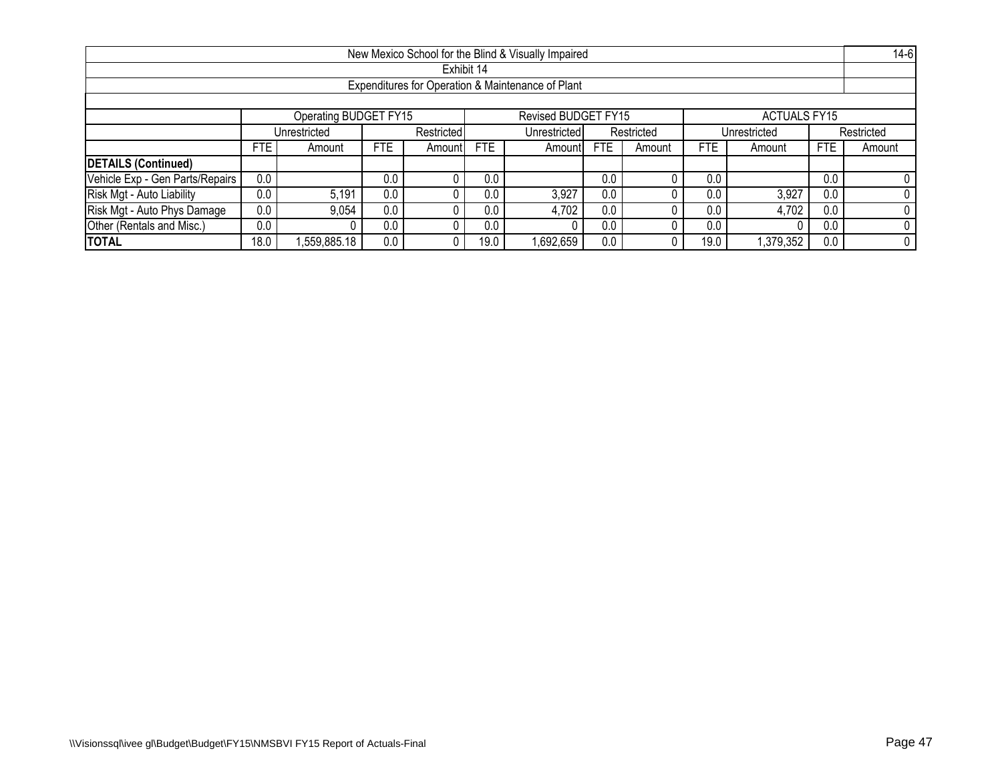|                                                                     |                                                                                                                                             |                                                                          |     |  |            | New Mexico School for the Blind & Visually Impaired |     |  |      |           |     | $14-6$ |  |
|---------------------------------------------------------------------|---------------------------------------------------------------------------------------------------------------------------------------------|--------------------------------------------------------------------------|-----|--|------------|-----------------------------------------------------|-----|--|------|-----------|-----|--------|--|
|                                                                     |                                                                                                                                             |                                                                          |     |  | Exhibit 14 |                                                     |     |  |      |           |     |        |  |
|                                                                     |                                                                                                                                             |                                                                          |     |  |            | Expenditures for Operation & Maintenance of Plant   |     |  |      |           |     |        |  |
|                                                                     |                                                                                                                                             |                                                                          |     |  |            |                                                     |     |  |      |           |     |        |  |
| Operating BUDGET FY15<br>Revised BUDGET FY15<br><b>ACTUALS FY15</b> |                                                                                                                                             |                                                                          |     |  |            |                                                     |     |  |      |           |     |        |  |
|                                                                     |                                                                                                                                             | Restricted<br>Unrestricted<br>Restricted<br>Unrestricted<br>Unrestricted |     |  |            |                                                     |     |  |      |           |     |        |  |
|                                                                     | Restricted<br><b>FTE</b><br><b>FTE</b><br>FTE<br><b>FTE</b><br><b>FTE</b><br><b>FTE</b><br>Amountl<br>Amount<br>Amount<br>Amountl<br>Amount |                                                                          |     |  |            |                                                     |     |  |      | Amount    |     |        |  |
| <b>DETAILS (Continued)</b>                                          |                                                                                                                                             |                                                                          |     |  |            |                                                     |     |  |      |           |     |        |  |
| Vehicle Exp - Gen Parts/Repairs                                     | 0.0                                                                                                                                         |                                                                          | 0.0 |  | 0.0        |                                                     | 0.0 |  | 0.0  |           | 0.0 |        |  |
| Risk Mgt - Auto Liability                                           | 0.0                                                                                                                                         | 5.191                                                                    | 0.0 |  | 0.0        | 3,927                                               | 0.0 |  | 0.0  | 3,927     | 0.0 |        |  |
| Risk Mgt - Auto Phys Damage                                         | 0.0<br>0.0<br>0.0<br>4,702<br>9,054<br>4,702<br>0.0<br>0.0<br>0.0                                                                           |                                                                          |     |  |            |                                                     |     |  |      |           |     |        |  |
| Other (Rentals and Misc.)                                           | 0.0<br>0.0<br>0.0<br>0.0<br>0.0<br>0.0                                                                                                      |                                                                          |     |  |            |                                                     |     |  |      |           |     |        |  |
| <b>TOTAL</b>                                                        | 18.0                                                                                                                                        | .559,885.18                                                              | 0.0 |  | 19.0       | 1,692,659                                           | 0.0 |  | 19.0 | 1,379,352 | 0.0 |        |  |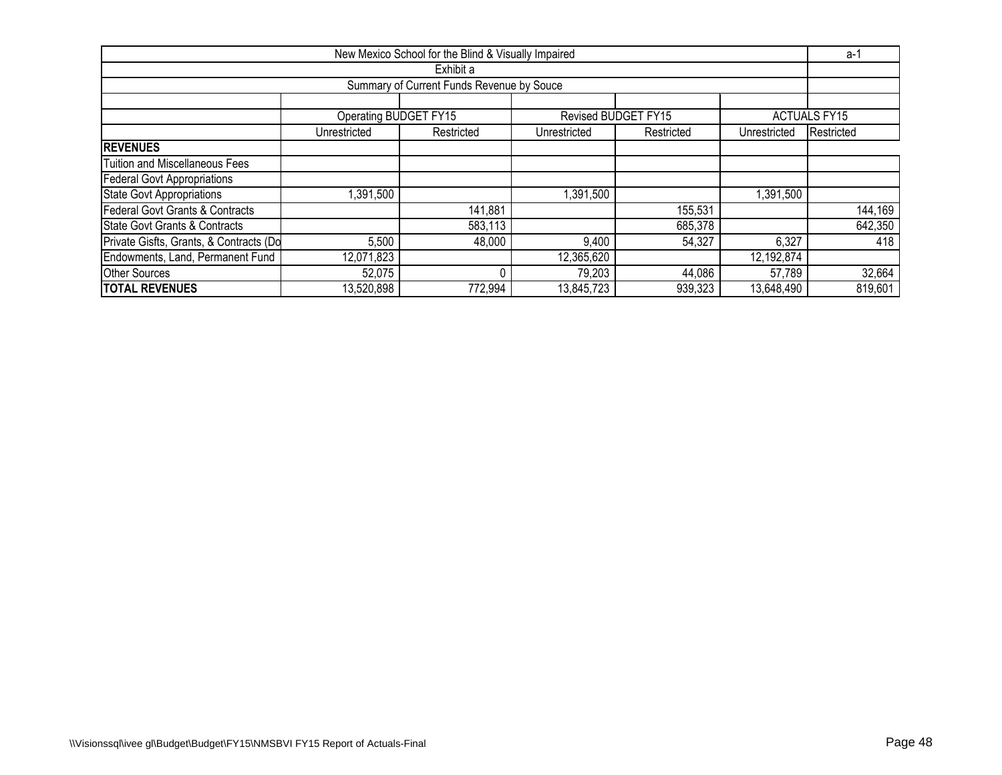|                                                                                         |                                                                                        | New Mexico School for the Blind & Visually Impaired |            |                     |            | a-1                 |  |  |  |  |  |  |  |  |
|-----------------------------------------------------------------------------------------|----------------------------------------------------------------------------------------|-----------------------------------------------------|------------|---------------------|------------|---------------------|--|--|--|--|--|--|--|--|
|                                                                                         |                                                                                        | Exhibit a                                           |            |                     |            |                     |  |  |  |  |  |  |  |  |
|                                                                                         |                                                                                        | Summary of Current Funds Revenue by Souce           |            |                     |            |                     |  |  |  |  |  |  |  |  |
|                                                                                         |                                                                                        |                                                     |            |                     |            |                     |  |  |  |  |  |  |  |  |
|                                                                                         | Operating BUDGET FY15                                                                  |                                                     |            | Revised BUDGET FY15 |            | <b>ACTUALS FY15</b> |  |  |  |  |  |  |  |  |
|                                                                                         | Restricted<br>Unrestricted<br>Restricted<br>Unrestricted<br>Unrestricted<br>Restricted |                                                     |            |                     |            |                     |  |  |  |  |  |  |  |  |
| <b>IREVENUES</b>                                                                        |                                                                                        |                                                     |            |                     |            |                     |  |  |  |  |  |  |  |  |
| <b>Tuition and Miscellaneous Fees</b>                                                   |                                                                                        |                                                     |            |                     |            |                     |  |  |  |  |  |  |  |  |
| Federal Govt Appropriations                                                             |                                                                                        |                                                     |            |                     |            |                     |  |  |  |  |  |  |  |  |
| <b>State Govt Appropriations</b>                                                        | 1,391,500                                                                              |                                                     | 1,391,500  |                     | 1,391,500  |                     |  |  |  |  |  |  |  |  |
| Federal Govt Grants & Contracts                                                         |                                                                                        | 141,881                                             |            | 155,531             |            | 144,169             |  |  |  |  |  |  |  |  |
| State Govt Grants & Contracts                                                           |                                                                                        | 583,113                                             |            | 685,378             |            | 642,350             |  |  |  |  |  |  |  |  |
| Private Gisfts, Grants, & Contracts (Do                                                 | 5,500                                                                                  | 48,000                                              | 9,400      | 54,327              | 6,327      | 418                 |  |  |  |  |  |  |  |  |
| Endowments, Land, Permanent Fund<br>$\overline{12,}071,823$<br>12,365,620<br>12,192,874 |                                                                                        |                                                     |            |                     |            |                     |  |  |  |  |  |  |  |  |
| <b>Other Sources</b>                                                                    | 52,075                                                                                 |                                                     | 79,203     | 44,086              | 57,789     | 32,664              |  |  |  |  |  |  |  |  |
| <b>TOTAL REVENUES</b>                                                                   | 13,520,898                                                                             | 772,994                                             | 13,845,723 | 939,323             | 13,648,490 | 819,601             |  |  |  |  |  |  |  |  |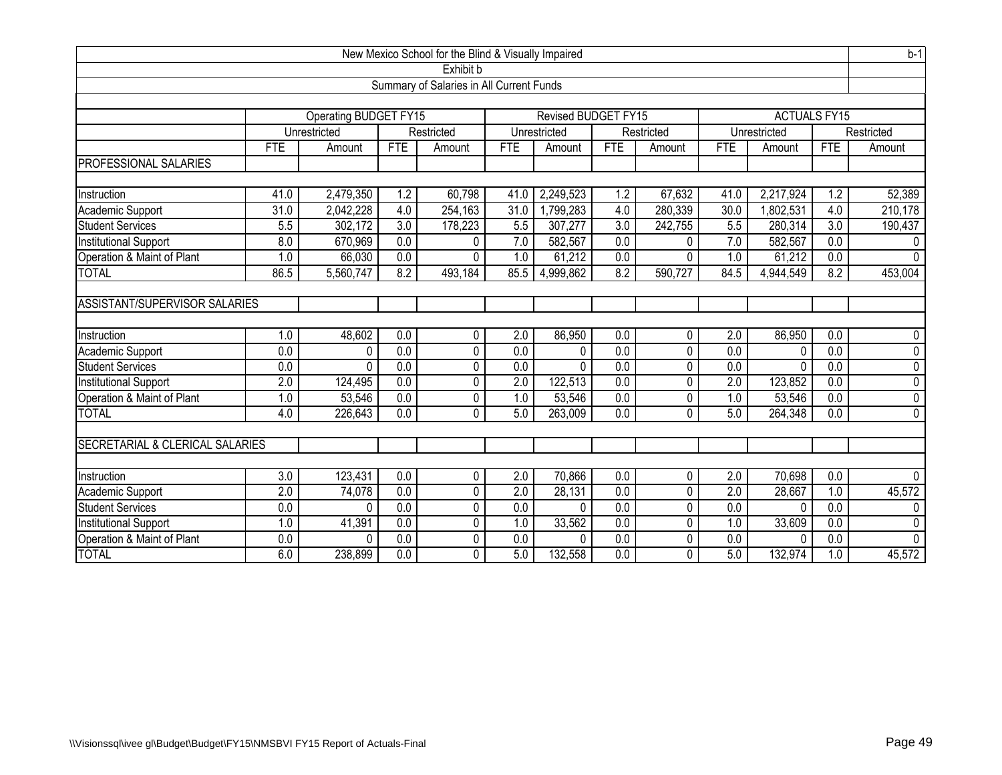| New Mexico School for the Blind & Visually Impaired |                  |                              |                  |                        |                  |                     |                  |            |                   | $b-1$               |                  |                |
|-----------------------------------------------------|------------------|------------------------------|------------------|------------------------|------------------|---------------------|------------------|------------|-------------------|---------------------|------------------|----------------|
| Exhibit b                                           |                  |                              |                  |                        |                  |                     |                  |            |                   |                     |                  |                |
| Summary of Salaries in All Current Funds            |                  |                              |                  |                        |                  |                     |                  |            |                   |                     |                  |                |
|                                                     |                  |                              |                  |                        |                  |                     |                  |            |                   |                     |                  |                |
|                                                     |                  | <b>Operating BUDGET FY15</b> |                  |                        |                  | Revised BUDGET FY15 |                  |            |                   | <b>ACTUALS FY15</b> |                  |                |
|                                                     |                  | Unrestricted                 |                  | Restricted             |                  | Unrestricted        |                  | Restricted |                   | Unrestricted        |                  | Restricted     |
|                                                     | <b>FTE</b>       | Amount                       | <b>FTE</b>       | Amount                 | <b>FTE</b>       | Amount              | <b>FTE</b>       | Amount     | <b>FTE</b>        | Amount              | <b>FTE</b>       | Amount         |
| <b>PROFESSIONAL SALARIES</b>                        |                  |                              |                  |                        |                  |                     |                  |            |                   |                     |                  |                |
|                                                     |                  |                              |                  |                        |                  |                     |                  |            |                   |                     |                  |                |
| Instruction                                         | 41.0             | 2,479,350                    | 1.2              | 60,798                 | 41.0             | 2,249,523           | 1.2              | 67,632     | 41.0              | 2,217,924           | 1.2              | 52,389         |
| Academic Support                                    | 31.0             | 2,042,228                    | 4.0              | $\overline{254}$ , 163 | 31.0             | 1,799,283           | 4.0              | 280,339    | $\overline{30.0}$ | ,802,531            | 4.0              | 210,178        |
| <b>Student Services</b>                             | 5.5              | 302,172                      | $\overline{3.0}$ | 178,223                | 5.5              | 307,277             | 3.0              | 242,755    | 5.5               | 280,314             | $\overline{3.0}$ | 190,437        |
| <b>Institutional Support</b>                        | 8.0              | 670,969                      | $\overline{0.0}$ | 0                      | 7.0              | 582,567             | 0.0              | 0          | 7.0               | 582,567             | $\overline{0.0}$ | 0              |
| Operation & Maint of Plant                          | 1.0              | 66,030                       | 0.0              | 0                      | 1.0              | 61,212              | 0.0              | 0          | 1.0               | 61,212              | 0.0              | $\mathbf{0}$   |
| <b>TOTAL</b>                                        | 86.5             | 5,560,747                    | 8.2              | 493,184                | 85.5             | 4,999,862           | 8.2              | 590,727    | 84.5              | 4,944,549           | 8.2              | 453,004        |
|                                                     |                  |                              |                  |                        |                  |                     |                  |            |                   |                     |                  |                |
| <b>ASSISTANT/SUPERVISOR SALARIES</b>                |                  |                              |                  |                        |                  |                     |                  |            |                   |                     |                  |                |
|                                                     |                  |                              |                  |                        |                  |                     |                  |            |                   |                     |                  |                |
| Instruction                                         | 1.0              | 48,602                       | 0.0              | 0                      | 2.0              | 86,950              | 0.0              | 0          | 2.0               | 86,950              | 0.0              | 0              |
| Academic Support                                    | 0.0              | 0                            | $\overline{0.0}$ | 0                      | 0.0              | 0                   | 0.0              | 0          | $\overline{0.0}$  | 0                   | $\overline{0.0}$ | $\overline{0}$ |
| <b>Student Services</b>                             | 0.0              | $\Omega$                     | 0.0              | 0                      | $\overline{0.0}$ | $\mathbf{0}$        | 0.0              | 0          | 0.0               | 0                   | 0.0              | $\overline{0}$ |
| <b>Institutional Support</b>                        | $\overline{2.0}$ | 124,495                      | 0.0              | 0                      | $\overline{2.0}$ | 122,513             | $\overline{0.0}$ | 0          | 2.0               | 123,852             | 0.0              | $\overline{0}$ |
| Operation & Maint of Plant                          | 1.0              | 53,546                       | $\overline{0.0}$ | 0                      | 1.0              | 53,546              | $\overline{0.0}$ | 0          | 1.0               | 53,546              | 0.0              | $\overline{0}$ |
| <b>TOTAL</b>                                        | 4.0              | 226,643                      | 0.0              | 0                      | 5.0              | 263,009             | 0.0              | 0          | 5.0               | 264,348             | $\overline{0.0}$ | $\overline{0}$ |
|                                                     |                  |                              |                  |                        |                  |                     |                  |            |                   |                     |                  |                |
| SECRETARIAL & CLERICAL SALARIES                     |                  |                              |                  |                        |                  |                     |                  |            |                   |                     |                  |                |
|                                                     |                  |                              |                  |                        |                  |                     |                  |            |                   |                     |                  |                |
| Instruction                                         | 3.0              | 123,431                      | 0.0              | 0                      | 2.0              | 70,866              | 0.0              | 0          | 2.0               | 70,698              | 0.0              | $\Omega$       |
| Academic Support                                    | $\overline{2.0}$ | 74,078                       | $\overline{0.0}$ | 0                      | 2.0              | 28,131              | 0.0              | 0          | $\overline{2.0}$  | 28,667              | 1.0              | 45,572         |
| <b>Student Services</b>                             | 0.0              | $\Omega$                     | $\overline{0.0}$ | 0                      | 0.0              | $\Omega$            | 0.0              | 0          | 0.0               | $\Omega$            | $\overline{0.0}$ | 0              |
| <b>Institutional Support</b>                        | 1.0              | 41,391                       | 0.0              | 0                      | 1.0              | 33,562              | 0.0              | 0          | 1.0               | 33,609              | 0.0              | $\pmb{0}$      |
| Operation & Maint of Plant                          | 0.0              | $\Omega$                     | 0.0              | 0                      | 0.0              | $\Omega$            | 0.0              | 0          | 0.0               | 0                   | 0.0              | 0              |
| <b>TOTAL</b>                                        | 6.0              | 238,899                      | $\overline{0.0}$ | 0                      | 5.0              | 132,558             | $\overline{0.0}$ | 0          | 5.0               | 132,974             | 1.0              | 45,572         |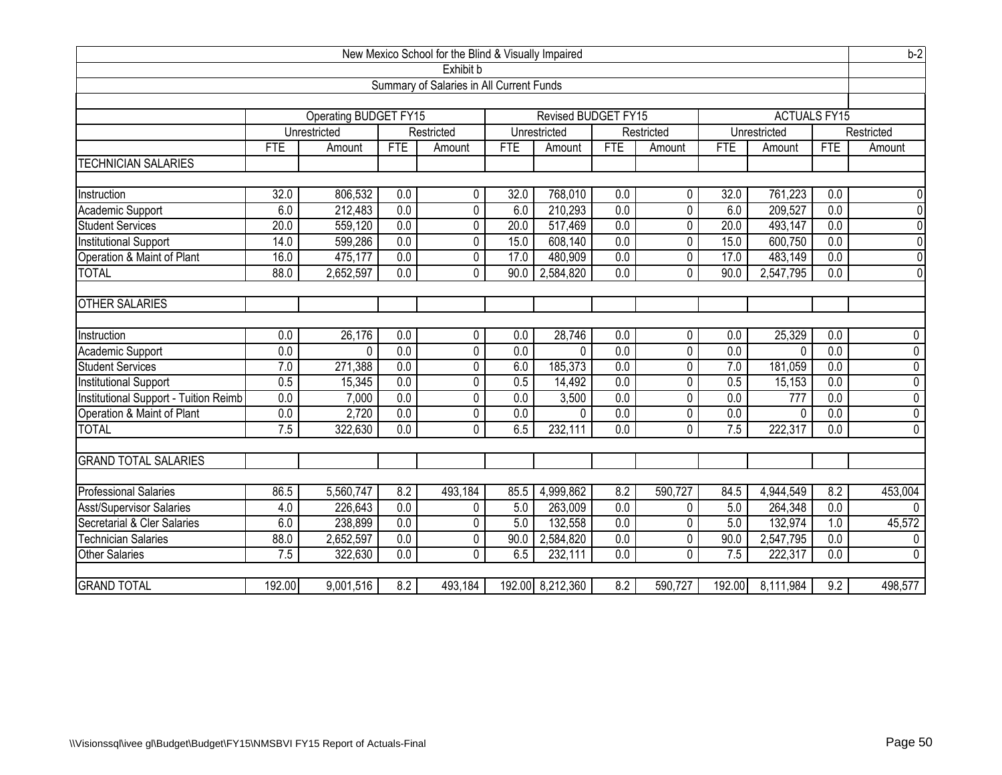| New Mexico School for the Blind & Visually Impaired                 |                  |              |                  |                |                  |                  |                  |                | $b-2$            |              |                  |                |
|---------------------------------------------------------------------|------------------|--------------|------------------|----------------|------------------|------------------|------------------|----------------|------------------|--------------|------------------|----------------|
| Exhibit b                                                           |                  |              |                  |                |                  |                  |                  |                |                  |              |                  |                |
| Summary of Salaries in All Current Funds                            |                  |              |                  |                |                  |                  |                  |                |                  |              |                  |                |
|                                                                     |                  |              |                  |                |                  |                  |                  |                |                  |              |                  |                |
| Operating BUDGET FY15<br><b>ACTUALS FY15</b><br>Revised BUDGET FY15 |                  |              |                  |                |                  |                  |                  |                |                  |              |                  |                |
|                                                                     |                  | Unrestricted |                  | Restricted     |                  | Unrestricted     |                  | Restricted     |                  | Unrestricted |                  | Restricted     |
|                                                                     | <b>FTE</b>       | Amount       | <b>FTE</b>       | Amount         | <b>FTE</b>       | Amount           | <b>FTE</b>       | Amount         | <b>FTE</b>       | Amount       | <b>FTE</b>       | Amount         |
| <b>TECHNICIAN SALARIES</b>                                          |                  |              |                  |                |                  |                  |                  |                |                  |              |                  |                |
|                                                                     |                  |              |                  |                |                  |                  |                  |                |                  |              |                  |                |
| Instruction                                                         | 32.0             | 806,532      | 0.0              | $\mathbf{0}$   | 32.0             | 768,010          | 0.0              | 0              | 32.0             | 761,223      | 0.0              | $\mathbf 0$    |
| Academic Support                                                    | 6.0              | 212,483      | 0.0              | 0              | 6.0              | 210,293          | $\overline{0.0}$ | $\overline{0}$ | 6.0              | 209,527      | 0.0              | $\overline{0}$ |
| Student Services                                                    | 20.0             | 559,120      | $\overline{0.0}$ | 0              | 20.0             | 517,469          | $\overline{0.0}$ | 0              | 20.0             | 493,147      | $\overline{0.0}$ | $\overline{0}$ |
| <b>Institutional Support</b>                                        | 14.0             | 599,286      | 0.0              | 0              | 15.0             | 608,140          | $\overline{0.0}$ | 0              | 15.0             | 600,750      | 0.0              | $\overline{0}$ |
| Operation & Maint of Plant                                          | 16.0             | 475,177      | 0.0              | $\overline{0}$ | 17.0             | 480,909          | 0.0              | $\overline{0}$ | 17.0             | 483,149      | 0.0              | $\overline{0}$ |
| <b>TOTAL</b>                                                        | 88.0             | 2,652,597    | 0.0              | $\Omega$       | 90.0             | 2,584,820        | 0.0              | $\overline{0}$ | 90.0             | 2,547,795    | 0.0              | $\overline{0}$ |
|                                                                     |                  |              |                  |                |                  |                  |                  |                |                  |              |                  |                |
| <b>OTHER SALARIES</b>                                               |                  |              |                  |                |                  |                  |                  |                |                  |              |                  |                |
|                                                                     |                  |              |                  |                |                  |                  |                  |                |                  |              |                  |                |
| Instruction                                                         | 0.0              | 26,176       | $\overline{0.0}$ | $\mathbf{0}$   | 0.0              | 28,746           | 0.0              | 0              | 0.0              | 25,329       | $\overline{0.0}$ | 0              |
| Academic Support                                                    | $\overline{0.0}$ | $\Omega$     | 0.0              | 0              | $\overline{0.0}$ | $\Omega$         | $\overline{0.0}$ | $\overline{0}$ | $\overline{0.0}$ | $\Omega$     | $\overline{0.0}$ | $\overline{0}$ |
| <b>Student Services</b>                                             | 7.0              | 271,388      | 0.0              | 0              | 6.0              | 185,373          | $\overline{0.0}$ | 0              | 7.0              | 181,059      | $\overline{0.0}$ | $\overline{0}$ |
| <b>Institutional Support</b>                                        | $\overline{0.5}$ | 15,345       | 0.0              | 0              | 0.5              | 14,492           | $\overline{0.0}$ | $\overline{0}$ | 0.5              | 15,153       | 0.0              | $\overline{0}$ |
| Institutional Support - Tuition Reimb                               | $\overline{0.0}$ | 7,000        | 0.0              | 0              | 0.0              | 3,500            | $\overline{0.0}$ | 0              | $\overline{0.0}$ | 777          | 0.0              | $\overline{0}$ |
| Operation & Maint of Plant                                          | 0.0              | 2,720        | 0.0              | $\overline{0}$ | $\overline{0.0}$ | 0                | $\overline{0.0}$ | $\overline{0}$ | 0.0              | 0            | 0.0              | $\overline{0}$ |
| <b>TOTAL</b>                                                        | 7.5              | 322,630      | $\overline{0.0}$ | $\Omega$       | 6.5              | 232,111          | 0.0              | 0              | 7.5              | 222,317      | 0.0              | $\mathbf{0}$   |
|                                                                     |                  |              |                  |                |                  |                  |                  |                |                  |              |                  |                |
| <b>GRAND TOTAL SALARIES</b>                                         |                  |              |                  |                |                  |                  |                  |                |                  |              |                  |                |
|                                                                     |                  |              |                  |                |                  |                  |                  |                |                  |              |                  |                |
| <b>Professional Salaries</b>                                        | 86.5             | 5,560,747    | 8.2              | 493,184        | 85.5             | 4,999,862        | 8.2              | 590,727        | 84.5             | 4,944,549    | 8.2              | 453,004        |
| <b>Asst/Supervisor Salaries</b>                                     | 4.0              | 226,643      | 0.0              | 0              | 5.0              | 263,009          | $\overline{0.0}$ | $\Omega$       | 5.0              | 264,348      | $\overline{0.0}$ | $\Omega$       |
| Secretarial & Cler Salaries                                         | 6.0              | 238,899      | 0.0              | 0              | 5.0              | 132,558          | $\overline{0.0}$ | 0              | 5.0              | 132,974      | 1.0              | 45,572         |
| Technician Salaries                                                 | 88.0             | 2,652,597    | 0.0              | 0              | 90.0             | 2,584,820        | $\overline{0.0}$ | $\overline{0}$ | 90.0             | 2,547,795    | 0.0              | $\mathbf{0}$   |
| <b>Other Salaries</b>                                               | 7.5              | 322,630      | $\overline{0.0}$ | 0              | 6.5              | 232,111          | 0.0              | 0              | 7.5              | 222,317      | $\overline{0.0}$ | $\mathbf{0}$   |
|                                                                     |                  |              |                  |                |                  |                  |                  |                |                  |              |                  |                |
| <b>GRAND TOTAL</b>                                                  | 192.00           | 9,001,516    | 8.2              | 493,184        |                  | 192.00 8,212,360 | 8.2              | 590,727        | 192.00           | 8,111,984    | 9.2              | 498,577        |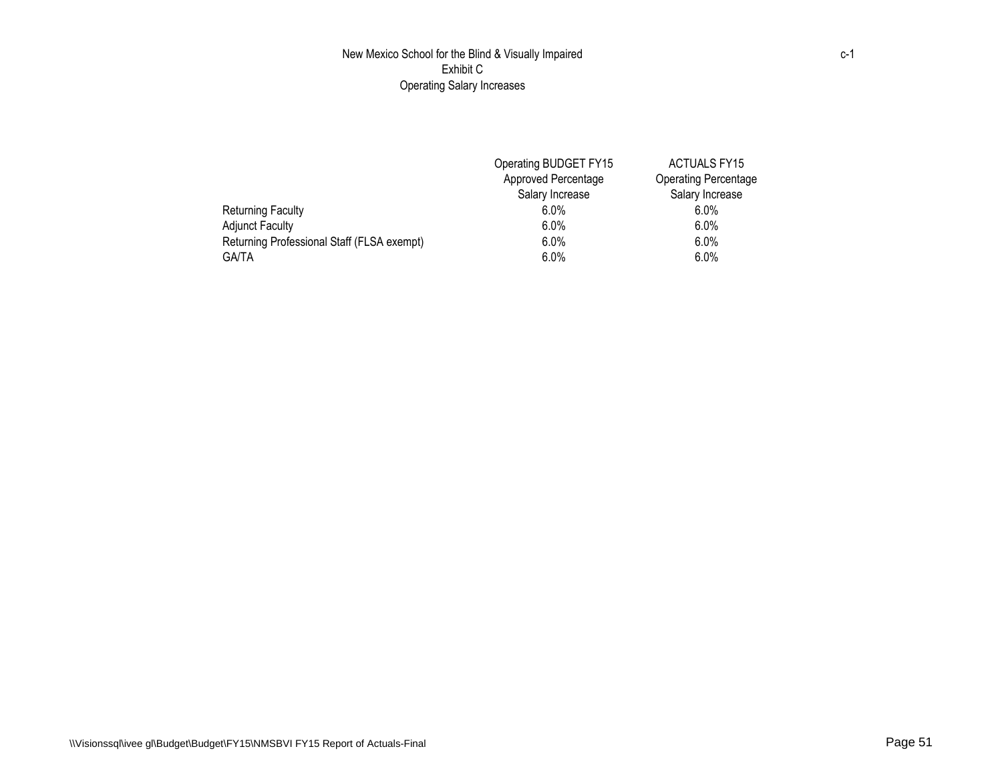## New Mexico School for the Blind & Visually Impaired Exhibit C Operating Salary Increases

|                                            | Operating BUDGET FY15 | <b>ACTUALS FY15</b>         |
|--------------------------------------------|-----------------------|-----------------------------|
|                                            | Approved Percentage   | <b>Operating Percentage</b> |
|                                            | Salary Increase       | Salary Increase             |
| Returning Faculty                          | $6.0\%$               | $6.0\%$                     |
| <b>Adjunct Faculty</b>                     | $6.0\%$               | $6.0\%$                     |
| Returning Professional Staff (FLSA exempt) | $6.0\%$               | $6.0\%$                     |
| <b>GA/TA</b>                               | $6.0\%$               | $6.0\%$                     |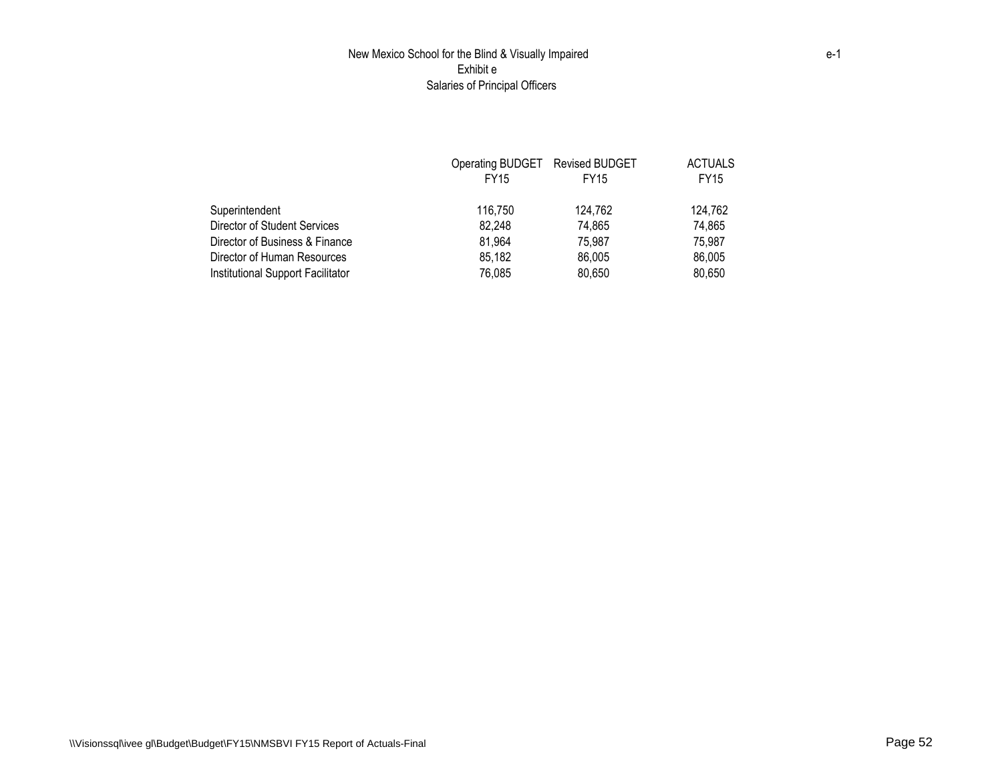## New Mexico School for the Blind & Visually Impaired Exhibit e Salaries of Principal Officers

|                                   | Operating BUDGET Revised BUDGET |             | <b>ACTUALS</b> |
|-----------------------------------|---------------------------------|-------------|----------------|
|                                   | <b>FY15</b>                     | <b>FY15</b> | <b>FY15</b>    |
| Superintendent                    | 116.750                         | 124.762     | 124.762        |
| Director of Student Services      | 82,248                          | 74,865      | 74,865         |
| Director of Business & Finance    | 81,964                          | 75.987      | 75.987         |
| Director of Human Resources       | 85,182                          | 86,005      | 86,005         |
| Institutional Support Facilitator | 76,085                          | 80,650      | 80.650         |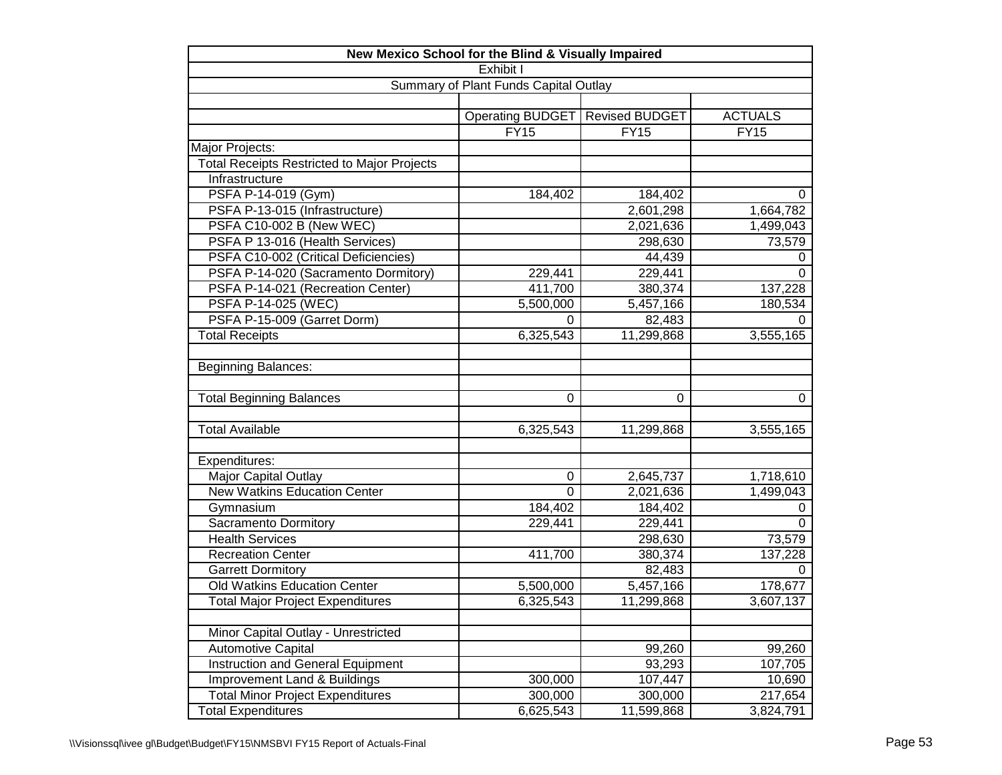| New Mexico School for the Blind & Visually Impaired |                  |                       |                |  |  |  |  |  |
|-----------------------------------------------------|------------------|-----------------------|----------------|--|--|--|--|--|
| Exhibit I                                           |                  |                       |                |  |  |  |  |  |
| Summary of Plant Funds Capital Outlay               |                  |                       |                |  |  |  |  |  |
|                                                     |                  |                       |                |  |  |  |  |  |
|                                                     | Operating BUDGET | <b>Revised BUDGET</b> | <b>ACTUALS</b> |  |  |  |  |  |
|                                                     | <b>FY15</b>      | <b>FY15</b>           | <b>FY15</b>    |  |  |  |  |  |
| Major Projects:                                     |                  |                       |                |  |  |  |  |  |
| <b>Total Receipts Restricted to Major Projects</b>  |                  |                       |                |  |  |  |  |  |
| Infrastructure                                      |                  |                       |                |  |  |  |  |  |
| PSFA P-14-019 (Gym)                                 | 184,402          | 184,402               | 0              |  |  |  |  |  |
| PSFA P-13-015 (Infrastructure)                      |                  | 2,601,298             | 1,664,782      |  |  |  |  |  |
| PSFA C10-002 B (New WEC)                            |                  | 2,021,636             | 1,499,043      |  |  |  |  |  |
| PSFA P 13-016 (Health Services)                     |                  | 298,630               | 73,579         |  |  |  |  |  |
| PSFA C10-002 (Critical Deficiencies)                |                  | 44,439                | 0              |  |  |  |  |  |
| PSFA P-14-020 (Sacramento Dormitory)                | 229,441          | 229,441               | 0              |  |  |  |  |  |
| PSFA P-14-021 (Recreation Center)                   | 411,700          | 380,374               | 137,228        |  |  |  |  |  |
| PSFA P-14-025 (WEC)                                 | 5,500,000        | 5,457,166             | 180,534        |  |  |  |  |  |
| PSFA P-15-009 (Garret Dorm)                         | 0                | 82,483                | 0              |  |  |  |  |  |
| <b>Total Receipts</b>                               | 6,325,543        | 11,299,868            | 3,555,165      |  |  |  |  |  |
|                                                     |                  |                       |                |  |  |  |  |  |
| <b>Beginning Balances:</b>                          |                  |                       |                |  |  |  |  |  |
|                                                     |                  |                       |                |  |  |  |  |  |
| <b>Total Beginning Balances</b>                     | 0                | 0                     | 0              |  |  |  |  |  |
|                                                     |                  |                       |                |  |  |  |  |  |
| <b>Total Available</b>                              | 6,325,543        | 11,299,868            | 3,555,165      |  |  |  |  |  |
|                                                     |                  |                       |                |  |  |  |  |  |
| Expenditures:                                       |                  |                       |                |  |  |  |  |  |
| Major Capital Outlay                                | $\pmb{0}$        | 2,645,737             | 1,718,610      |  |  |  |  |  |
| <b>New Watkins Education Center</b>                 | $\overline{0}$   | 2,021,636             | 1,499,043      |  |  |  |  |  |
| Gymnasium                                           | 184,402          | 184,402               | 0              |  |  |  |  |  |
| Sacramento Dormitory                                | 229,441          | 229,441               | 0              |  |  |  |  |  |
| <b>Health Services</b>                              |                  | 298,630               | 73,579         |  |  |  |  |  |
| <b>Recreation Center</b>                            | 411,700          | 380,374               | 137,228        |  |  |  |  |  |
| <b>Garrett Dormitory</b>                            |                  | 82,483                | 0              |  |  |  |  |  |
| Old Watkins Education Center                        | 5,500,000        | 5,457,166             | 178,677        |  |  |  |  |  |
| <b>Total Major Project Expenditures</b>             | 6,325,543        | 11,299,868            | 3,607,137      |  |  |  |  |  |
|                                                     |                  |                       |                |  |  |  |  |  |
| Minor Capital Outlay - Unrestricted                 |                  |                       |                |  |  |  |  |  |
| <b>Automotive Capital</b>                           |                  | 99,260                | 99,260         |  |  |  |  |  |
| Instruction and General Equipment                   |                  | 93,293                | 107,705        |  |  |  |  |  |
| Improvement Land & Buildings                        | 300,000          | 107,447               | 10,690         |  |  |  |  |  |
| <b>Total Minor Project Expenditures</b>             | 300,000          | 300,000               | 217,654        |  |  |  |  |  |
| <b>Total Expenditures</b>                           | 6,625,543        | 11,599,868            | 3,824,791      |  |  |  |  |  |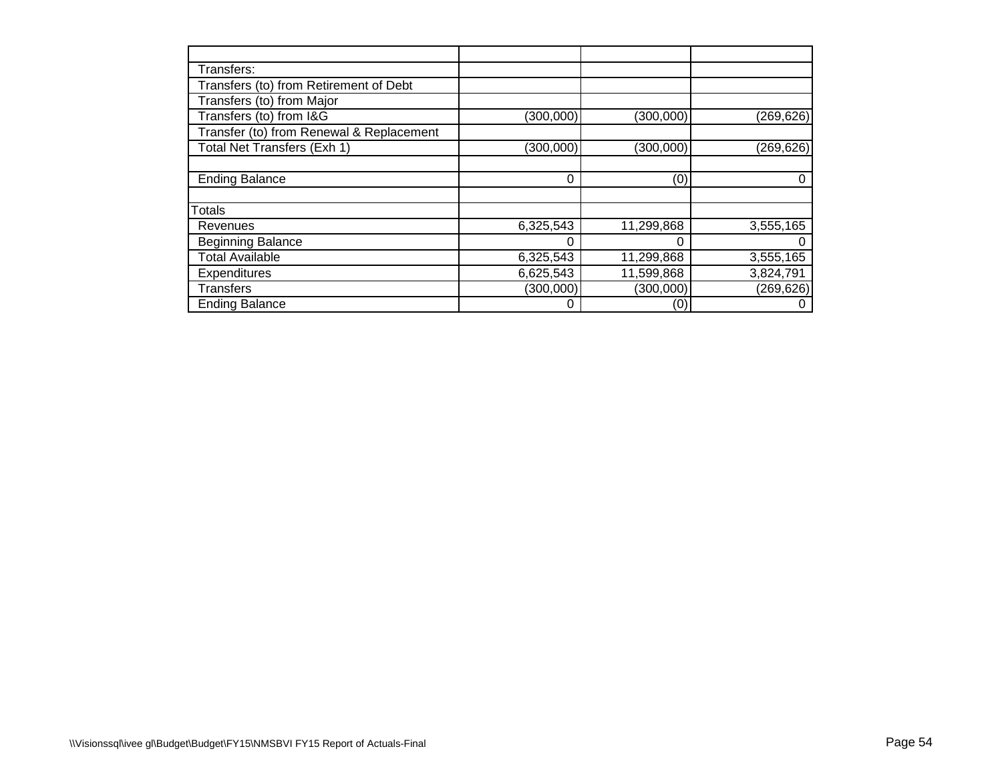| Transfers:                               |            |            |            |
|------------------------------------------|------------|------------|------------|
| Transfers (to) from Retirement of Debt   |            |            |            |
| Transfers (to) from Major                |            |            |            |
| Transfers (to) from I&G                  | (300,000)  | (300,000)  | (269, 626) |
| Transfer (to) from Renewal & Replacement |            |            |            |
| Total Net Transfers (Exh 1)              | (300, 000) | (300,000)  | (269, 626) |
|                                          |            |            |            |
| <b>Ending Balance</b>                    | $\Omega$   | (0)        | 0          |
|                                          |            |            |            |
| <b>Totals</b>                            |            |            |            |
| Revenues                                 | 6,325,543  | 11,299,868 | 3,555,165  |
| <b>Beginning Balance</b>                 |            |            | 0          |
| <b>Total Available</b>                   | 6,325,543  | 11,299,868 | 3,555,165  |
| Expenditures                             | 6,625,543  | 11,599,868 | 3,824,791  |
| <b>Transfers</b>                         | (300,000)  | (300,000)  | (269, 626) |
| <b>Ending Balance</b>                    | 0          | (0)        | 0          |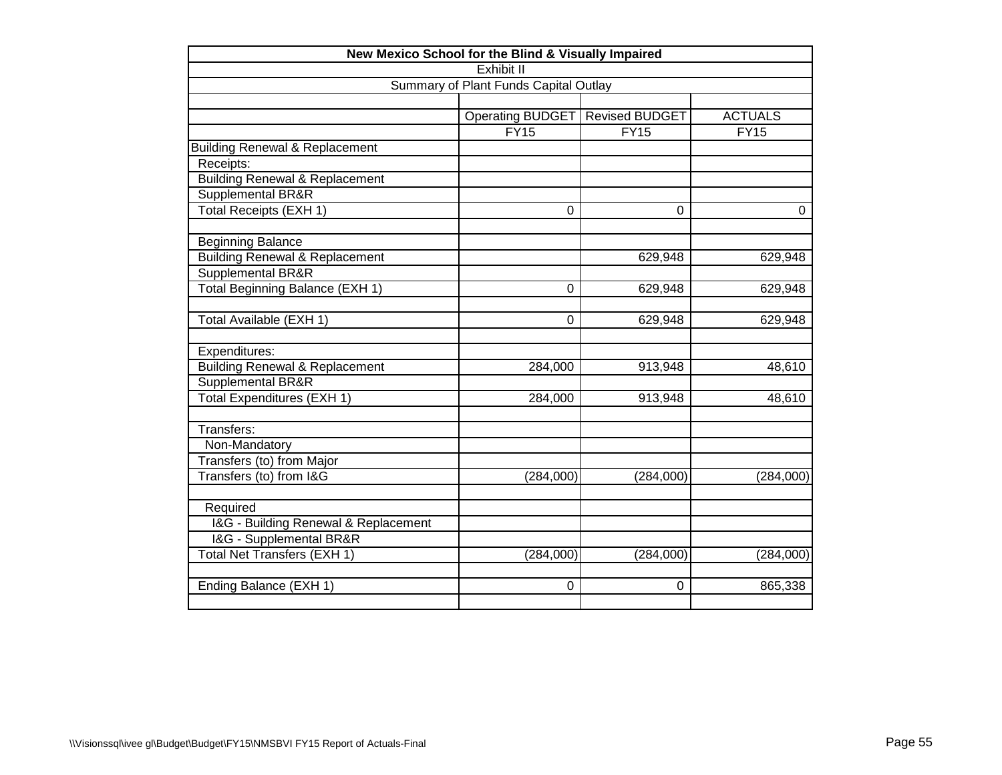| New Mexico School for the Blind & Visually Impaired |                  |                       |                |  |  |  |  |  |
|-----------------------------------------------------|------------------|-----------------------|----------------|--|--|--|--|--|
| Exhibit II                                          |                  |                       |                |  |  |  |  |  |
| Summary of Plant Funds Capital Outlay               |                  |                       |                |  |  |  |  |  |
|                                                     |                  |                       |                |  |  |  |  |  |
|                                                     | Operating BUDGET | <b>Revised BUDGET</b> | <b>ACTUALS</b> |  |  |  |  |  |
|                                                     | FY15             | FY15                  | FY15           |  |  |  |  |  |
| <b>Building Renewal &amp; Replacement</b>           |                  |                       |                |  |  |  |  |  |
| Receipts:                                           |                  |                       |                |  |  |  |  |  |
| <b>Building Renewal &amp; Replacement</b>           |                  |                       |                |  |  |  |  |  |
| Supplemental BR&R                                   |                  |                       |                |  |  |  |  |  |
| <b>Total Receipts (EXH 1)</b>                       | 0                | 0                     | $\Omega$       |  |  |  |  |  |
| <b>Beginning Balance</b>                            |                  |                       |                |  |  |  |  |  |
| <b>Building Renewal &amp; Replacement</b>           |                  | 629,948               | 629,948        |  |  |  |  |  |
| <b>Supplemental BR&amp;R</b>                        |                  |                       |                |  |  |  |  |  |
| Total Beginning Balance (EXH 1)                     | 0                | 629,948               | 629,948        |  |  |  |  |  |
| Total Available (EXH 1)                             | 0                | 629,948               | 629,948        |  |  |  |  |  |
| Expenditures:                                       |                  |                       |                |  |  |  |  |  |
| <b>Building Renewal &amp; Replacement</b>           | 284,000          | 913,948               | 48,610         |  |  |  |  |  |
| Supplemental BR&R                                   |                  |                       |                |  |  |  |  |  |
| <b>Total Expenditures (EXH 1)</b>                   | 284,000          | 913,948               | 48,610         |  |  |  |  |  |
| Transfers:                                          |                  |                       |                |  |  |  |  |  |
| Non-Mandatory                                       |                  |                       |                |  |  |  |  |  |
| Transfers (to) from Major                           |                  |                       |                |  |  |  |  |  |
| Transfers (to) from I&G                             | (284,000)        | (284,000)             | (284,000)      |  |  |  |  |  |
| Required                                            |                  |                       |                |  |  |  |  |  |
| I&G - Building Renewal & Replacement                |                  |                       |                |  |  |  |  |  |
| I&G - Supplemental BR&R                             |                  |                       |                |  |  |  |  |  |
| Total Net Transfers (EXH 1)                         | (284,000)        | (284,000)             | (284,000)      |  |  |  |  |  |
| Ending Balance (EXH 1)                              | 0                | 0                     | 865,338        |  |  |  |  |  |
|                                                     |                  |                       |                |  |  |  |  |  |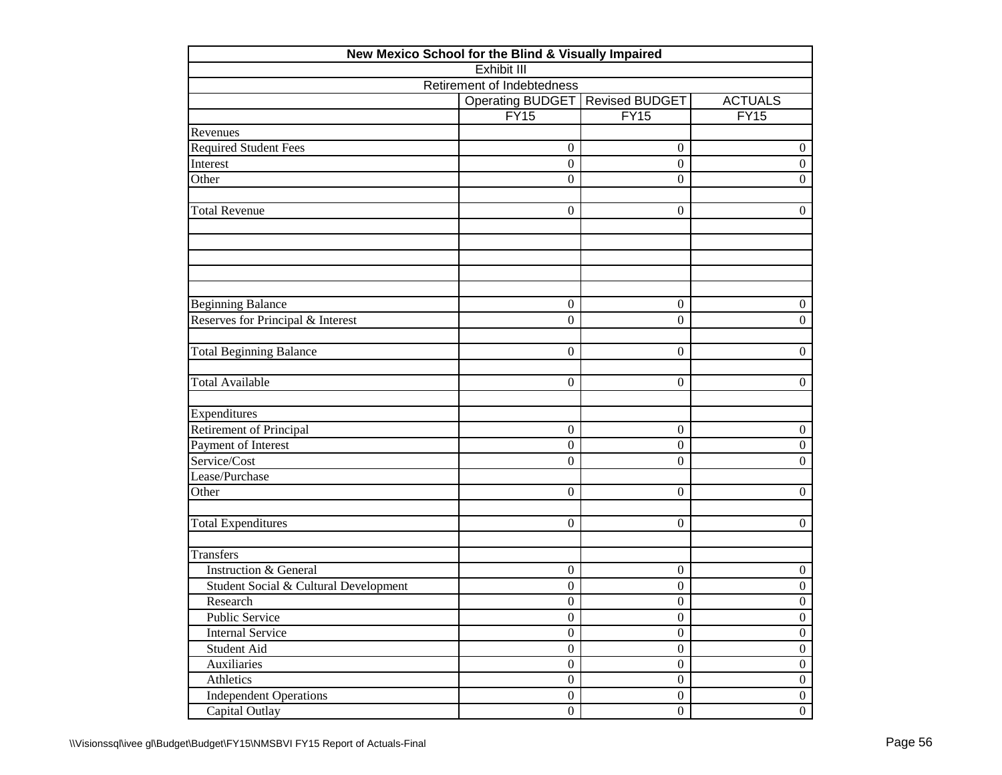|                                       | New Mexico School for the Blind & Visually Impaired |                       |                  |
|---------------------------------------|-----------------------------------------------------|-----------------------|------------------|
|                                       | <b>Exhibit III</b>                                  |                       |                  |
|                                       | Retirement of Indebtedness                          |                       |                  |
|                                       | <b>Operating BUDGET</b>                             | <b>Revised BUDGET</b> | <b>ACTUALS</b>   |
|                                       | FY15                                                | FY15                  | FY15             |
| Revenues                              |                                                     |                       |                  |
| <b>Required Student Fees</b>          | $\overline{0}$                                      | $\mathbf{0}$          | $\boldsymbol{0}$ |
| Interest                              | $\overline{0}$                                      | $\boldsymbol{0}$      | $\boldsymbol{0}$ |
| Other                                 | $\theta$                                            | $\overline{0}$        | $\Omega$         |
| <b>Total Revenue</b>                  | $\overline{0}$                                      | $\mathbf{0}$          | $\boldsymbol{0}$ |
|                                       |                                                     |                       |                  |
| <b>Beginning Balance</b>              | $\boldsymbol{0}$                                    | $\mathbf{0}$          | $\boldsymbol{0}$ |
| Reserves for Principal & Interest     | $\overline{0}$                                      | $\boldsymbol{0}$      | $\boldsymbol{0}$ |
| <b>Total Beginning Balance</b>        | $\overline{0}$                                      | $\boldsymbol{0}$      | $\boldsymbol{0}$ |
| <b>Total Available</b>                | $\overline{0}$                                      | $\mathbf{0}$          | $\boldsymbol{0}$ |
| Expenditures                          |                                                     |                       |                  |
| <b>Retirement of Principal</b>        | $\overline{0}$                                      | $\boldsymbol{0}$      | $\boldsymbol{0}$ |
| Payment of Interest                   | $\boldsymbol{0}$                                    | $\boldsymbol{0}$      | $\boldsymbol{0}$ |
| Service/Cost                          | $\theta$                                            | $\boldsymbol{0}$      | $\boldsymbol{0}$ |
| Lease/Purchase                        |                                                     |                       |                  |
| Other                                 | $\overline{0}$                                      | $\mathbf{0}$          | $\boldsymbol{0}$ |
| <b>Total Expenditures</b>             | $\overline{0}$                                      | $\boldsymbol{0}$      | $\boldsymbol{0}$ |
| Transfers                             |                                                     |                       |                  |
| <b>Instruction &amp; General</b>      | $\boldsymbol{0}$                                    | $\boldsymbol{0}$      | $\boldsymbol{0}$ |
| Student Social & Cultural Development | $\boldsymbol{0}$                                    | $\boldsymbol{0}$      | $\boldsymbol{0}$ |
| Research                              | $\overline{0}$                                      | $\boldsymbol{0}$      | $\boldsymbol{0}$ |
| Public Service                        | $\boldsymbol{0}$                                    | $\boldsymbol{0}$      | $\boldsymbol{0}$ |
| <b>Internal Service</b>               | $\overline{0}$                                      | $\overline{0}$        | $\overline{0}$   |
| Student Aid                           | $\boldsymbol{0}$                                    | $\boldsymbol{0}$      | $\boldsymbol{0}$ |
| Auxiliaries                           | $\boldsymbol{0}$                                    | $\boldsymbol{0}$      | $\boldsymbol{0}$ |
| Athletics                             | $\boldsymbol{0}$                                    | $\boldsymbol{0}$      | $\boldsymbol{0}$ |
| <b>Independent Operations</b>         | $\boldsymbol{0}$                                    | $\overline{0}$        | $\boldsymbol{0}$ |
| Capital Outlay                        | $\boldsymbol{0}$                                    | $\boldsymbol{0}$      | $\boldsymbol{0}$ |